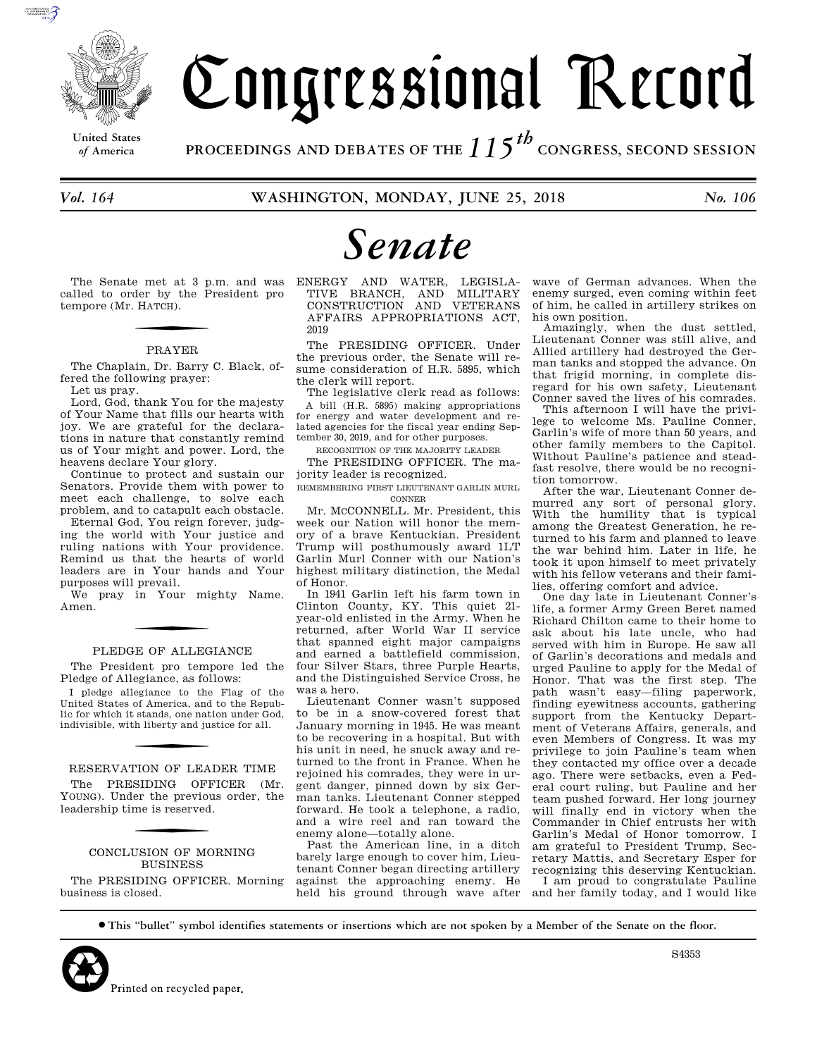

**United States**

# Congressional Record

*of* **America PROCEEDINGS AND DEBATES OF THE** *115th*  **CONGRESS, SECOND SESSION**

*Vol. 164* **WASHINGTON, MONDAY, JUNE 25, 2018** *No. 106* 

# *Senate*

The Senate met at 3 p.m. and was called to order by the President pro tempore (Mr. H ATCH).

### PRAYER

The Chaplain, Dr. Barry C. Black, offered the following prayer:

Let us pray.

Lord, God, thank You for the majesty of Your Name that fills our hearts with joy. We are grateful for the declarations in nature that constantly remind us of Your might and power. Lord, the heavens declare Your glory.

Continue to protect and sustain our Senators. Provide them with power to meet each challenge, to solve each problem, and to catapult each obstacle.

Eternal God, You reign forever, judging the world with Your justice and ruling nations with Your providence. Remind us that the hearts of world leaders are in Your hands and Your purposes will prevail.

We pray in Your mighty Name. Amen.

### PLEDGE OF ALLEGIANCE

The President pro tempore led the Pledge of Allegiance, as follows:

I pledge allegiance to the Flag of the United States of America, and to the Republic for which it stands, one nation under God, indivisible, with liberty and justice for all.

RESERVATION OF LEADER TIME The PRESIDING OFFICER (Mr. YOUNG). Under the previous order, the leadership time is reserved.

### CONCLUSION OF MORNING **BUSINESS**

The PRESIDING OFFICER. Morning business is closed.

ENERGY AND WATER, LEGISLA-TIVE BRANCH, AND MILITARY CONSTRUCTION AND VETERANS AFFAIRS APPROPRIATIONS ACT, 2019

The PRESIDING OFFICER. Under the previous order, the Senate will resume consideration of H.R. 5895, which the clerk will report.

The legislative clerk read as follows: A bill (H.R. 5895) making appropriations for energy and water development and related agencies for the fiscal year ending September 30, 2019, and for other purposes.

RECOGNITION OF THE MAJORITY LEADER

The PRESIDING OFFICER. The majority leader is recognized.

REMEMBERING FIRST LIEUTENANT GARLIN MURL CONNER

Mr. MCCONNELL. Mr. President, this week our Nation will honor the memory of a brave Kentuckian. President Trump will posthumously award 1LT Garlin Murl Conner with our Nation's highest military distinction, the Medal of Honor.

In 1941 Garlin left his farm town in Clinton County, KY. This quiet 21 year-old enlisted in the Army. When he returned, after World War II service that spanned eight major campaigns and earned a battlefield commission, four Silver Stars, three Purple Hearts, and the Distinguished Service Cross, he was a hero.

Lieutenant Conner wasn't supposed to be in a snow-covered forest that January morning in 1945. He was meant to be recovering in a hospital. But with his unit in need, he snuck away and returned to the front in France. When he rejoined his comrades, they were in urgent danger, pinned down by six German tanks. Lieutenant Conner stepped forward. He took a telephone, a radio, and a wire reel and ran toward the enemy alone—totally alone.

Past the American line, in a ditch barely large enough to cover him, Lieutenant Conner began directing artillery against the approaching enemy. He held his ground through wave after

wave of German advances. When the enemy surged, even coming within feet of him, he called in artillery strikes on his own position.

Amazingly, when the dust settled, Lieutenant Conner was still alive, and Allied artillery had destroyed the German tanks and stopped the advance. On that frigid morning, in complete disregard for his own safety, Lieutenant Conner saved the lives of his comrades.

This afternoon I will have the privilege to welcome Ms. Pauline Conner, Garlin's wife of more than 50 years, and other family members to the Capitol. Without Pauline's patience and steadfast resolve, there would be no recognition tomorrow.

After the war, Lieutenant Conner demurred any sort of personal glory. With the humility that is typical among the Greatest Generation, he returned to his farm and planned to leave the war behind him. Later in life, he took it upon himself to meet privately with his fellow veterans and their families, offering comfort and advice.

One day late in Lieutenant Conner's life, a former Army Green Beret named Richard Chilton came to their home to ask about his late uncle, who had served with him in Europe. He saw all of Garlin's decorations and medals and urged Pauline to apply for the Medal of Honor. That was the first step. The path wasn't easy—filing paperwork, finding eyewitness accounts, gathering support from the Kentucky Department of Veterans Affairs, generals, and even Members of Congress. It was my privilege to join Pauline's team when they contacted my office over a decade ago. There were setbacks, even a Federal court ruling, but Pauline and her team pushed forward. Her long journey will finally end in victory when the Commander in Chief entrusts her with Garlin's Medal of Honor tomorrow. I am grateful to President Trump, Secretary Mattis, and Secretary Esper for recognizing this deserving Kentuckian. I am proud to congratulate Pauline and her family today, and I would like

∑ **This ''bullet'' symbol identifies statements or insertions which are not spoken by a Member of the Senate on the floor.**



S4353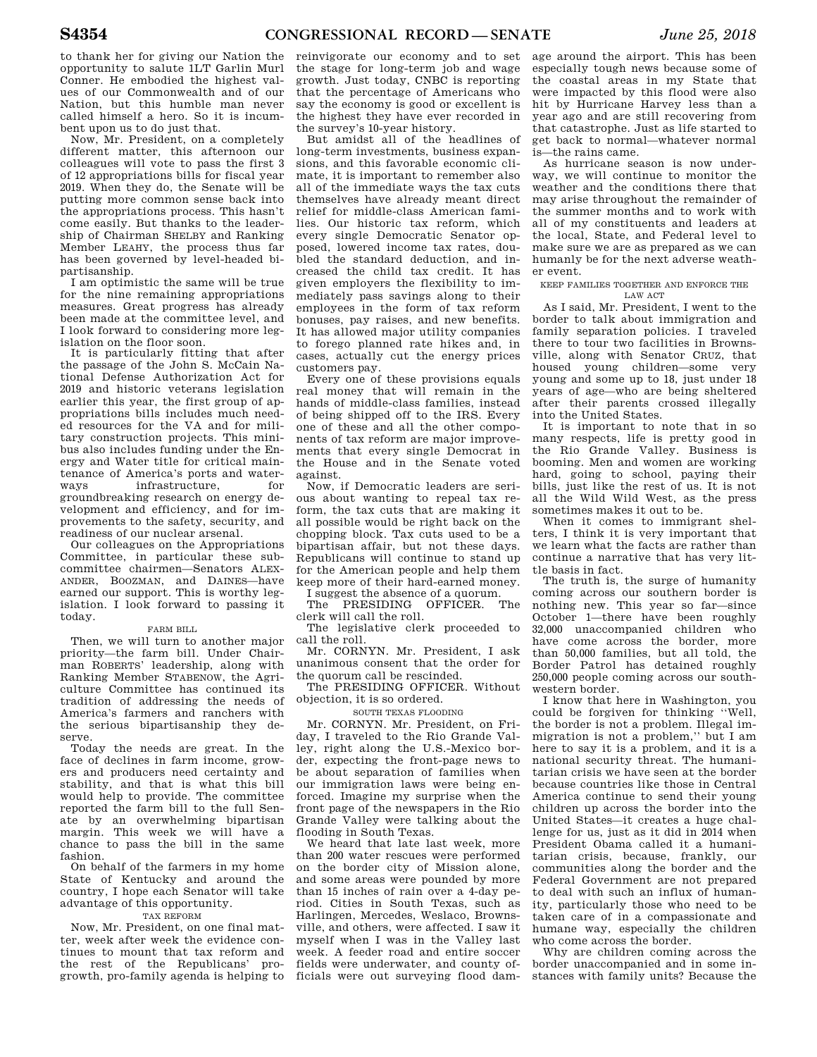to thank her for giving our Nation the opportunity to salute 1LT Garlin Murl Conner. He embodied the highest values of our Commonwealth and of our Nation, but this humble man never called himself a hero. So it is incumbent upon us to do just that.

Now, Mr. President, on a completely different matter, this afternoon our colleagues will vote to pass the first 3 of 12 appropriations bills for fiscal year 2019. When they do, the Senate will be putting more common sense back into the appropriations process. This hasn't come easily. But thanks to the leadership of Chairman SHELBY and Ranking Member LEAHY, the process thus far has been governed by level-headed bipartisanship.

I am optimistic the same will be true for the nine remaining appropriations measures. Great progress has already been made at the committee level, and I look forward to considering more legislation on the floor soon.

It is particularly fitting that after the passage of the John S. McCain National Defense Authorization Act for 2019 and historic veterans legislation earlier this year, the first group of appropriations bills includes much needed resources for the VA and for military construction projects. This minibus also includes funding under the Energy and Water title for critical maintenance of America's ports and waterways infrastructure, for groundbreaking research on energy development and efficiency, and for improvements to the safety, security, and readiness of our nuclear arsenal.

Our colleagues on the Appropriations Committee, in particular these subcommittee chairmen—Senators ALEX-ANDER, BOOZMAN, and DAINES—have earned our support. This is worthy legislation. I look forward to passing it today.

### FARM BILL

Then, we will turn to another major priority—the farm bill. Under Chairman ROBERTS' leadership, along with Ranking Member STABENOW, the Agriculture Committee has continued its tradition of addressing the needs of America's farmers and ranchers with the serious bipartisanship they deserve.

Today the needs are great. In the face of declines in farm income, growers and producers need certainty and stability, and that is what this bill would help to provide. The committee reported the farm bill to the full Senate by an overwhelming bipartisan margin. This week we will have a chance to pass the bill in the same fashion.

On behalf of the farmers in my home State of Kentucky and around the country, I hope each Senator will take advantage of this opportunity.

### TAX REFORM

Now, Mr. President, on one final matter, week after week the evidence continues to mount that tax reform and the rest of the Republicans' progrowth, pro-family agenda is helping to

reinvigorate our economy and to set the stage for long-term job and wage growth. Just today, CNBC is reporting that the percentage of Americans who say the economy is good or excellent is the highest they have ever recorded in the survey's 10-year history.

But amidst all of the headlines of long-term investments, business expansions, and this favorable economic climate, it is important to remember also all of the immediate ways the tax cuts themselves have already meant direct relief for middle-class American families. Our historic tax reform, which every single Democratic Senator opposed, lowered income tax rates, doubled the standard deduction, and increased the child tax credit. It has given employers the flexibility to immediately pass savings along to their employees in the form of tax reform bonuses, pay raises, and new benefits. It has allowed major utility companies to forego planned rate hikes and, in cases, actually cut the energy prices customers pay.

Every one of these provisions equals real money that will remain in the hands of middle-class families, instead of being shipped off to the IRS. Every one of these and all the other components of tax reform are major improvements that every single Democrat in the House and in the Senate voted against.

Now, if Democratic leaders are serious about wanting to repeal tax reform, the tax cuts that are making it all possible would be right back on the chopping block. Tax cuts used to be a bipartisan affair, but not these days. Republicans will continue to stand up for the American people and help them keep more of their hard-earned money.

I suggest the absence of a quorum. PRESIDING OFFICER. clerk will call the roll.

The legislative clerk proceeded to call the roll.

Mr. CORNYN. Mr. President, I ask unanimous consent that the order for the quorum call be rescinded.

The PRESIDING OFFICER. Without objection, it is so ordered.

SOUTH TEXAS FLOODING

Mr. CORNYN. Mr. President, on Friday, I traveled to the Rio Grande Valley, right along the U.S.-Mexico border, expecting the front-page news to be about separation of families when our immigration laws were being enforced. Imagine my surprise when the front page of the newspapers in the Rio Grande Valley were talking about the flooding in South Texas.

We heard that late last week, more than 200 water rescues were performed on the border city of Mission alone, and some areas were pounded by more than 15 inches of rain over a 4-day period. Cities in South Texas, such as Harlingen, Mercedes, Weslaco, Brownsville, and others, were affected. I saw it myself when I was in the Valley last week. A feeder road and entire soccer fields were underwater, and county officials were out surveying flood dam-

age around the airport. This has been especially tough news because some of the coastal areas in my State that were impacted by this flood were also hit by Hurricane Harvey less than a year ago and are still recovering from that catastrophe. Just as life started to get back to normal—whatever normal is—the rains came.

As hurricane season is now underway, we will continue to monitor the weather and the conditions there that may arise throughout the remainder of the summer months and to work with all of my constituents and leaders at the local, State, and Federal level to make sure we are as prepared as we can humanly be for the next adverse weather event.

KEEP FAMILIES TOGETHER AND ENFORCE THE LAW ACT

As I said, Mr. President, I went to the border to talk about immigration and family separation policies. I traveled there to tour two facilities in Brownsville, along with Senator CRUZ, that housed young children—some very young and some up to 18, just under 18 years of age—who are being sheltered after their parents crossed illegally into the United States.

It is important to note that in so many respects, life is pretty good in the Rio Grande Valley. Business is booming. Men and women are working hard, going to school, paying their bills, just like the rest of us. It is not all the Wild Wild West, as the press sometimes makes it out to be.

When it comes to immigrant shelters, I think it is very important that we learn what the facts are rather than continue a narrative that has very little basis in fact.

The truth is, the surge of humanity coming across our southern border is nothing new. This year so far—since October 1—there have been roughly 32,000 unaccompanied children who have come across the border, more than 50,000 families, but all told, the Border Patrol has detained roughly 250,000 people coming across our southwestern border.

I know that here in Washington, you could be forgiven for thinking ''Well, the border is not a problem. Illegal immigration is not a problem,'' but I am here to say it is a problem, and it is a national security threat. The humanitarian crisis we have seen at the border because countries like those in Central America continue to send their young children up across the border into the United States—it creates a huge challenge for us, just as it did in 2014 when President Obama called it a humanitarian crisis, because, frankly, our communities along the border and the Federal Government are not prepared to deal with such an influx of humanity, particularly those who need to be taken care of in a compassionate and humane way, especially the children who come across the border.

Why are children coming across the border unaccompanied and in some instances with family units? Because the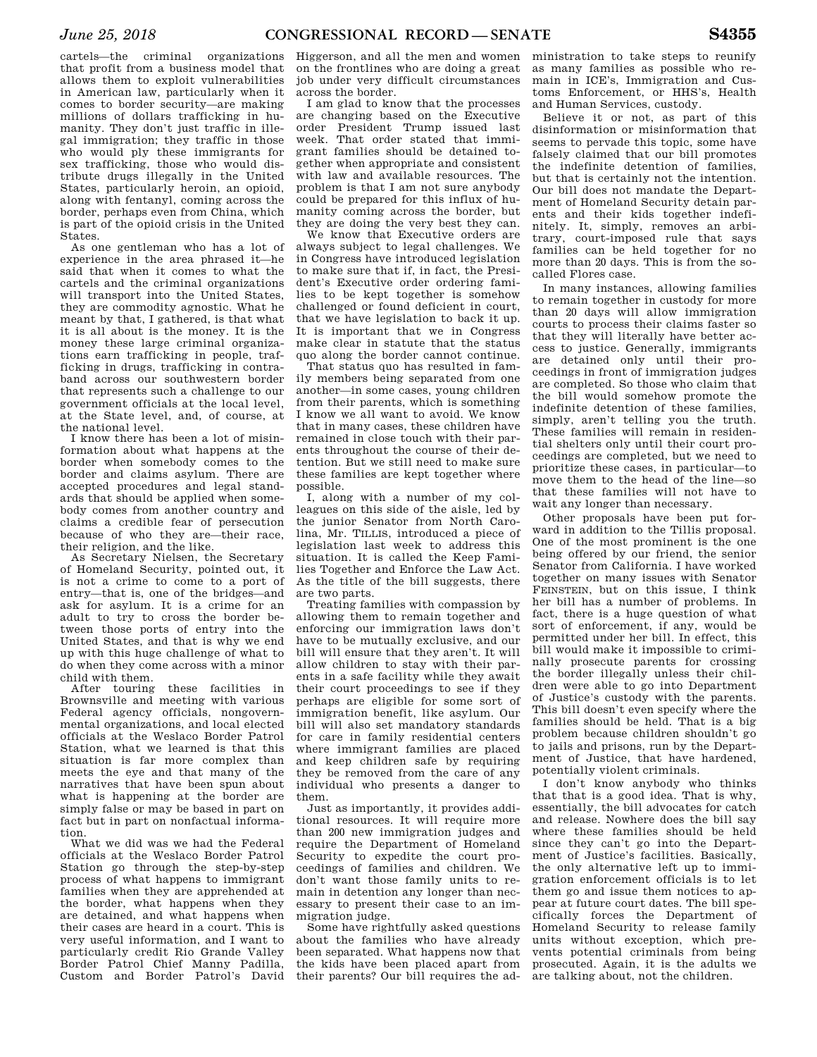cartels—the criminal organizations that profit from a business model that allows them to exploit vulnerabilities in American law, particularly when it comes to border security—are making millions of dollars trafficking in humanity. They don't just traffic in illegal immigration; they traffic in those who would ply these immigrants for sex trafficking, those who would distribute drugs illegally in the United States, particularly heroin, an opioid, along with fentanyl, coming across the border, perhaps even from China, which is part of the opioid crisis in the United States.

As one gentleman who has a lot of experience in the area phrased it—he said that when it comes to what the cartels and the criminal organizations will transport into the United States, they are commodity agnostic. What he meant by that, I gathered, is that what it is all about is the money. It is the money these large criminal organizations earn trafficking in people, trafficking in drugs, trafficking in contraband across our southwestern border that represents such a challenge to our government officials at the local level, at the State level, and, of course, at the national level.

I know there has been a lot of misinformation about what happens at the border when somebody comes to the border and claims asylum. There are accepted procedures and legal standards that should be applied when somebody comes from another country and claims a credible fear of persecution because of who they are—their race, their religion, and the like.

As Secretary Nielsen, the Secretary of Homeland Security, pointed out, it is not a crime to come to a port of entry—that is, one of the bridges—and ask for asylum. It is a crime for an adult to try to cross the border between those ports of entry into the United States, and that is why we end up with this huge challenge of what to do when they come across with a minor child with them.

After touring these facilities in Brownsville and meeting with various Federal agency officials, nongovernmental organizations, and local elected officials at the Weslaco Border Patrol Station, what we learned is that this situation is far more complex than meets the eye and that many of the narratives that have been spun about what is happening at the border are simply false or may be based in part on fact but in part on nonfactual information.

What we did was we had the Federal officials at the Weslaco Border Patrol Station go through the step-by-step process of what happens to immigrant families when they are apprehended at the border, what happens when they are detained, and what happens when their cases are heard in a court. This is very useful information, and I want to particularly credit Rio Grande Valley Border Patrol Chief Manny Padilla, Custom and Border Patrol's David

Higgerson, and all the men and women on the frontlines who are doing a great job under very difficult circumstances across the border.

I am glad to know that the processes are changing based on the Executive order President Trump issued last week. That order stated that immigrant families should be detained together when appropriate and consistent with law and available resources. The problem is that I am not sure anybody could be prepared for this influx of humanity coming across the border, but they are doing the very best they can.

We know that Executive orders are always subject to legal challenges. We in Congress have introduced legislation to make sure that if, in fact, the President's Executive order ordering families to be kept together is somehow challenged or found deficient in court, that we have legislation to back it up. It is important that we in Congress make clear in statute that the status quo along the border cannot continue.

That status quo has resulted in family members being separated from one another—in some cases, young children from their parents, which is something I know we all want to avoid. We know that in many cases, these children have remained in close touch with their parents throughout the course of their detention. But we still need to make sure these families are kept together where possible.

I, along with a number of my colleagues on this side of the aisle, led by the junior Senator from North Carolina, Mr. TILLIS, introduced a piece of legislation last week to address this situation. It is called the Keep Families Together and Enforce the Law Act. As the title of the bill suggests, there are two parts.

Treating families with compassion by allowing them to remain together and enforcing our immigration laws don't have to be mutually exclusive, and our bill will ensure that they aren't. It will allow children to stay with their parents in a safe facility while they await their court proceedings to see if they perhaps are eligible for some sort of immigration benefit, like asylum. Our bill will also set mandatory standards for care in family residential centers where immigrant families are placed and keep children safe by requiring they be removed from the care of any individual who presents a danger to them.

Just as importantly, it provides additional resources. It will require more than 200 new immigration judges and require the Department of Homeland Security to expedite the court proceedings of families and children. We don't want those family units to remain in detention any longer than necessary to present their case to an immigration judge.

Some have rightfully asked questions about the families who have already been separated. What happens now that the kids have been placed apart from their parents? Our bill requires the ad-

ministration to take steps to reunify as many families as possible who remain in ICE's, Immigration and Customs Enforcement, or HHS's, Health and Human Services, custody.

Believe it or not, as part of this disinformation or misinformation that seems to pervade this topic, some have falsely claimed that our bill promotes the indefinite detention of families, but that is certainly not the intention. Our bill does not mandate the Department of Homeland Security detain parents and their kids together indefinitely. It, simply, removes an arbitrary, court-imposed rule that says families can be held together for no more than 20 days. This is from the socalled Flores case.

In many instances, allowing families to remain together in custody for more than 20 days will allow immigration courts to process their claims faster so that they will literally have better access to justice. Generally, immigrants are detained only until their proceedings in front of immigration judges are completed. So those who claim that the bill would somehow promote the indefinite detention of these families, simply, aren't telling you the truth. These families will remain in residential shelters only until their court proceedings are completed, but we need to prioritize these cases, in particular—to move them to the head of the line—so that these families will not have to wait any longer than necessary.

Other proposals have been put forward in addition to the Tillis proposal. One of the most prominent is the one being offered by our friend, the senior Senator from California. I have worked together on many issues with Senator FEINSTEIN, but on this issue, I think her bill has a number of problems. In fact, there is a huge question of what sort of enforcement, if any, would be permitted under her bill. In effect, this bill would make it impossible to criminally prosecute parents for crossing the border illegally unless their children were able to go into Department of Justice's custody with the parents. This bill doesn't even specify where the families should be held. That is a big problem because children shouldn't go to jails and prisons, run by the Department of Justice, that have hardened, potentially violent criminals.

I don't know anybody who thinks that that is a good idea. That is why, essentially, the bill advocates for catch and release. Nowhere does the bill say where these families should be held since they can't go into the Department of Justice's facilities. Basically, the only alternative left up to immigration enforcement officials is to let them go and issue them notices to appear at future court dates. The bill specifically forces the Department of Homeland Security to release family units without exception, which prevents potential criminals from being prosecuted. Again, it is the adults we are talking about, not the children.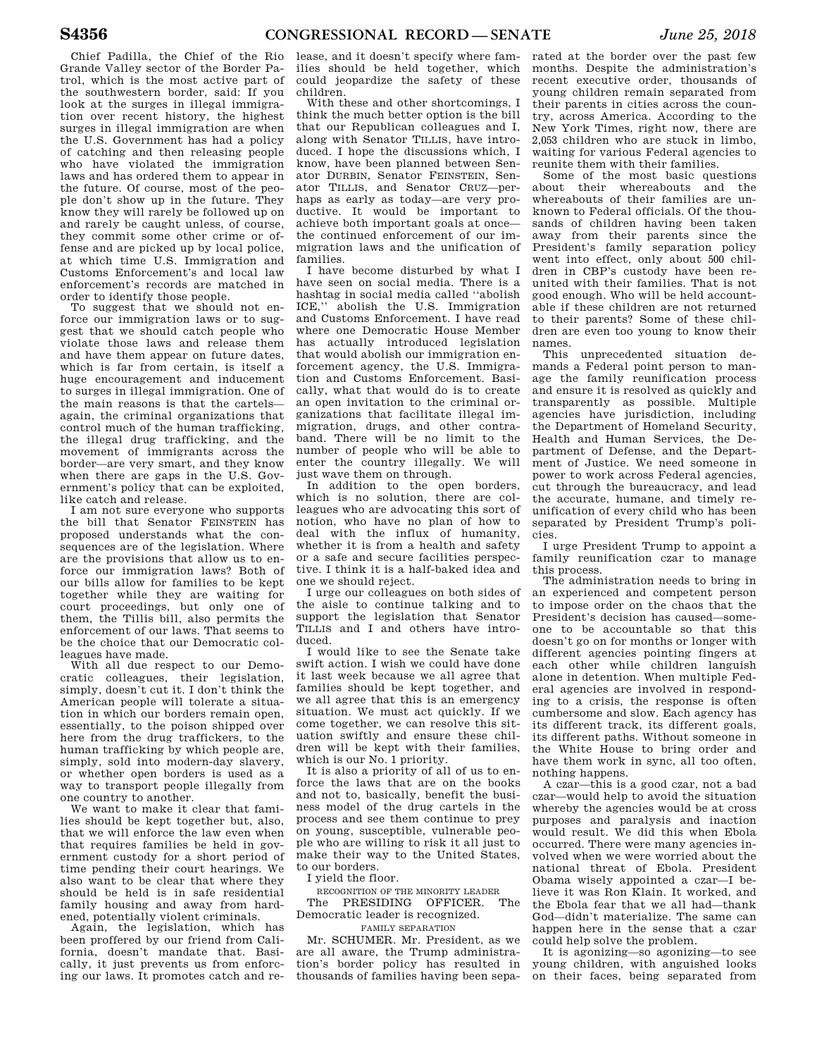Chief Padilla, the Chief of the Rio Grande Valley sector of the Border Patrol, which is the most active part of the southwestern border, said: If you look at the surges in illegal immigration over recent history, the highest surges in illegal immigration are when the U.S. Government has had a policy of catching and then releasing people who have violated the immigration laws and has ordered them to appear in the future. Of course, most of the people don't show up in the future. They know they will rarely be followed up on and rarely be caught unless, of course, they commit some other crime or offense and are picked up by local police, at which time U.S. Immigration and Customs Enforcement's and local law enforcement's records are matched in order to identify those people.

To suggest that we should not enforce our immigration laws or to suggest that we should catch people who violate those laws and release them and have them appear on future dates, which is far from certain, is itself a huge encouragement and inducement to surges in illegal immigration. One of the main reasons is that the cartels again, the criminal organizations that control much of the human trafficking, the illegal drug trafficking, and the movement of immigrants across the border—are very smart, and they know when there are gaps in the U.S. Government's policy that can be exploited, like catch and release.

I am not sure everyone who supports the bill that Senator FEINSTEIN has proposed understands what the consequences are of the legislation. Where are the provisions that allow us to enforce our immigration laws? Both of our bills allow for families to be kept together while they are waiting for court proceedings, but only one of them, the Tillis bill, also permits the enforcement of our laws. That seems to be the choice that our Democratic colleagues have made.

With all due respect to our Democratic colleagues, their legislation, simply, doesn't cut it. I don't think the American people will tolerate a situation in which our borders remain open, essentially, to the poison shipped over here from the drug traffickers, to the human trafficking by which people are, simply, sold into modern-day slavery, or whether open borders is used as a way to transport people illegally from one country to another.

We want to make it clear that families should be kept together but, also, that we will enforce the law even when that requires families be held in government custody for a short period of time pending their court hearings. We also want to be clear that where they should be held is in safe residential family housing and away from hardened, potentially violent criminals.

Again, the legislation, which has been proffered by our friend from California, doesn't mandate that. Basically, it just prevents us from enforcing our laws. It promotes catch and re-

lease, and it doesn't specify where families should be held together, which could jeopardize the safety of these children.

With these and other shortcomings, I think the much better option is the bill that our Republican colleagues and I, along with Senator TILLIS, have introduced. I hope the discussions which, I know, have been planned between Senator DURBIN, Senator FEINSTEIN, Senator TILLIS, and Senator CRUZ—perhaps as early as today—are very productive. It would be important to achieve both important goals at once the continued enforcement of our immigration laws and the unification of families.

I have become disturbed by what I have seen on social media. There is a hashtag in social media called ''abolish ICE,'' abolish the U.S. Immigration and Customs Enforcement. I have read where one Democratic House Member has actually introduced legislation that would abolish our immigration enforcement agency, the U.S. Immigration and Customs Enforcement. Basically, what that would do is to create an open invitation to the criminal organizations that facilitate illegal immigration, drugs, and other contraband. There will be no limit to the number of people who will be able to enter the country illegally. We will just wave them on through.

In addition to the open borders, which is no solution, there are colleagues who are advocating this sort of notion, who have no plan of how to deal with the influx of humanity, whether it is from a health and safety or a safe and secure facilities perspective. I think it is a half-baked idea and one we should reject.

I urge our colleagues on both sides of the aisle to continue talking and to support the legislation that Senator TILLIS and I and others have introduced.

I would like to see the Senate take swift action. I wish we could have done it last week because we all agree that families should be kept together, and we all agree that this is an emergency situation. We must act quickly. If we come together, we can resolve this situation swiftly and ensure these children will be kept with their families, which is our No. 1 priority.

It is also a priority of all of us to enforce the laws that are on the books and not to, basically, benefit the business model of the drug cartels in the process and see them continue to prey on young, susceptible, vulnerable people who are willing to risk it all just to make their way to the United States, to our borders.

I yield the floor.

RECOGNITION OF THE MINORITY LEADER

The PRESIDING OFFICER. The Democratic leader is recognized.

FAMILY SEPARATION

Mr. SCHUMER. Mr. President, as we are all aware, the Trump administration's border policy has resulted in thousands of families having been separated at the border over the past few months. Despite the administration's recent executive order, thousands of young children remain separated from their parents in cities across the country, across America. According to the New York Times, right now, there are 2,053 children who are stuck in limbo, waiting for various Federal agencies to reunite them with their families.

Some of the most basic questions about their whereabouts and the whereabouts of their families are unknown to Federal officials. Of the thousands of children having been taken away from their parents since the President's family separation policy went into effect, only about 500 children in CBP's custody have been reunited with their families. That is not good enough. Who will be held accountable if these children are not returned to their parents? Some of these children are even too young to know their names.

This unprecedented situation demands a Federal point person to manage the family reunification process and ensure it is resolved as quickly and transparently as possible. Multiple agencies have jurisdiction, including the Department of Homeland Security, Health and Human Services, the Department of Defense, and the Department of Justice. We need someone in power to work across Federal agencies, cut through the bureaucracy, and lead the accurate, humane, and timely reunification of every child who has been separated by President Trump's policies.

I urge President Trump to appoint a family reunification czar to manage this process.

The administration needs to bring in an experienced and competent person to impose order on the chaos that the President's decision has caused—someone to be accountable so that this doesn't go on for months or longer with different agencies pointing fingers at each other while children languish alone in detention. When multiple Federal agencies are involved in responding to a crisis, the response is often cumbersome and slow. Each agency has its different track, its different goals, its different paths. Without someone in the White House to bring order and have them work in sync, all too often, nothing happens.

A czar—this is a good czar, not a bad czar—would help to avoid the situation whereby the agencies would be at cross purposes and paralysis and inaction would result. We did this when Ebola occurred. There were many agencies involved when we were worried about the national threat of Ebola. President Obama wisely appointed a czar—I believe it was Ron Klain. It worked, and the Ebola fear that we all had—thank God—didn't materialize. The same can happen here in the sense that a czar could help solve the problem.

It is agonizing—so agonizing—to see young children, with anguished looks on their faces, being separated from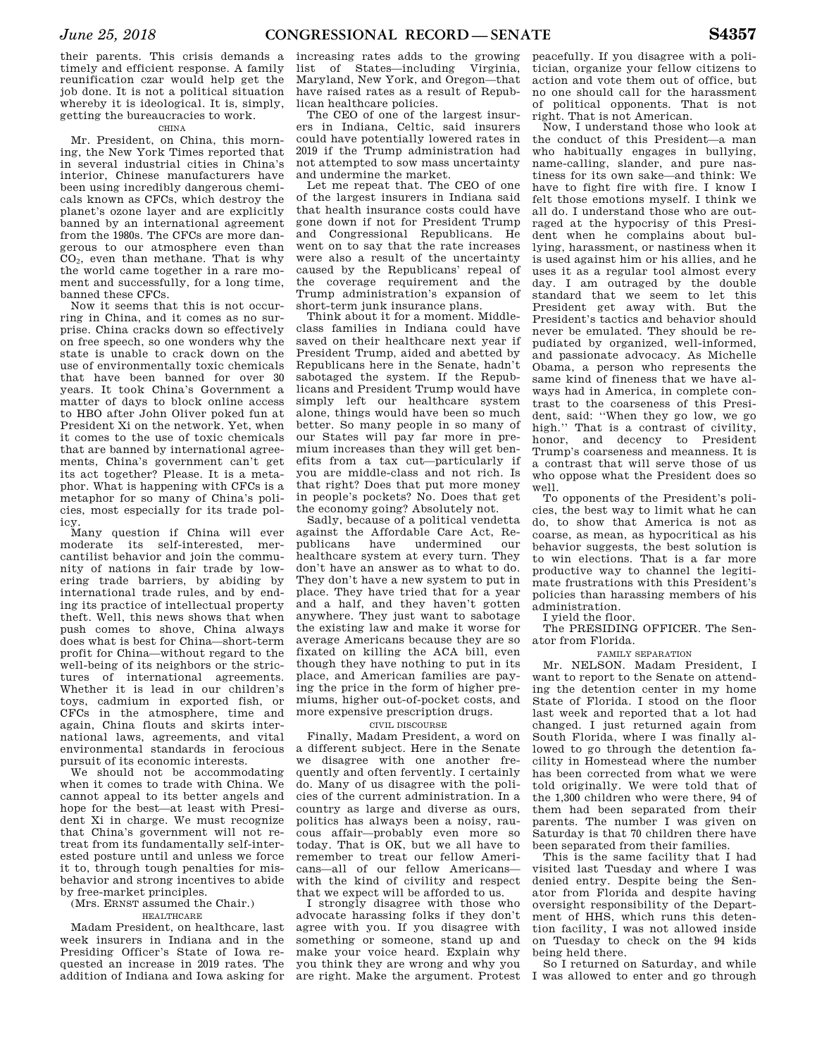their parents. This crisis demands a timely and efficient response. A family reunification czar would help get the job done. It is not a political situation whereby it is ideological. It is, simply, getting the bureaucracies to work.

### CHINA

Mr. President, on China, this morning, the New York Times reported that in several industrial cities in China's interior, Chinese manufacturers have been using incredibly dangerous chemicals known as CFCs, which destroy the planet's ozone layer and are explicitly banned by an international agreement from the 1980s. The CFCs are more dangerous to our atmosphere even than  $CO<sub>2</sub>$ , even than methane. That is why the world came together in a rare moment and successfully, for a long time, banned these CFCs.

Now it seems that this is not occurring in China, and it comes as no surprise. China cracks down so effectively on free speech, so one wonders why the state is unable to crack down on the use of environmentally toxic chemicals that have been banned for over 30 years. It took China's Government a matter of days to block online access to HBO after John Oliver poked fun at President Xi on the network. Yet, when it comes to the use of toxic chemicals that are banned by international agreements, China's government can't get its act together? Please. It is a metaphor. What is happening with CFCs is a metaphor for so many of China's policies, most especially for its trade policy.

Many question if China will ever moderate its self-interested, mercantilist behavior and join the community of nations in fair trade by lowering trade barriers, by abiding by international trade rules, and by ending its practice of intellectual property theft. Well, this news shows that when push comes to shove, China always does what is best for China—short-term profit for China—without regard to the well-being of its neighbors or the strictures of international agreements. Whether it is lead in our children's toys, cadmium in exported fish, or CFCs in the atmosphere, time and again, China flouts and skirts international laws, agreements, and vital environmental standards in ferocious pursuit of its economic interests.

We should not be accommodating when it comes to trade with China. We cannot appeal to its better angels and hope for the best—at least with President Xi in charge. We must recognize that China's government will not retreat from its fundamentally self-interested posture until and unless we force it to, through tough penalties for misbehavior and strong incentives to abide by free-market principles.

(Mrs. ERNST assumed the Chair.) HEALTHCARE

Madam President, on healthcare, last week insurers in Indiana and in the Presiding Officer's State of Iowa requested an increase in 2019 rates. The addition of Indiana and Iowa asking for

increasing rates adds to the growing list of States—including Virginia, Maryland, New York, and Oregon—that have raised rates as a result of Republican healthcare policies.

The CEO of one of the largest insurers in Indiana, Celtic, said insurers could have potentially lowered rates in 2019 if the Trump administration had not attempted to sow mass uncertainty and undermine the market.

Let me repeat that. The CEO of one of the largest insurers in Indiana said that health insurance costs could have gone down if not for President Trump and Congressional Republicans. He went on to say that the rate increases were also a result of the uncertainty caused by the Republicans' repeal of the coverage requirement and the Trump administration's expansion of short-term junk insurance plans.

Think about it for a moment. Middleclass families in Indiana could have saved on their healthcare next year if President Trump, aided and abetted by Republicans here in the Senate, hadn't sabotaged the system. If the Republicans and President Trump would have simply left our healthcare system alone, things would have been so much better. So many people in so many of our States will pay far more in premium increases than they will get benefits from a tax cut—particularly if you are middle-class and not rich. Is that right? Does that put more money in people's pockets? No. Does that get the economy going? Absolutely not.

Sadly, because of a political vendetta against the Affordable Care Act, Rehave undermined our healthcare system at every turn. They don't have an answer as to what to do. They don't have a new system to put in place. They have tried that for a year and a half, and they haven't gotten anywhere. They just want to sabotage the existing law and make it worse for average Americans because they are so fixated on killing the ACA bill, even though they have nothing to put in its place, and American families are paying the price in the form of higher premiums, higher out-of-pocket costs, and more expensive prescription drugs.

### CIVIL DISCOURSE

Finally, Madam President, a word on a different subject. Here in the Senate we disagree with one another frequently and often fervently. I certainly do. Many of us disagree with the policies of the current administration. In a country as large and diverse as ours, politics has always been a noisy, raucous affair—probably even more so today. That is OK, but we all have to remember to treat our fellow Americans—all of our fellow Americans with the kind of civility and respect that we expect will be afforded to us.

I strongly disagree with those who advocate harassing folks if they don't agree with you. If you disagree with something or someone, stand up and make your voice heard. Explain why you think they are wrong and why you are right. Make the argument. Protest

peacefully. If you disagree with a politician, organize your fellow citizens to action and vote them out of office, but no one should call for the harassment of political opponents. That is not right. That is not American.

Now, I understand those who look at the conduct of this President—a man who habitually engages in bullying, name-calling, slander, and pure nastiness for its own sake—and think: We have to fight fire with fire. I know I felt those emotions myself. I think we all do. I understand those who are outraged at the hypocrisy of this President when he complains about bullying, harassment, or nastiness when it is used against him or his allies, and he uses it as a regular tool almost every day. I am outraged by the double standard that we seem to let this President get away with. But the President's tactics and behavior should never be emulated. They should be repudiated by organized, well-informed, and passionate advocacy. As Michelle Obama, a person who represents the same kind of fineness that we have always had in America, in complete contrast to the coarseness of this President, said: ''When they go low, we go high." That is a contrast of civility, honor, and decency to President Trump's coarseness and meanness. It is a contrast that will serve those of us who oppose what the President does so well.

To opponents of the President's policies, the best way to limit what he can do, to show that America is not as coarse, as mean, as hypocritical as his behavior suggests, the best solution is to win elections. That is a far more productive way to channel the legitimate frustrations with this President's policies than harassing members of his administration.

I yield the floor.

The PRESIDING OFFICER. The Senator from Florida.

FAMILY SEPARATION

Mr. NELSON. Madam President, I want to report to the Senate on attending the detention center in my home State of Florida. I stood on the floor last week and reported that a lot had changed. I just returned again from South Florida, where I was finally allowed to go through the detention facility in Homestead where the number has been corrected from what we were told originally. We were told that of the 1,300 children who were there, 94 of them had been separated from their parents. The number I was given on Saturday is that 70 children there have been separated from their families.

This is the same facility that I had visited last Tuesday and where I was denied entry. Despite being the Senator from Florida and despite having oversight responsibility of the Department of HHS, which runs this detention facility, I was not allowed inside on Tuesday to check on the 94 kids being held there.

So I returned on Saturday, and while I was allowed to enter and go through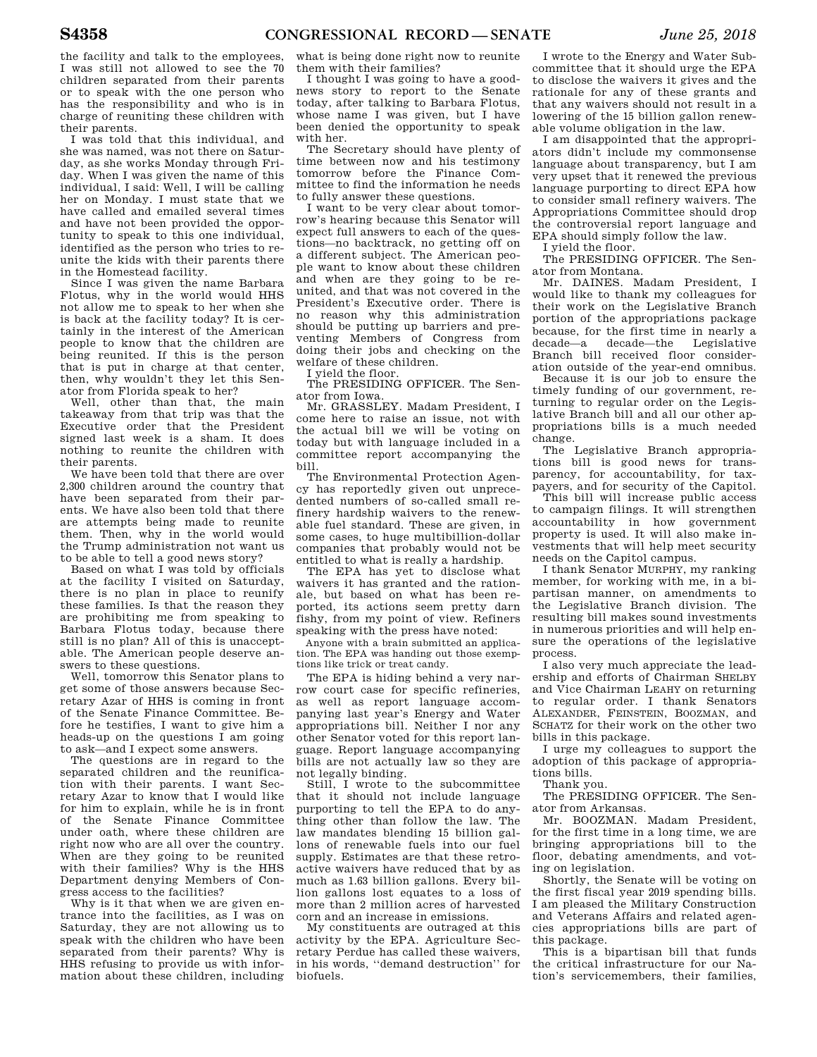the facility and talk to the employees, I was still not allowed to see the 70 children separated from their parents or to speak with the one person who has the responsibility and who is in charge of reuniting these children with their parents.

I was told that this individual, and she was named, was not there on Saturday, as she works Monday through Friday. When I was given the name of this individual, I said: Well, I will be calling her on Monday. I must state that we have called and emailed several times and have not been provided the opportunity to speak to this one individual, identified as the person who tries to reunite the kids with their parents there in the Homestead facility.

Since I was given the name Barbara Flotus, why in the world would HHS not allow me to speak to her when she is back at the facility today? It is certainly in the interest of the American people to know that the children are being reunited. If this is the person that is put in charge at that center, then, why wouldn't they let this Senator from Florida speak to her?

Well, other than that, the main takeaway from that trip was that the Executive order that the President signed last week is a sham. It does nothing to reunite the children with their parents.

We have been told that there are over 2,300 children around the country that have been separated from their parents. We have also been told that there are attempts being made to reunite them. Then, why in the world would the Trump administration not want us to be able to tell a good news story?

Based on what I was told by officials at the facility I visited on Saturday, there is no plan in place to reunify these families. Is that the reason they are prohibiting me from speaking to Barbara Flotus today, because there still is no plan? All of this is unacceptable. The American people deserve answers to these questions.

Well, tomorrow this Senator plans to get some of those answers because Secretary Azar of HHS is coming in front of the Senate Finance Committee. Before he testifies, I want to give him a heads-up on the questions I am going to ask—and I expect some answers.

The questions are in regard to the separated children and the reunification with their parents. I want Secretary Azar to know that I would like for him to explain, while he is in front of the Senate Finance Committee under oath, where these children are right now who are all over the country. When are they going to be reunited with their families? Why is the HHS Department denying Members of Congress access to the facilities?

Why is it that when we are given entrance into the facilities, as I was on Saturday, they are not allowing us to speak with the children who have been separated from their parents? Why is HHS refusing to provide us with information about these children, including

what is being done right now to reunite them with their families?

I thought I was going to have a goodnews story to report to the Senate today, after talking to Barbara Flotus, whose name I was given, but I have been denied the opportunity to speak with her.

The Secretary should have plenty of time between now and his testimony tomorrow before the Finance Committee to find the information he needs to fully answer these questions.

I want to be very clear about tomorrow's hearing because this Senator will expect full answers to each of the questions—no backtrack, no getting off on a different subject. The American people want to know about these children and when are they going to be reunited, and that was not covered in the President's Executive order. There is no reason why this administration should be putting up barriers and preventing Members of Congress from doing their jobs and checking on the welfare of these children.

I yield the floor.

The PRESIDING OFFICER. The Senator from Iowa.

Mr. GRASSLEY. Madam President, I come here to raise an issue, not with the actual bill we will be voting on today but with language included in a committee report accompanying the bill.

The Environmental Protection Agency has reportedly given out unprecedented numbers of so-called small refinery hardship waivers to the renewable fuel standard. These are given, in some cases, to huge multibillion-dollar companies that probably would not be entitled to what is really a hardship.

The EPA has yet to disclose what waivers it has granted and the rationale, but based on what has been reported, its actions seem pretty darn fishy, from my point of view. Refiners speaking with the press have noted:

Anyone with a brain submitted an application. The EPA was handing out those exemptions like trick or treat candy.

The EPA is hiding behind a very narrow court case for specific refineries, as well as report language accompanying last year's Energy and Water appropriations bill. Neither I nor any other Senator voted for this report language. Report language accompanying bills are not actually law so they are not legally binding.

Still, I wrote to the subcommittee that it should not include language purporting to tell the EPA to do anything other than follow the law. The law mandates blending 15 billion gallons of renewable fuels into our fuel supply. Estimates are that these retroactive waivers have reduced that by as much as 1.63 billion gallons. Every billion gallons lost equates to a loss of more than 2 million acres of harvested corn and an increase in emissions.

My constituents are outraged at this activity by the EPA. Agriculture Secretary Perdue has called these waivers, in his words, ''demand destruction'' for biofuels.

I wrote to the Energy and Water Subcommittee that it should urge the EPA to disclose the waivers it gives and the rationale for any of these grants and that any waivers should not result in a lowering of the 15 billion gallon renewable volume obligation in the law.

I am disappointed that the appropriators didn't include my commonsense language about transparency, but I am very upset that it renewed the previous language purporting to direct EPA how to consider small refinery waivers. The Appropriations Committee should drop the controversial report language and EPA should simply follow the law.

I yield the floor.

The PRESIDING OFFICER. The Senator from Montana.

Mr. DAINES. Madam President, I would like to thank my colleagues for their work on the Legislative Branch portion of the appropriations package because, for the first time in nearly a<br>decade—a decade—the Legislative decade—the Branch bill received floor consideration outside of the year-end omnibus.

Because it is our job to ensure the timely funding of our government, returning to regular order on the Legislative Branch bill and all our other appropriations bills is a much needed change.

The Legislative Branch appropriations bill is good news for transparency, for accountability, for taxpayers, and for security of the Capitol.

This bill will increase public access to campaign filings. It will strengthen accountability in how government property is used. It will also make investments that will help meet security needs on the Capitol campus.

I thank Senator MURPHY, my ranking member, for working with me, in a bipartisan manner, on amendments to the Legislative Branch division. The resulting bill makes sound investments in numerous priorities and will help ensure the operations of the legislative process.

I also very much appreciate the leadership and efforts of Chairman SHELBY and Vice Chairman LEAHY on returning to regular order. I thank Senators ALEXANDER, FEINSTEIN, BOOZMAN, and SCHATZ for their work on the other two bills in this package.

I urge my colleagues to support the adoption of this package of appropriations bills.

Thank you.

The PRESIDING OFFICER. The Senator from Arkansas.

Mr. BOOZMAN. Madam President, for the first time in a long time, we are bringing appropriations bill to the floor, debating amendments, and voting on legislation.

Shortly, the Senate will be voting on the first fiscal year 2019 spending bills. I am pleased the Military Construction and Veterans Affairs and related agencies appropriations bills are part of this package.

This is a bipartisan bill that funds the critical infrastructure for our Nation's servicemembers, their families,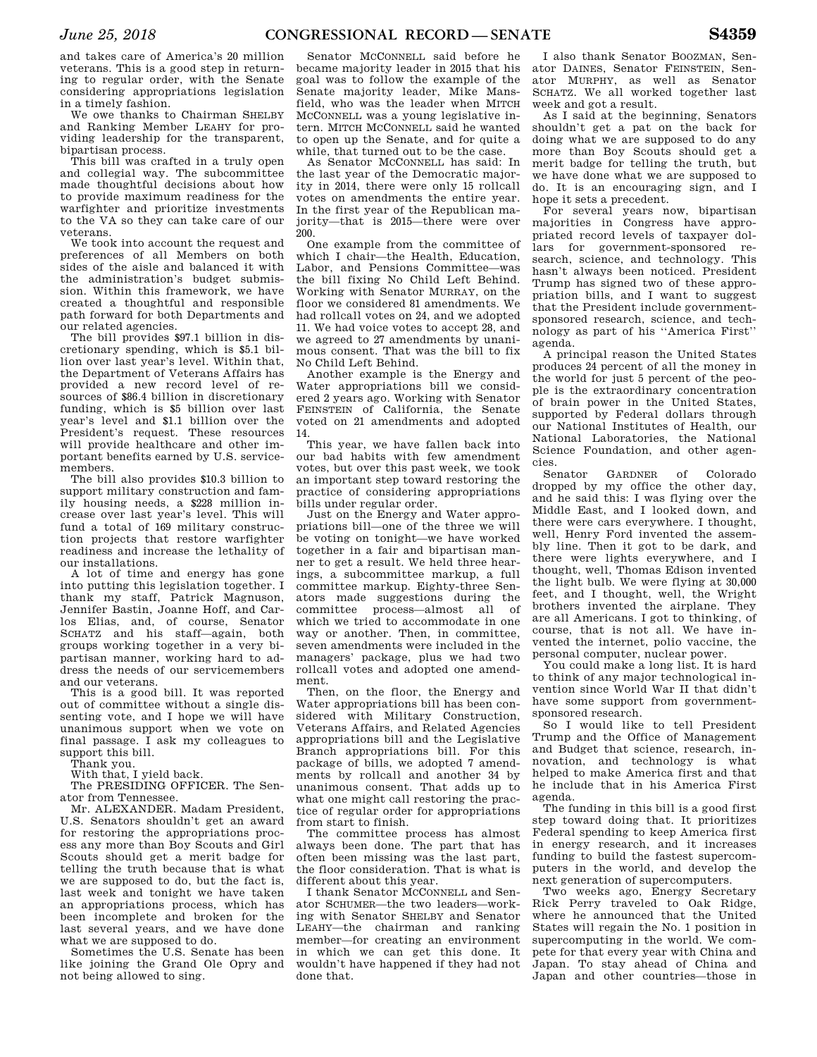and takes care of America's 20 million veterans. This is a good step in returning to regular order, with the Senate considering appropriations legislation in a timely fashion.

We owe thanks to Chairman SHELBY and Ranking Member LEAHY for providing leadership for the transparent, bipartisan process.

This bill was crafted in a truly open and collegial way. The subcommittee made thoughtful decisions about how to provide maximum readiness for the warfighter and prioritize investments to the VA so they can take care of our veterans.

We took into account the request and preferences of all Members on both sides of the aisle and balanced it with the administration's budget submission. Within this framework, we have created a thoughtful and responsible path forward for both Departments and our related agencies.

The bill provides \$97.1 billion in discretionary spending, which is \$5.1 billion over last year's level. Within that, the Department of Veterans Affairs has provided a new record level of resources of \$86.4 billion in discretionary funding, which is \$5 billion over last year's level and \$1.1 billion over the President's request. These resources will provide healthcare and other important benefits earned by U.S. servicemembers.

The bill also provides \$10.3 billion to support military construction and family housing needs, a \$228 million increase over last year's level. This will fund a total of 169 military construction projects that restore warfighter readiness and increase the lethality of our installations.

A lot of time and energy has gone into putting this legislation together. I thank my staff, Patrick Magnuson, Jennifer Bastin, Joanne Hoff, and Carlos Elias, and, of course, Senator SCHATZ and his staff—again, both groups working together in a very bipartisan manner, working hard to address the needs of our servicemembers and our veterans.

This is a good bill. It was reported out of committee without a single dissenting vote, and I hope we will have unanimous support when we vote on final passage. I ask my colleagues to support this bill.

Thank you.

With that, I yield back.

The PRESIDING OFFICER. The Senator from Tennessee.

Mr. ALEXANDER. Madam President, U.S. Senators shouldn't get an award for restoring the appropriations process any more than Boy Scouts and Girl Scouts should get a merit badge for telling the truth because that is what we are supposed to do, but the fact is, last week and tonight we have taken an appropriations process, which has been incomplete and broken for the last several years, and we have done what we are supposed to do.

Sometimes the U.S. Senate has been like joining the Grand Ole Opry and not being allowed to sing.

Senator MCCONNELL said before he became majority leader in 2015 that his goal was to follow the example of the Senate majority leader, Mike Mansfield, who was the leader when MITCH MCCONNELL was a young legislative intern. MITCH MCCONNELL said he wanted to open up the Senate, and for quite a while, that turned out to be the case.

As Senator MCCONNELL has said: In the last year of the Democratic majority in 2014, there were only 15 rollcall votes on amendments the entire year. In the first year of the Republican majority—that is 2015—there were over 200.

One example from the committee of which I chair—the Health, Education, Labor, and Pensions Committee—was the bill fixing No Child Left Behind. Working with Senator MURRAY, on the floor we considered 81 amendments. We had rollcall votes on 24, and we adopted 11. We had voice votes to accept 28, and we agreed to 27 amendments by unanimous consent. That was the bill to fix No Child Left Behind.

Another example is the Energy and Water appropriations bill we considered 2 years ago. Working with Senator FEINSTEIN of California, the Senate voted on 21 amendments and adopted 14.

This year, we have fallen back into our bad habits with few amendment votes, but over this past week, we took an important step toward restoring the practice of considering appropriations bills under regular order.

Just on the Energy and Water appropriations bill—one of the three we will be voting on tonight—we have worked together in a fair and bipartisan manner to get a result. We held three hearings, a subcommittee markup, a full committee markup. Eighty-three Senators made suggestions during the committee process—almost all of which we tried to accommodate in one way or another. Then, in committee, seven amendments were included in the managers' package, plus we had two rollcall votes and adopted one amendment.

Then, on the floor, the Energy and Water appropriations bill has been considered with Military Construction, Veterans Affairs, and Related Agencies appropriations bill and the Legislative Branch appropriations bill. For this package of bills, we adopted 7 amendments by rollcall and another 34 by unanimous consent. That adds up to what one might call restoring the practice of regular order for appropriations from start to finish.

The committee process has almost always been done. The part that has often been missing was the last part, the floor consideration. That is what is different about this year.

I thank Senator MCCONNELL and Senator SCHUMER—the two leaders—working with Senator SHELBY and Senator LEAHY—the chairman and ranking member—for creating an environment in which we can get this done. It wouldn't have happened if they had not done that.

I also thank Senator BOOZMAN, Senator DAINES, Senator FEINSTEIN, Senator MURPHY, as well as Senator SCHATZ. We all worked together last week and got a result.

As I said at the beginning, Senators shouldn't get a pat on the back for doing what we are supposed to do any more than Boy Scouts should get a merit badge for telling the truth, but we have done what we are supposed to do. It is an encouraging sign, and I hope it sets a precedent.

For several years now, bipartisan majorities in Congress have appropriated record levels of taxpayer dollars for government-sponsored research, science, and technology. This hasn't always been noticed. President Trump has signed two of these appropriation bills, and I want to suggest that the President include governmentsponsored research, science, and technology as part of his ''America First'' agenda.

A principal reason the United States produces 24 percent of all the money in the world for just 5 percent of the people is the extraordinary concentration of brain power in the United States, supported by Federal dollars through our National Institutes of Health, our National Laboratories, the National Science Foundation, and other agencies.

Senator GARDNER of Colorado dropped by my office the other day, and he said this: I was flying over the Middle East, and I looked down, and there were cars everywhere. I thought, well, Henry Ford invented the assembly line. Then it got to be dark, and there were lights everywhere, and I thought, well, Thomas Edison invented the light bulb. We were flying at 30,000 feet, and I thought, well, the Wright brothers invented the airplane. They are all Americans. I got to thinking, of course, that is not all. We have invented the internet, polio vaccine, the personal computer, nuclear power.

You could make a long list. It is hard to think of any major technological invention since World War II that didn't have some support from governmentsponsored research.

So I would like to tell President Trump and the Office of Management and Budget that science, research, innovation, and technology is what helped to make America first and that he include that in his America First agenda.

The funding in this bill is a good first step toward doing that. It prioritizes Federal spending to keep America first in energy research, and it increases funding to build the fastest supercomputers in the world, and develop the next generation of supercomputers.

Two weeks ago, Energy Secretary Rick Perry traveled to Oak Ridge, where he announced that the United States will regain the No. 1 position in supercomputing in the world. We compete for that every year with China and Japan. To stay ahead of China and Japan and other countries—those in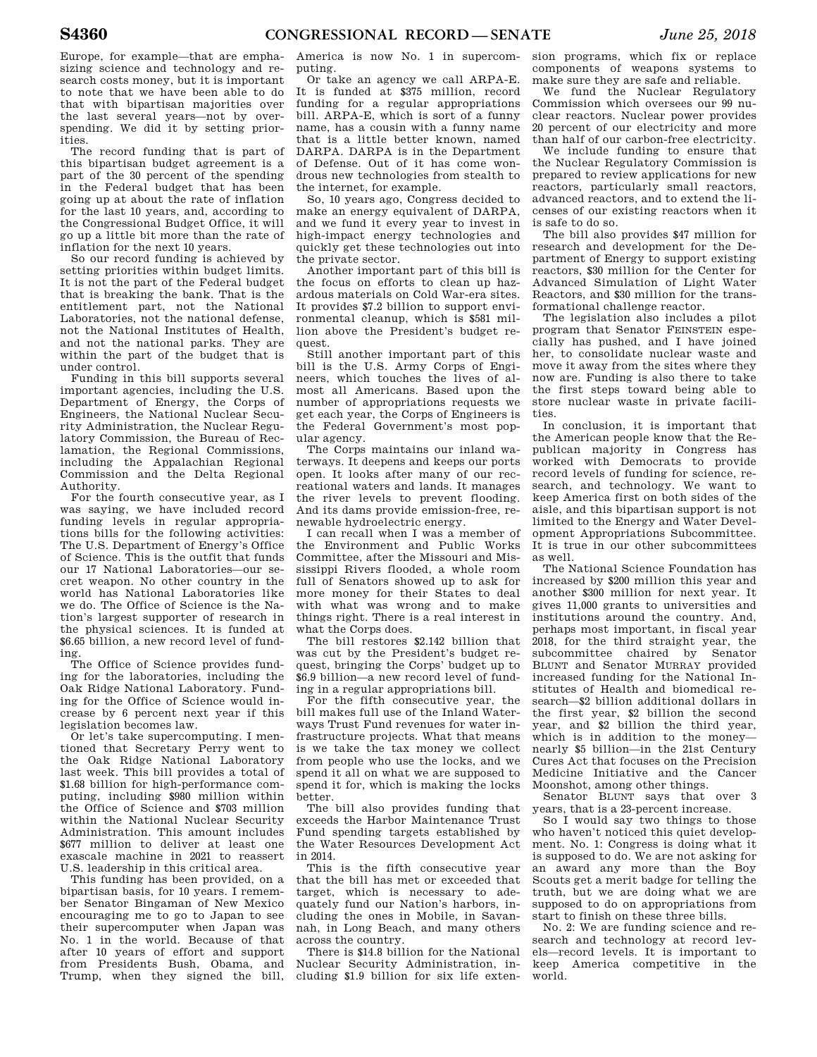Europe, for example—that are emphasizing science and technology and research costs money, but it is important to note that we have been able to do that with bipartisan majorities over the last several years—not by overspending. We did it by setting priorities.

The record funding that is part of this bipartisan budget agreement is a part of the 30 percent of the spending in the Federal budget that has been going up at about the rate of inflation for the last 10 years, and, according to the Congressional Budget Office, it will go up a little bit more than the rate of inflation for the next 10 years.

So our record funding is achieved by setting priorities within budget limits. It is not the part of the Federal budget that is breaking the bank. That is the entitlement part, not the National Laboratories, not the national defense, not the National Institutes of Health, and not the national parks. They are within the part of the budget that is under control.

Funding in this bill supports several important agencies, including the U.S. Department of Energy, the Corps of Engineers, the National Nuclear Security Administration, the Nuclear Regulatory Commission, the Bureau of Reclamation, the Regional Commissions, including the Appalachian Regional Commission and the Delta Regional Authority.

For the fourth consecutive year, as I was saying, we have included record funding levels in regular appropriations bills for the following activities: The U.S. Department of Energy's Office of Science. This is the outfit that funds our 17 National Laboratories—our secret weapon. No other country in the world has National Laboratories like we do. The Office of Science is the Nation's largest supporter of research in the physical sciences. It is funded at \$6.65 billion, a new record level of funding.

The Office of Science provides funding for the laboratories, including the Oak Ridge National Laboratory. Funding for the Office of Science would increase by 6 percent next year if this legislation becomes law.

Or let's take supercomputing. I mentioned that Secretary Perry went to the Oak Ridge National Laboratory last week. This bill provides a total of \$1.68 billion for high-performance computing, including \$980 million within the Office of Science and \$703 million within the National Nuclear Security Administration. This amount includes \$677 million to deliver at least one exascale machine in 2021 to reassert U.S. leadership in this critical area.

This funding has been provided, on a bipartisan basis, for 10 years. I remember Senator Bingaman of New Mexico encouraging me to go to Japan to see their supercomputer when Japan was No. 1 in the world. Because of that after 10 years of effort and support from Presidents Bush, Obama, and Trump, when they signed the bill,

America is now No. 1 in supercomputing.

Or take an agency we call ARPA-E. It is funded at \$375 million, record funding for a regular appropriations bill. ARPA-E, which is sort of a funny name, has a cousin with a funny name that is a little better known, named DARPA. DARPA is in the Department of Defense. Out of it has come wondrous new technologies from stealth to the internet, for example.

So, 10 years ago, Congress decided to make an energy equivalent of DARPA, and we fund it every year to invest in high-impact energy technologies and quickly get these technologies out into the private sector.

Another important part of this bill is the focus on efforts to clean up hazardous materials on Cold War-era sites. It provides \$7.2 billion to support environmental cleanup, which is \$581 million above the President's budget request.

Still another important part of this bill is the U.S. Army Corps of Engineers, which touches the lives of almost all Americans. Based upon the number of appropriations requests we get each year, the Corps of Engineers is the Federal Government's most popular agency.

The Corps maintains our inland waterways. It deepens and keeps our ports open. It looks after many of our recreational waters and lands. It manages the river levels to prevent flooding. And its dams provide emission-free, renewable hydroelectric energy.

I can recall when I was a member of the Environment and Public Works Committee, after the Missouri and Mississippi Rivers flooded, a whole room full of Senators showed up to ask for more money for their States to deal with what was wrong and to make things right. There is a real interest in what the Corps does.

The bill restores \$2.142 billion that was cut by the President's budget request, bringing the Corps' budget up to \$6.9 billion—a new record level of funding in a regular appropriations bill.

For the fifth consecutive year, the bill makes full use of the Inland Waterways Trust Fund revenues for water infrastructure projects. What that means is we take the tax money we collect from people who use the locks, and we spend it all on what we are supposed to spend it for, which is making the locks better.

The bill also provides funding that exceeds the Harbor Maintenance Trust Fund spending targets established by the Water Resources Development Act in 2014.

This is the fifth consecutive year that the bill has met or exceeded that target, which is necessary to adequately fund our Nation's harbors, including the ones in Mobile, in Savannah, in Long Beach, and many others across the country.

There is \$14.8 billion for the National Nuclear Security Administration, including \$1.9 billion for six life exten-

sion programs, which fix or replace components of weapons systems to make sure they are safe and reliable.

We fund the Nuclear Regulatory Commission which oversees our 99 nuclear reactors. Nuclear power provides 20 percent of our electricity and more than half of our carbon-free electricity.

We include funding to ensure that the Nuclear Regulatory Commission is prepared to review applications for new reactors, particularly small reactors, advanced reactors, and to extend the licenses of our existing reactors when it is safe to do so.

The bill also provides \$47 million for research and development for the Department of Energy to support existing reactors, \$30 million for the Center for Advanced Simulation of Light Water Reactors, and \$30 million for the transformational challenge reactor.

The legislation also includes a pilot program that Senator FEINSTEIN especially has pushed, and I have joined her, to consolidate nuclear waste and move it away from the sites where they now are. Funding is also there to take the first steps toward being able to store nuclear waste in private facilities.

In conclusion, it is important that the American people know that the Republican majority in Congress has worked with Democrats to provide record levels of funding for science, research, and technology. We want to keep America first on both sides of the aisle, and this bipartisan support is not limited to the Energy and Water Development Appropriations Subcommittee. It is true in our other subcommittees as well.

The National Science Foundation has increased by \$200 million this year and another \$300 million for next year. It gives 11,000 grants to universities and institutions around the country. And, perhaps most important, in fiscal year 2018, for the third straight year, the subcommittee chaired by Senator BLUNT and Senator MURRAY provided increased funding for the National Institutes of Health and biomedical research—\$2 billion additional dollars in the first year, \$2 billion the second year, and \$2 billion the third year, which is in addition to the money nearly \$5 billion—in the 21st Century Cures Act that focuses on the Precision Medicine Initiative and the Cancer Moonshot, among other things.

Senator BLUNT says that over 3 years, that is a 23-percent increase.

So I would say two things to those who haven't noticed this quiet development. No. 1: Congress is doing what it is supposed to do. We are not asking for an award any more than the Boy Scouts get a merit badge for telling the truth, but we are doing what we are supposed to do on appropriations from start to finish on these three bills.

No. 2: We are funding science and research and technology at record levels—record levels. It is important to keep America competitive in the world.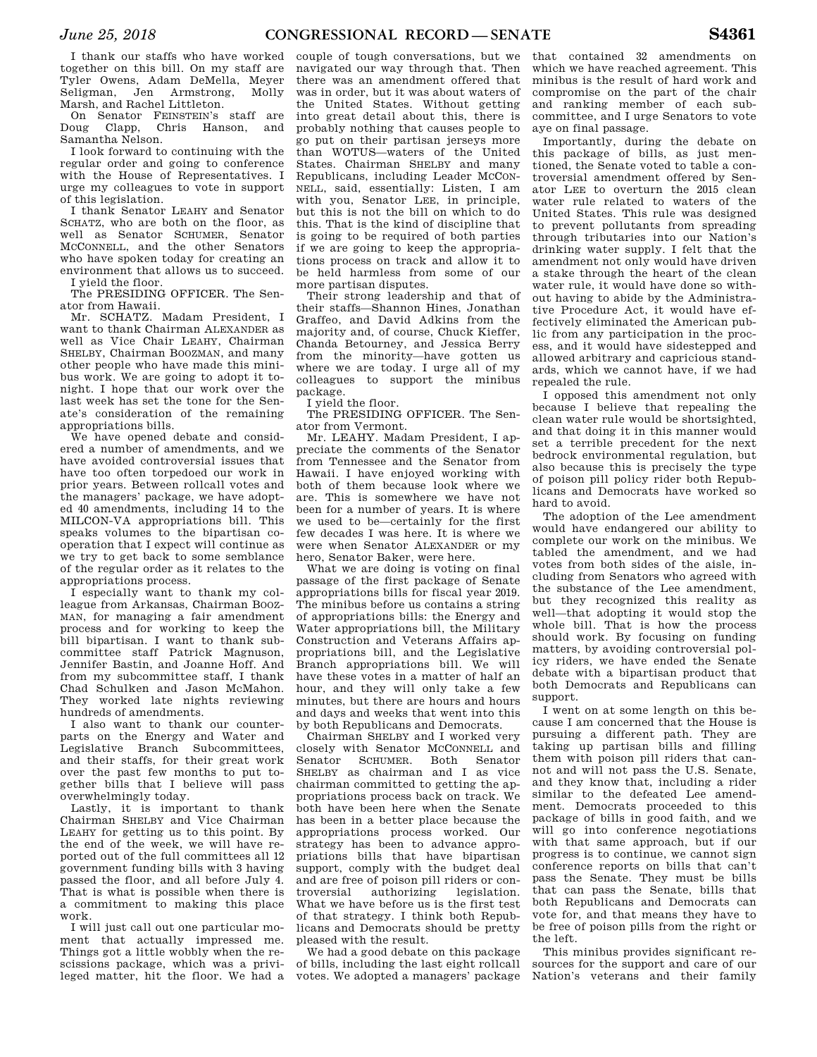I thank our staffs who have worked together on this bill. On my staff are Tyler Owens, Adam DeMella, Meyer Seligman, Jen Armstrong, Molly Marsh, and Rachel Littleton.

On Senator FEINSTEIN's staff are Doug Clapp, Chris Hanson, and Samantha Nelson.

I look forward to continuing with the regular order and going to conference with the House of Representatives. I urge my colleagues to vote in support of this legislation.

I thank Senator LEAHY and Senator SCHATZ, who are both on the floor, as well as Senator SCHUMER, Senator MCCONNELL, and the other Senators who have spoken today for creating an environment that allows us to succeed. I yield the floor.

The PRESIDING OFFICER. The Senator from Hawaii.

Mr. SCHATZ. Madam President, I want to thank Chairman ALEXANDER as well as Vice Chair LEAHY, Chairman SHELBY, Chairman BOOZMAN, and many other people who have made this minibus work. We are going to adopt it tonight. I hope that our work over the last week has set the tone for the Senate's consideration of the remaining appropriations bills.

We have opened debate and considered a number of amendments, and we have avoided controversial issues that have too often torpedoed our work in prior years. Between rollcall votes and the managers' package, we have adopted 40 amendments, including 14 to the MILCON-VA appropriations bill. This speaks volumes to the bipartisan cooperation that I expect will continue as we try to get back to some semblance of the regular order as it relates to the appropriations process.

I especially want to thank my colleague from Arkansas, Chairman BOOZ-MAN, for managing a fair amendment process and for working to keep the bill bipartisan. I want to thank subcommittee staff Patrick Magnuson, Jennifer Bastin, and Joanne Hoff. And from my subcommittee staff, I thank Chad Schulken and Jason McMahon. They worked late nights reviewing hundreds of amendments.

I also want to thank our counterparts on the Energy and Water and Legislative Branch Subcommittees, and their staffs, for their great work over the past few months to put together bills that I believe will pass overwhelmingly today.

Lastly, it is important to thank Chairman SHELBY and Vice Chairman LEAHY for getting us to this point. By the end of the week, we will have reported out of the full committees all 12 government funding bills with 3 having passed the floor, and all before July 4. That is what is possible when there is a commitment to making this place work.

I will just call out one particular moment that actually impressed me. Things got a little wobbly when the rescissions package, which was a privileged matter, hit the floor. We had a

couple of tough conversations, but we navigated our way through that. Then there was an amendment offered that was in order, but it was about waters of the United States. Without getting into great detail about this, there is probably nothing that causes people to go put on their partisan jerseys more than WOTUS—waters of the United States. Chairman SHELBY and many Republicans, including Leader MCCON-NELL, said, essentially: Listen, I am with you, Senator LEE, in principle, but this is not the bill on which to do this. That is the kind of discipline that is going to be required of both parties if we are going to keep the appropriations process on track and allow it to be held harmless from some of our more partisan disputes.

Their strong leadership and that of their staffs—Shannon Hines, Jonathan Graffeo, and David Adkins from the majority and, of course, Chuck Kieffer, Chanda Betourney, and Jessica Berry from the minority—have gotten us where we are today. I urge all of my colleagues to support the minibus package.

I yield the floor.

The PRESIDING OFFICER. The Senator from Vermont.

Mr. LEAHY. Madam President, I appreciate the comments of the Senator from Tennessee and the Senator from Hawaii. I have enjoyed working with both of them because look where we are. This is somewhere we have not been for a number of years. It is where we used to be—certainly for the first few decades I was here. It is where we were when Senator ALEXANDER or my hero, Senator Baker, were here.

What we are doing is voting on final passage of the first package of Senate appropriations bills for fiscal year 2019. The minibus before us contains a string of appropriations bills: the Energy and Water appropriations bill, the Military Construction and Veterans Affairs appropriations bill, and the Legislative Branch appropriations bill. We will have these votes in a matter of half an hour, and they will only take a few minutes, but there are hours and hours and days and weeks that went into this by both Republicans and Democrats.

Chairman SHELBY and I worked very closely with Senator MCCONNELL and Senator SCHUMER. Both Senator SHELBY as chairman and I as vice chairman committed to getting the appropriations process back on track. We both have been here when the Senate has been in a better place because the appropriations process worked. Our strategy has been to advance appropriations bills that have bipartisan support, comply with the budget deal and are free of poison pill riders or controversial authorizing legislation. What we have before us is the first test of that strategy. I think both Republicans and Democrats should be pretty pleased with the result.

We had a good debate on this package of bills, including the last eight rollcall votes. We adopted a managers' package

that contained 32 amendments on which we have reached agreement. This minibus is the result of hard work and compromise on the part of the chair and ranking member of each subcommittee, and I urge Senators to vote aye on final passage.

Importantly, during the debate on this package of bills, as just mentioned, the Senate voted to table a controversial amendment offered by Senator LEE to overturn the 2015 clean water rule related to waters of the United States. This rule was designed to prevent pollutants from spreading through tributaries into our Nation's drinking water supply. I felt that the amendment not only would have driven a stake through the heart of the clean water rule, it would have done so without having to abide by the Administrative Procedure Act, it would have effectively eliminated the American public from any participation in the process, and it would have sidestepped and allowed arbitrary and capricious standards, which we cannot have, if we had repealed the rule.

I opposed this amendment not only because I believe that repealing the clean water rule would be shortsighted, and that doing it in this manner would set a terrible precedent for the next bedrock environmental regulation, but also because this is precisely the type of poison pill policy rider both Republicans and Democrats have worked so hard to avoid.

The adoption of the Lee amendment would have endangered our ability to complete our work on the minibus. We tabled the amendment, and we had votes from both sides of the aisle, including from Senators who agreed with the substance of the Lee amendment, but they recognized this reality as well—that adopting it would stop the whole bill. That is how the process should work. By focusing on funding matters, by avoiding controversial policy riders, we have ended the Senate debate with a bipartisan product that both Democrats and Republicans can support.

I went on at some length on this because I am concerned that the House is pursuing a different path. They are taking up partisan bills and filling them with poison pill riders that cannot and will not pass the U.S. Senate, and they know that, including a rider similar to the defeated Lee amendment. Democrats proceeded to this package of bills in good faith, and we will go into conference negotiations with that same approach, but if our progress is to continue, we cannot sign conference reports on bills that can't pass the Senate. They must be bills that can pass the Senate, bills that both Republicans and Democrats can vote for, and that means they have to be free of poison pills from the right or the left.

This minibus provides significant resources for the support and care of our Nation's veterans and their family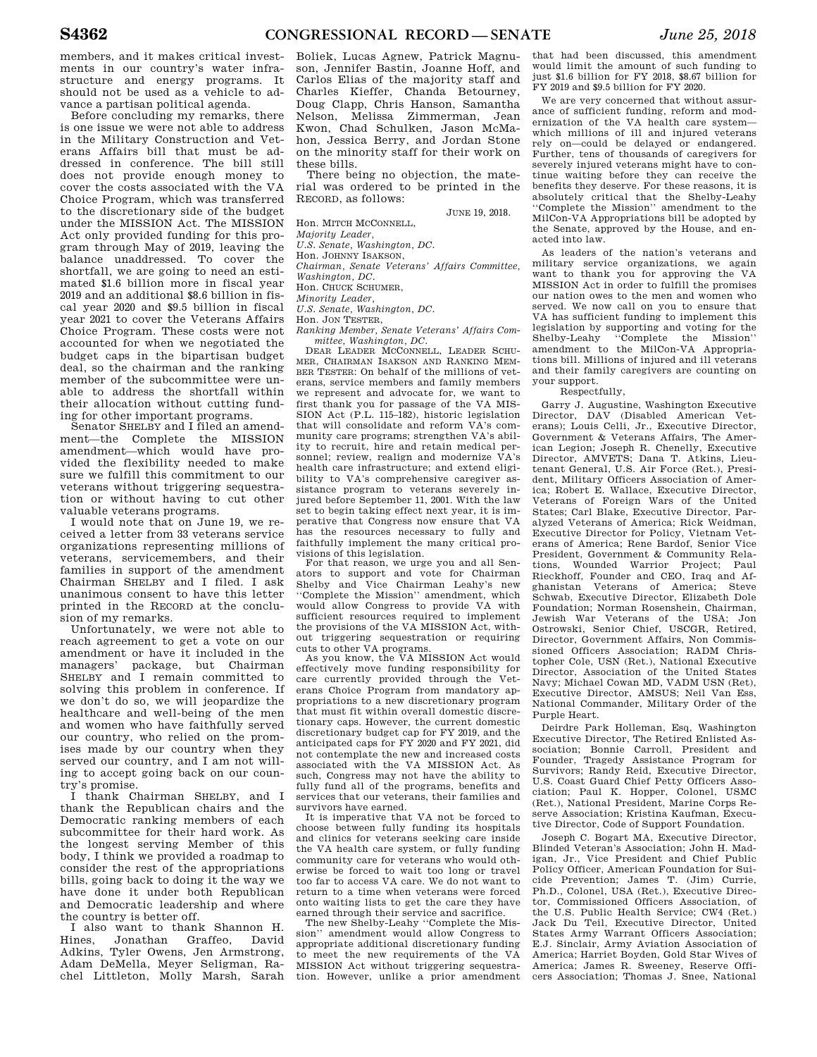members, and it makes critical investments in our country's water infrastructure and energy programs. It should not be used as a vehicle to advance a partisan political agenda.

Before concluding my remarks, there is one issue we were not able to address in the Military Construction and Veterans Affairs bill that must be addressed in conference. The bill still does not provide enough money to cover the costs associated with the VA Choice Program, which was transferred to the discretionary side of the budget under the MISSION Act. The MISSION Act only provided funding for this program through May of 2019, leaving the balance unaddressed. To cover the shortfall, we are going to need an estimated \$1.6 billion more in fiscal year 2019 and an additional \$8.6 billion in fiscal year 2020 and \$9.5 billion in fiscal year 2021 to cover the Veterans Affairs Choice Program. These costs were not accounted for when we negotiated the budget caps in the bipartisan budget deal, so the chairman and the ranking member of the subcommittee were unable to address the shortfall within their allocation without cutting funding for other important programs.

Senator SHELBY and I filed an amendment—the Complete the MISSION amendment—which would have provided the flexibility needed to make sure we fulfill this commitment to our veterans without triggering sequestration or without having to cut other valuable veterans programs.

I would note that on June 19, we received a letter from 33 veterans service organizations representing millions of veterans, servicemembers, and their families in support of the amendment Chairman SHELBY and I filed. I ask unanimous consent to have this letter printed in the RECORD at the conclusion of my remarks.

Unfortunately, we were not able to reach agreement to get a vote on our amendment or have it included in the managers' package, but Chairman SHELBY and I remain committed to solving this problem in conference. If we don't do so, we will jeopardize the healthcare and well-being of the men and women who have faithfully served our country, who relied on the promises made by our country when they served our country, and I am not willing to accept going back on our country's promise.

I thank Chairman SHELBY, and I thank the Republican chairs and the Democratic ranking members of each subcommittee for their hard work. As the longest serving Member of this body, I think we provided a roadmap to consider the rest of the appropriations bills, going back to doing it the way we have done it under both Republican and Democratic leadership and where the country is better off.

I also want to thank Shannon H. Hines, Jonathan Graffeo, David Adkins, Tyler Owens, Jen Armstrong, Adam DeMella, Meyer Seligman, Rachel Littleton, Molly Marsh, Sarah

Boliek, Lucas Agnew, Patrick Magnuson, Jennifer Bastin, Joanne Hoff, and Carlos Elias of the majority staff and Charles Kieffer, Chanda Betourney, Doug Clapp, Chris Hanson, Samantha Nelson, Melissa Zimmerman, Jean Kwon, Chad Schulken, Jason McMahon, Jessica Berry, and Jordan Stone on the minority staff for their work on these bills.

There being no objection, the material was ordered to be printed in the RECORD, as follows:

JUNE 19, 2018.

Hon. MITCH MCCONNELL, *Majority Leader,* 

*U.S. Senate, Washington, DC.* 

Hon. JOHNNY ISAKSON,

*Chairman, Senate Veterans' Affairs Committee,* 

*Washington, DC.* 

Hon. CHUCK SCHUMER,

*Minority Leader,* 

*U.S. Senate, Washington, DC.* 

Hon. JON TESTER,

*Ranking Member, Senate Veterans' Affairs Committee, Washington, DC.* 

DEAR LEADER MCCONNELL, LEADER SCHU-MER, CHAIRMAN ISAKSON AND RANKING MEM-BER TESTER: On behalf of the millions of veterans, service members and family members we represent and advocate for, we want to first thank you for passage of the VA MIS-SION Act (P.L. 115–182), historic legislation that will consolidate and reform VA's community care programs; strengthen VA's ability to recruit, hire and retain medical personnel; review, realign and modernize VA's health care infrastructure; and extend eligibility to VA's comprehensive caregiver assistance program to veterans severely injured before September 11, 2001. With the law set to begin taking effect next year, it is imperative that Congress now ensure that VA has the resources necessary to fully and faithfully implement the many critical provisions of this legislation.

For that reason, we urge you and all Senators to support and vote for Chairman Vice Chairman Leahy's new ''Complete the Mission'' amendment, which would allow Congress to provide VA with sufficient resources required to implement the provisions of the VA MISSION Act, without triggering sequestration or requiring cuts to other VA programs.

As you know, the VA MISSION Act would effectively move funding responsibility for care currently provided through the Veterans Choice Program from mandatory appropriations to a new discretionary program that must fit within overall domestic discretionary caps. However, the current domestic discretionary budget cap for FY 2019, and the anticipated caps for FY 2020 and FY 2021, did not contemplate the new and increased costs associated with the VA MISSION Act. As such, Congress may not have the ability to fully fund all of the programs, benefits and services that our veterans, their families and survivors have earned.

It is imperative that VA not be forced to choose between fully funding its hospitals and clinics for veterans seeking care inside the VA health care system, or fully funding community care for veterans who would otherwise be forced to wait too long or travel too far to access VA care. We do not want to return to a time when veterans were forced onto waiting lists to get the care they have earned through their service and sacrifice.

The new Shelby-Leahy ''Complete the Mission'' amendment would allow Congress to appropriate additional discretionary funding to meet the new requirements of the VA MISSION Act without triggering sequestration. However, unlike a prior amendment

that had been discussed, this amendment would limit the amount of such funding to just \$1.6 billion for FY 2018, \$8.67 billion for FY 2019 and \$9.5 billion for FY 2020.

We are very concerned that without assurance of sufficient funding, reform and modernization of the VA health care system which millions of ill and injured veterans rely on—could be delayed or endangered. Further, tens of thousands of caregivers for severely injured veterans might have to continue waiting before they can receive the benefits they deserve. For these reasons, it is absolutely critical that the Shelby-Leahy ''Complete the Mission'' amendment to the MilCon-VA Appropriations bill be adopted by the Senate, approved by the House, and enacted into law.

As leaders of the nation's veterans and military service organizations, we again want to thank you for approving the VA MISSION Act in order to fulfill the promises our nation owes to the men and women who served. We now call on you to ensure that VA has sufficient funding to implement this legislation by supporting and voting for the Shelby-Leahy ''Complete the Mission'' amendment to the MilCon-VA Appropriations bill. Millions of injured and ill veterans and their family caregivers are counting on your support.

Respectfully,

Garry J. Augustine, Washington Executive Director, DAV (Disabled American Veterans); Louis Celli, Jr., Executive Director, Government & Veterans Affairs, The American Legion; Joseph R. Chenelly, Executive Director, AMVETS; Dana T. Atkins, Lieutenant General, U.S. Air Force (Ret.), President, Military Officers Association of America; Robert E. Wallace, Executive Director, Veterans of Foreign Wars of the United States; Carl Blake, Executive Director, Paralyzed Veterans of America; Rick Weidman, Executive Director for Policy, Vietnam Veterans of America; Rene Bardof, Senior Vice President, Government & Community Relations, Wounded Warrior Project; Paul Rieckhoff, Founder and CEO, Iraq and Afghanistan Veterans of America; Steve Schwab, Executive Director, Elizabeth Dole Foundation; Norman Rosenshein, Chairman, Jewish War Veterans of the USA; Jon Ostrowski, Senior Chief, USCGR, Retired, Director, Government Affairs, Non Commissioned Officers Association; RADM Christopher Cole, USN (Ret.), National Executive Director, Association of the United States Navy; Michael Cowan MD, VADM USN (Ret), Executive Director, AMSUS; Neil Van Ess, National Commander, Military Order of the Purple Heart.

Deirdre Park Holleman, Esq, Washington Executive Director, The Retired Enlisted Association; Bonnie Carroll, President and Founder, Tragedy Assistance Program for Survivors; Randy Reid, Executive Director, U.S. Coast Guard Chief Petty Officers Association; Paul K. Hopper, Colonel, USMC (Ret.), National President, Marine Corps Reserve Association; Kristina Kaufman, Executive Director, Code of Support Foundation.

Joseph C. Bogart MA, Executive Director, Blinded Veteran's Association; John H. Madigan, Jr., Vice President and Chief Public Policy Officer, American Foundation for Suicide Prevention; James T. (Jim) Currie, Ph.D., Colonel, USA (Ret.), Executive Director, Commissioned Officers Association, of the U.S. Public Health Service; CW4 (Ret.) Jack Du Teil, Executive Director, United States Army Warrant Officers Association; E.J. Sinclair, Army Aviation Association of America; Harriet Boyden, Gold Star Wives of America; James R. Sweeney, Reserve Officers Association; Thomas J. Snee, National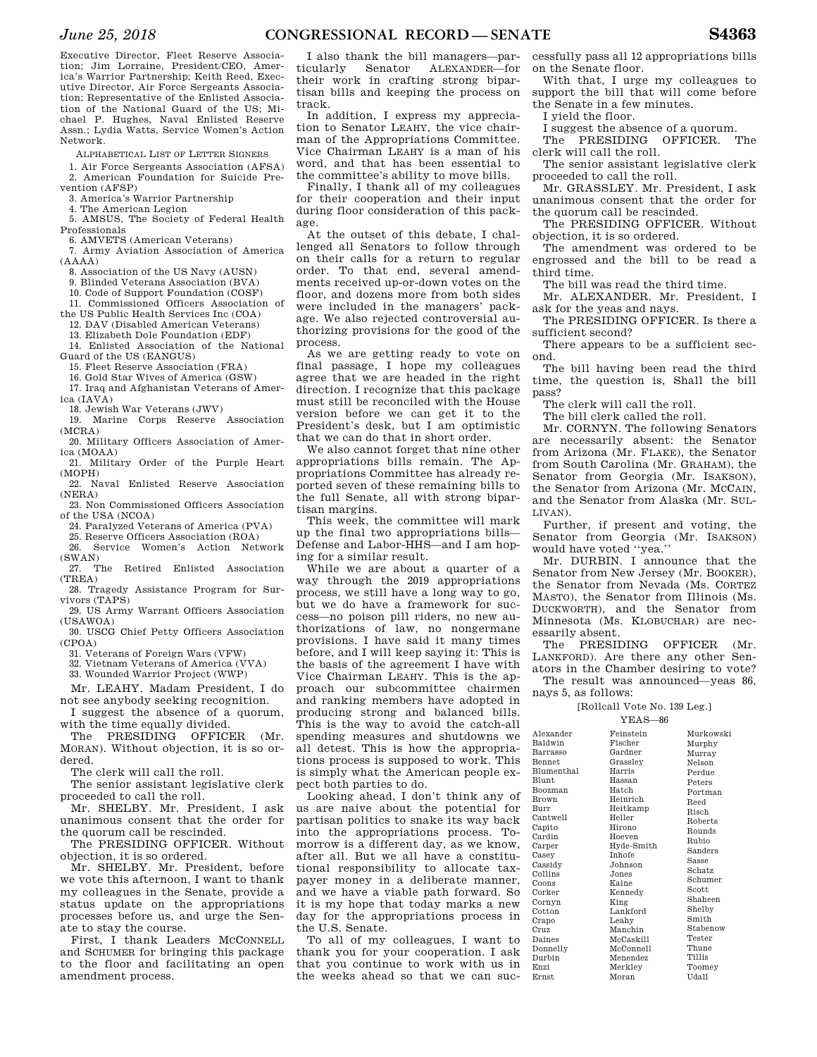Executive Director, Fleet Reserve Association; Jim Lorraine, President/CEO, America's Warrior Partnership; Keith Reed, Executive Director, Air Force Sergeants Association; Representative of the Enlisted Association of the National Guard of the US; Michael P. Hughes, Naval Enlisted Reserve Assn.; Lydia Watts, Service Women's Action Network.

ALPHABETICAL LIST OF LETTER SIGNERS

1. Air Force Sergeants Association (AFSA) 2. American Foundation for Suicide Prevention (AFSP)

3. America's Warrior Partnership

4. The American Legion

5. AMSUS, The Society of Federal Health

Professionals

6. AMVETS (American Veterans)

7. Army Aviation Association of America (AAAA)

8. Association of the US Navy (AUSN)

- 9. Blinded Veterans Association (BVA)
- 10. Code of Support Foundation (COSF)

11. Commissioned Officers Association of the US Public Health Services Inc (COA) 12. DAV (Disabled American Veterans)

13. Elizabeth Dole Foundation (EDF) 14. Enlisted Association of the National

Guard of the US (EANGUS)

15. Fleet Reserve Association (FRA)

16. Gold Star Wives of America (GSW)

17. Iraq and Afghanistan Veterans of America (IAVA)

18. Jewish War Veterans (JWV)

19. Marine Corps Reserve Association (MCRA)

20. Military Officers Association of America (MOAA)

21. Military Order of the Purple Heart (MOPH)

22. Naval Enlisted Reserve Association (NERA)

23. Non Commissioned Officers Association of the USA (NCOA)

24. Paralyzed Veterans of America (PVA)

25. Reserve Officers Association (ROA)

26. Service Women's Action Network (SWAN)

27. The Retired Enlisted Association  $(TRRA)$ 

28. Tragedy Assistance Program for Survivors (TAPS)

29. US Army Warrant Officers Association  $(IISAWOA)$ 

30. USCG Chief Petty Officers Association (CPOA)

31. Veterans of Foreign Wars (VFW)

32. Vietnam Veterans of America (VVA)

33. Wounded Warrior Project (WWP)

Mr. LEAHY. Madam President, I do not see anybody seeking recognition.

I suggest the absence of a quorum, with the time equally divided.

The PRESIDING OFFICER (Mr. MORAN). Without objection, it is so ordered.

The clerk will call the roll.

The senior assistant legislative clerk proceeded to call the roll.

Mr. SHELBY. Mr. President, I ask unanimous consent that the order for the quorum call be rescinded.

The PRESIDING OFFICER. Without objection, it is so ordered.

Mr. SHELBY. Mr. President, before we vote this afternoon, I want to thank my colleagues in the Senate, provide a status update on the appropriations processes before us, and urge the Senate to stay the course.

First, I thank Leaders MCCONNELL and SCHUMER for bringing this package to the floor and facilitating an open amendment process.

I also thank the bill managers—particularly Senator ALEXANDER—for their work in crafting strong bipartisan bills and keeping the process on track.

In addition, I express my appreciation to Senator LEAHY, the vice chairman of the Appropriations Committee. Vice Chairman LEAHY is a man of his word, and that has been essential to the committee's ability to move bills.

Finally, I thank all of my colleagues for their cooperation and their input during floor consideration of this package.

At the outset of this debate, I challenged all Senators to follow through on their calls for a return to regular order. To that end, several amendments received up-or-down votes on the floor, and dozens more from both sides were included in the managers' package. We also rejected controversial authorizing provisions for the good of the process.

As we are getting ready to vote on final passage, I hope my colleagues agree that we are headed in the right direction. I recognize that this package must still be reconciled with the House version before we can get it to the President's desk, but I am optimistic that we can do that in short order.

We also cannot forget that nine other appropriations bills remain. The Appropriations Committee has already reported seven of these remaining bills to the full Senate, all with strong bipartisan margins.

This week, the committee will mark up the final two appropriations bills— Defense and Labor-HHS—and I am hoping for a similar result.

While we are about a quarter of a way through the 2019 appropriations process, we still have a long way to go, but we do have a framework for success—no poison pill riders, no new authorizations of law, no nongermane provisions. I have said it many times before, and I will keep saying it: This is the basis of the agreement I have with Vice Chairman LEAHY. This is the approach our subcommittee chairmen and ranking members have adopted in producing strong and balanced bills. This is the way to avoid the catch-all spending measures and shutdowns we all detest. This is how the appropriations process is supposed to work. This is simply what the American people expect both parties to do.

Looking ahead, I don't think any of us are naive about the potential for partisan politics to snake its way back into the appropriations process. Tomorrow is a different day, as we know, after all. But we all have a constitutional responsibility to allocate taxpayer money in a deliberate manner, and we have a viable path forward. So it is my hope that today marks a new day for the appropriations process in the U.S. Senate.

To all of my colleagues, I want to thank you for your cooperation. I ask that you continue to work with us in the weeks ahead so that we can suc-

cessfully pass all 12 appropriations bills on the Senate floor.

With that, I urge my colleagues to support the bill that will come before the Senate in a few minutes.

I yield the floor.

I suggest the absence of a quorum.

The PRESIDING OFFICER. The clerk will call the roll.

The senior assistant legislative clerk proceeded to call the roll.

Mr. GRASSLEY. Mr. President, I ask unanimous consent that the order for the quorum call be rescinded.

The PRESIDING OFFICER. Without objection, it is so ordered.

The amendment was ordered to be engrossed and the bill to be read a third time.

The bill was read the third time.

Mr. ALEXANDER. Mr. President, I ask for the yeas and nays.

The PRESIDING OFFICER. Is there a sufficient second?

There appears to be a sufficient second.

The bill having been read the third time, the question is, Shall the bill pass?

The clerk will call the roll.

The bill clerk called the roll.

Mr. CORNYN. The following Senators are necessarily absent: the Senator from Arizona (Mr. FLAKE), the Senator from South Carolina (Mr. GRAHAM), the Senator from Georgia (Mr. ISAKSON), the Senator from Arizona (Mr. MCCAIN, and the Senator from Alaska (Mr. SUL-LIVAN).

Further, if present and voting, the Senator from Georgia (Mr. ISAKSON) would have voted "yea."

Mr. DURBIN. I announce that the Senator from New Jersey (Mr. BOOKER), the Senator from Nevada (Ms. CORTEZ MASTO), the Senator from Illinois (Ms. DUCKWORTH), and the Senator from Minnesota (Ms. KLOBUCHAR) are necessarily absent.

The PRESIDING OFFICER (Mr. LANKFORD). Are there any other Senators in the Chamber desiring to vote?

The result was announced—yeas 86, nays 5, as follows:

[Rollcall Vote No. 139 Leg.]

YEAS—86

| Alexander         | Feinstein     | Murkowski |
|-------------------|---------------|-----------|
| Baldwin           | Fischer       | Murphy    |
| Barrasso          | Gardner       | Murray    |
| <b>Bennet</b>     | Grassley      | Nelson    |
| <b>Blumenthal</b> | Harris        | Perdue    |
| Blunt             | Hassan        | Peters    |
| <b>Boozman</b>    | Hatch         | Portman   |
| <b>Brown</b>      | Heinrich      | Reed      |
| Burr              | Heitkamp      | Risch     |
| Cantwell          | Heller        | Roberts   |
| Capito            | Hirono        | Rounds    |
| Cardin            | Hoeven        | Rubio     |
| Carper            | Hyde-Smith    | Sanders   |
| Casey             | <b>Inhofe</b> | Sasse     |
| Cassidy           | Johnson       | Schatz    |
| Collins           | Jones         |           |
| Coons             | Kaine         | Schumer   |
| Corker            | Kennedy       | Scott     |
| Cornyn            | King          | Shaheen   |
| Cotton            | Lankford      | Shelby    |
| Crapo             | Leahy         | Smith     |
| Cruz              | Manchin       | Stabenow  |
| Daines            | McCaskill     | Tester    |
| Donnelly          | McConnell     | Thune     |
| Durbin            | Menendez      | Tillis    |
| Enzi              | Merkley       | Toomey    |
| $_{\rm Ernst}$    | Moran         | Udall     |

| ınet    | Grassley   | Nelson  |
|---------|------------|---------|
| menthal | Harris     | Perdue  |
| nt      | Hassan     | Peters  |
| zman    | Hatch      | Portman |
| wn      | Heinrich   | Reed    |
| 'n      | Heitkamp   | Risch   |
| ıtwell  | Heller     | Roberts |
| ito     | Hirono     | Rounds  |
| din     | Hoeven     | Rubio   |
| per     | Hyde-Smith | Sanders |
| ey      | Inhofe     | Sasse   |
| sidy    | Johnson    | Schatz  |
| lins    | Jones      |         |
| ns      | Kaine      | Schumer |
| ker     | Kennedy    | Scott   |
| nyn     | King       | Shaheen |
| ton     | Lankford   | Shelby  |
| po      | Leahy      | Smith   |
| Z       | Manchin    | Stabeno |
| nes     | McCaskill  | Tester  |
| nnelly  | McConnell  | Thune   |
| rbin:   | Menendez   | Tillis  |
| si.     | Merkley    | Toomey  |
| ıst     | Moran      | Udall   |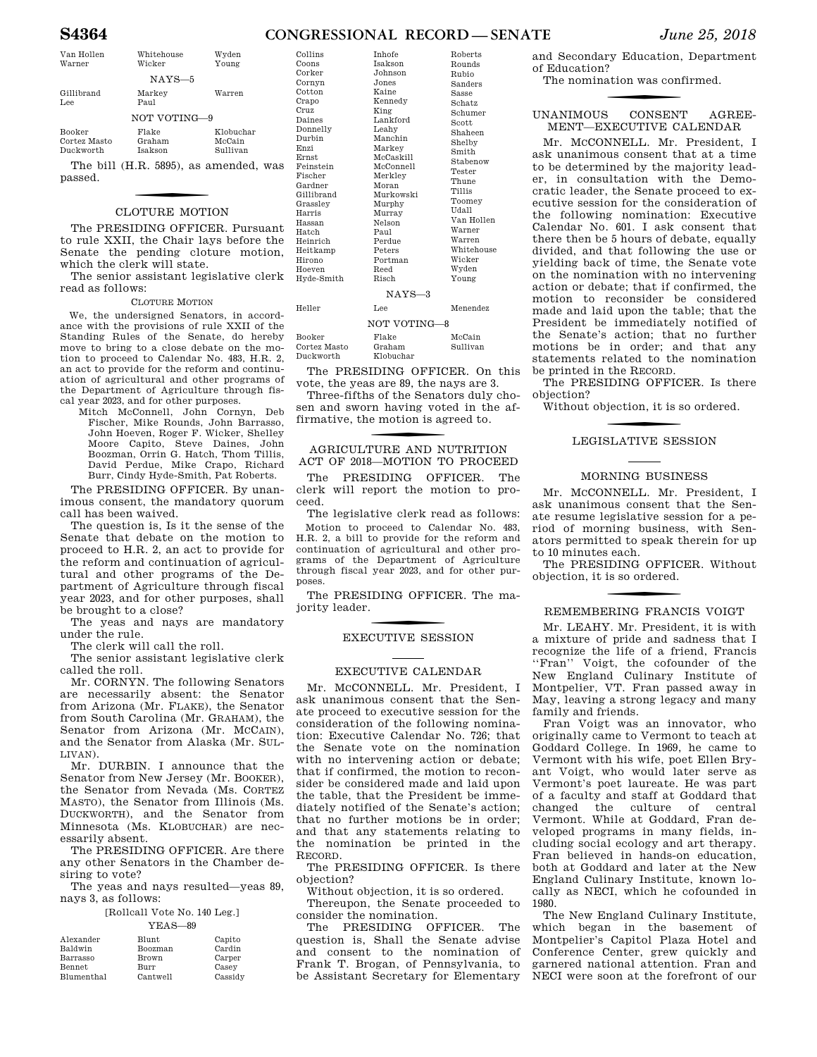# **S4364 CONGRESSIONAL RECORD — SENATE** *June 25, 2018*

| Van Hollen<br>Warner                       | Whitehouse<br>Wicker              | Wyden<br>Young                        |  |
|--------------------------------------------|-----------------------------------|---------------------------------------|--|
| $NAYS-5$                                   |                                   |                                       |  |
| Gillibrand<br>Lee                          | Markey<br>Paul                    | Warren                                |  |
| NOT VOTING-9                               |                                   |                                       |  |
| <b>Booker</b><br>Cortez Masto<br>Duckworth | Flake<br>Graham<br><b>Isakson</b> | Klobuchar<br>McCain<br>Sullivan       |  |
|                                            |                                   | The bill (H.R. 5895), as amended, was |  |

passed.

# CLOTURE MOTION

The PRESIDING OFFICER. Pursuant to rule XXII, the Chair lays before the Senate the pending cloture motion, which the clerk will state.

The senior assistant legislative clerk read as follows:

### CLOTURE MOTION

We, the undersigned Senators, in accordance with the provisions of rule XXII of the Standing Rules of the Senate, do hereby move to bring to a close debate on the motion to proceed to Calendar No. 483, H.R. 2, an act to provide for the reform and continuation of agricultural and other programs of the Department of Agriculture through fiscal year 2023, and for other purposes.

Mitch McConnell, John Cornyn, Deb Fischer, Mike Rounds, John Barrasso, John Hoeven, Roger F. Wicker, Shelley Moore Capito, Steve Daines, John Boozman, Orrin G. Hatch, Thom Tillis, David Perdue, Mike Crapo, Richard Burr, Cindy Hyde-Smith, Pat Roberts.

The PRESIDING OFFICER. By unanimous consent, the mandatory quorum call has been waived.

The question is, Is it the sense of the Senate that debate on the motion to proceed to H.R. 2, an act to provide for the reform and continuation of agricultural and other programs of the Department of Agriculture through fiscal year 2023, and for other purposes, shall be brought to a close?

The yeas and nays are mandatory under the rule.

The clerk will call the roll.

The senior assistant legislative clerk called the roll.

Mr. CORNYN. The following Senators are necessarily absent: the Senator from Arizona (Mr. FLAKE), the Senator from South Carolina (Mr. GRAHAM), the Senator from Arizona (Mr. MCCAIN), and the Senator from Alaska (Mr. SUL-LIVAN).

Mr. DURBIN. I announce that the Senator from New Jersey (Mr. BOOKER), the Senator from Nevada (Ms. CORTEZ MASTO), the Senator from Illinois (Ms. DUCKWORTH), and the Senator from Minnesota (Ms. KLOBUCHAR) are necessarily absent.

The PRESIDING OFFICER. Are there any other Senators in the Chamber desiring to vote?

The yeas and nays resulted—yeas 89, nays 3, as follows:

> [Rollcall Vote No. 140 Leg.] YEAS—89

| Alexander     | <b>Blunt</b> | Capito  |
|---------------|--------------|---------|
| Baldwin       | Boozman      | Cardin  |
| Barrasso      | Brown        | Carper  |
| <b>Bennet</b> | Burr         | Casev   |
| Blumenthal    | Cantwell     | Cassidy |

| Collins         | <b>Inhofe</b> | Roberts       |
|-----------------|---------------|---------------|
| Coons           | Isakson       | Rounds        |
| $_{\rm Corker}$ | Johnson       | Rubio         |
| Cornyn          | Jones         | Sanders       |
| Cotton          | Kaine         | Sasse         |
| Crapo           | Kennedy       | Schatz        |
| Cruz            | King          | Schumer       |
| Daines          | Lankford      | Scott         |
| Donnelly        | Leahy         | Shaheen       |
| Durbin          | Manchin       | Shelby        |
| Enzi            | Markey        | Smith         |
| Ernst.          | McCaskill     | Stabenow      |
| Feinstein       | McConnell     | Tester        |
| Fischer         | Merkley       | Thune         |
| Gardner         | Moran         | <b>Tillis</b> |
| Gillibrand      | Murkowski     | Toomey        |
| Grassley        | Murphy        | Udall         |
| Harris          | Murray        | Van Hollen    |
| Hassan          | Nelson        |               |
| Hatch           | Paul          | Warner        |
| Heinrich        | Perdue        | Warren        |
| Heitkamp        | Peters        | Whitehouse    |
| Hirono          | Portman       | Wicker        |
| Hoeven          | Reed          | Wyden         |
| Hyde-Smith      | Risch         | Young         |
|                 | $NAYS-3$      |               |
| Heller          | Lee           | Menendez      |
|                 | NOT VOTING-8  |               |
|                 |               |               |

Booker Cortez Masto Duckworth Flake Graham Klobuchar McCain Sullivan

The PRESIDING OFFICER. On this vote, the yeas are 89, the nays are 3.

Three-fifths of the Senators duly chosen and sworn having voted in the affirmative, the motion is agreed to.

# f AGRICULTURE AND NUTRITION ACT OF 2018—MOTION TO PROCEED

The PRESIDING OFFICER. The clerk will report the motion to proceed.

The legislative clerk read as follows: Motion to proceed to Calendar No. 483, H.R. 2, a bill to provide for the reform and continuation of agricultural and other programs of the Department of Agriculture through fiscal year 2023, and for other purposes.

The PRESIDING OFFICER. The majority leader.

# f EXECUTIVE SESSION

### EXECUTIVE CALENDAR

Mr. MCCONNELL. Mr. President, I ask unanimous consent that the Senate proceed to executive session for the consideration of the following nomination: Executive Calendar No. 726; that the Senate vote on the nomination with no intervening action or debate; that if confirmed, the motion to reconsider be considered made and laid upon the table, that the President be immediately notified of the Senate's action; that no further motions be in order; and that any statements relating to the nomination be printed in the RECORD.

The PRESIDING OFFICER. Is there objection?

Without objection, it is so ordered.

Thereupon, the Senate proceeded to consider the nomination.

The PRESIDING OFFICER. The question is, Shall the Senate advise and consent to the nomination of Frank T. Brogan, of Pennsylvania, to be Assistant Secretary for Elementary

and Secondary Education, Department of Education?

The nomination was confirmed.

### UNANIMOUS CONSENT AGREE-MENT—EXECUTIVE CALENDAR

Mr. MCCONNELL. Mr. President, I ask unanimous consent that at a time to be determined by the majority leader, in consultation with the Democratic leader, the Senate proceed to executive session for the consideration of the following nomination: Executive Calendar No. 601. I ask consent that there then be 5 hours of debate, equally divided, and that following the use or yielding back of time, the Senate vote on the nomination with no intervening action or debate; that if confirmed, the motion to reconsider be considered made and laid upon the table; that the President be immediately notified of the Senate's action; that no further motions be in order; and that any statements related to the nomination be printed in the RECORD.

The PRESIDING OFFICER. Is there objection?

Without objection, it is so ordered.

# **LEGISLATIVE SESSION**

### MORNING BUSINESS

Mr. MCCONNELL. Mr. President, I ask unanimous consent that the Senate resume legislative session for a period of morning business, with Senators permitted to speak therein for up to 10 minutes each.

The PRESIDING OFFICER. Without objection, it is so ordered.

### REMEMBERING FRANCIS VOIGT

Mr. LEAHY. Mr. President, it is with a mixture of pride and sadness that I recognize the life of a friend, Francis ''Fran'' Voigt, the cofounder of the New England Culinary Institute of Montpelier, VT. Fran passed away in May, leaving a strong legacy and many family and friends.

Fran Voigt was an innovator, who originally came to Vermont to teach at Goddard College. In 1969, he came to Vermont with his wife, poet Ellen Bryant Voigt, who would later serve as Vermont's poet laureate. He was part of a faculty and staff at Goddard that changed the culture of central Vermont. While at Goddard, Fran developed programs in many fields, including social ecology and art therapy. Fran believed in hands-on education, both at Goddard and later at the New England Culinary Institute, known locally as NECI, which he cofounded in 1980.

The New England Culinary Institute, which began in the basement of Montpelier's Capitol Plaza Hotel and Conference Center, grew quickly and garnered national attention. Fran and NECI were soon at the forefront of our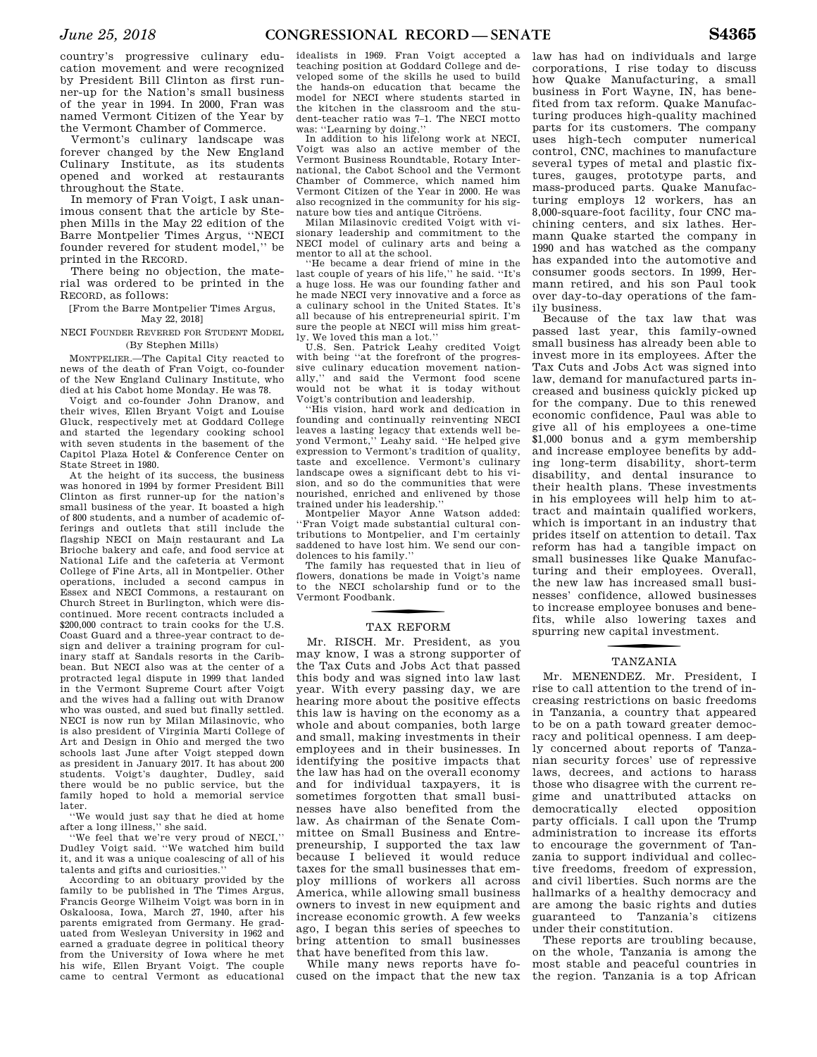country's progressive culinary education movement and were recognized by President Bill Clinton as first runner-up for the Nation's small business of the year in 1994. In 2000, Fran was named Vermont Citizen of the Year by the Vermont Chamber of Commerce.

Vermont's culinary landscape was forever changed by the New England Culinary Institute, as its students opened and worked at restaurants throughout the State.

In memory of Fran Voigt, I ask unanimous consent that the article by Stephen Mills in the May 22 edition of the Barre Montpelier Times Argus, ''NECI founder revered for student model,'' be printed in the RECORD.

There being no objection, the material was ordered to be printed in the RECORD, as follows:

[From the Barre Montpelier Times Argus, May 22, 2018]

NECI FOUNDER REVERED FOR STUDENT MODEL (By Stephen Mills)

MONTPELIER.—The Capital City reacted to news of the death of Fran Voigt, co-founder of the New England Culinary Institute, who died at his Cabot home Monday. He was 78.

Voigt and co-founder John Dranow, and their wives, Ellen Bryant Voigt and Louise Gluck, respectively met at Goddard College and started the legendary cooking school with seven students in the basement of the Capitol Plaza Hotel & Conference Center on State Street in 1980.

At the height of its success, the business was honored in 1994 by former President Bill Clinton as first runner-up for the nation's small business of the year. It boasted a high of 800 students, and a number of academic offerings and outlets that still include the flagship NECI on Main restaurant and La Brioche bakery and cafe, and food service at National Life and the cafeteria at Vermont College of Fine Arts, all in Montpelier. Other operations, included a second campus in Essex and NECI Commons, a restaurant on Church Street in Burlington, which were discontinued. More recent contracts included a \$200,000 contract to train cooks for the U.S. Coast Guard and a three-year contract to design and deliver a training program for culinary staff at Sandals resorts in the Caribbean. But NECI also was at the center of a protracted legal dispute in 1999 that landed in the Vermont Supreme Court after Voigt and the wives had a falling out with Dranow who was ousted, and sued but finally settled. NECI is now run by Milan Milasinovic, who is also president of Virginia Marti College of Art and Design in Ohio and merged the two schools last June after Voigt stepped down as president in January 2017. It has about 200 students. Voigt's daughter, Dudley, said there would be no public service, but the family hoped to hold a memorial service later.

''We would just say that he died at home after a long illness,'' she said.

''We feel that we're very proud of NECI,'' Dudley Voigt said. ''We watched him build it, and it was a unique coalescing of all of his talents and gifts and curiosities.

According to an obituary provided by the family to be published in The Times Argus, Francis George Wilheim Voigt was born in in Oskaloosa, Iowa, March 27, 1940, after his parents emigrated from Germany. He graduated from Wesleyan University in 1962 and earned a graduate degree in political theory from the University of Iowa where he met his wife, Ellen Bryant Voigt. The couple came to central Vermont as educational

idealists in 1969. Fran Voigt accepted a teaching position at Goddard College and developed some of the skills he used to build the hands-on education that became the model for NECI where students started in the kitchen in the classroom and the student-teacher ratio was 7–1. The NECI motto was: ''Learning by doing.''

In addition to his lifelong work at NECI, Voigt was also an active member of the Vermont Business Roundtable, Rotary International, the Cabot School and the Vermont Chamber of Commerce, which named him Vermont Citizen of the Year in 2000. He was also recognized in the community for his signature bow ties and antique Citroëns.

Milan Milasinovic credited Voigt with visionary leadership and commitment to the NECI model of culinary arts and being a mentor to all at the school.

''He became a dear friend of mine in the last couple of years of his life,'' he said. ''It's a huge loss. He was our founding father and he made NECI very innovative and a force as a culinary school in the United States. It's all because of his entrepreneurial spirit. I'm sure the people at NECI will miss him greatly. We loved this man a lot.''

U.S. Sen. Patrick Leahy credited Voigt with being ''at the forefront of the progressive culinary education movement nationally,'' and said the Vermont food scene would not be what it is today without Voigt's contribution and leadership.

'His vision, hard work and dedication in founding and continually reinventing NECI leaves a lasting legacy that extends well beyond Vermont,'' Leahy said. ''He helped give expression to Vermont's tradition of quality, taste and excellence. Vermont's culinary landscape owes a significant debt to his vision, and so do the communities that were nourished, enriched and enlivened by those trained under his leadership.''

Montpelier Mayor Anne Watson added: ''Fran Voigt made substantial cultural contributions to Montpelier, and I'm certainly saddened to have lost him. We send our condolences to his family.''

The family has requested that in lieu of flowers, donations be made in Voigt's name to the NECI scholarship fund or to the Vermont Foodbank.

# TAX REFORM

Mr. RISCH. Mr. President, as you may know, I was a strong supporter of the Tax Cuts and Jobs Act that passed this body and was signed into law last year. With every passing day, we are hearing more about the positive effects this law is having on the economy as a whole and about companies, both large and small, making investments in their employees and in their businesses. In identifying the positive impacts that the law has had on the overall economy and for individual taxpayers, it is sometimes forgotten that small businesses have also benefited from the law. As chairman of the Senate Committee on Small Business and Entrepreneurship, I supported the tax law because I believed it would reduce taxes for the small businesses that employ millions of workers all across America, while allowing small business owners to invest in new equipment and increase economic growth. A few weeks ago, I began this series of speeches to bring attention to small businesses that have benefited from this law.

While many news reports have focused on the impact that the new tax

law has had on individuals and large corporations, I rise today to discuss how Quake Manufacturing, a small business in Fort Wayne, IN, has benefited from tax reform. Quake Manufacturing produces high-quality machined parts for its customers. The company uses high-tech computer numerical control, CNC, machines to manufacture several types of metal and plastic fixtures, gauges, prototype parts, and mass-produced parts. Quake Manufacturing employs 12 workers, has an 8,000-square-foot facility, four CNC machining centers, and six lathes. Hermann Quake started the company in 1990 and has watched as the company has expanded into the automotive and consumer goods sectors. In 1999, Hermann retired, and his son Paul took over day-to-day operations of the family business.

Because of the tax law that was passed last year, this family-owned small business has already been able to invest more in its employees. After the Tax Cuts and Jobs Act was signed into law, demand for manufactured parts increased and business quickly picked up for the company. Due to this renewed economic confidence, Paul was able to give all of his employees a one-time \$1,000 bonus and a gym membership and increase employee benefits by adding long-term disability, short-term disability, and dental insurance to their health plans. These investments in his employees will help him to attract and maintain qualified workers, which is important in an industry that prides itself on attention to detail. Tax reform has had a tangible impact on small businesses like Quake Manufacturing and their employees. Overall, the new law has increased small businesses' confidence, allowed businesses to increase employee bonuses and benefits, while also lowering taxes and spurring new capital investment.

# f TANZANIA

Mr. MENENDEZ. Mr. President, I rise to call attention to the trend of increasing restrictions on basic freedoms in Tanzania, a country that appeared to be on a path toward greater democracy and political openness. I am deeply concerned about reports of Tanzanian security forces' use of repressive laws, decrees, and actions to harass those who disagree with the current regime and unattributed attacks on democratically elected opposition party officials. I call upon the Trump administration to increase its efforts to encourage the government of Tanzania to support individual and collective freedoms, freedom of expression, and civil liberties. Such norms are the hallmarks of a healthy democracy and are among the basic rights and duties guaranteed to Tanzania's citizens under their constitution.

These reports are troubling because, on the whole, Tanzania is among the most stable and peaceful countries in the region. Tanzania is a top African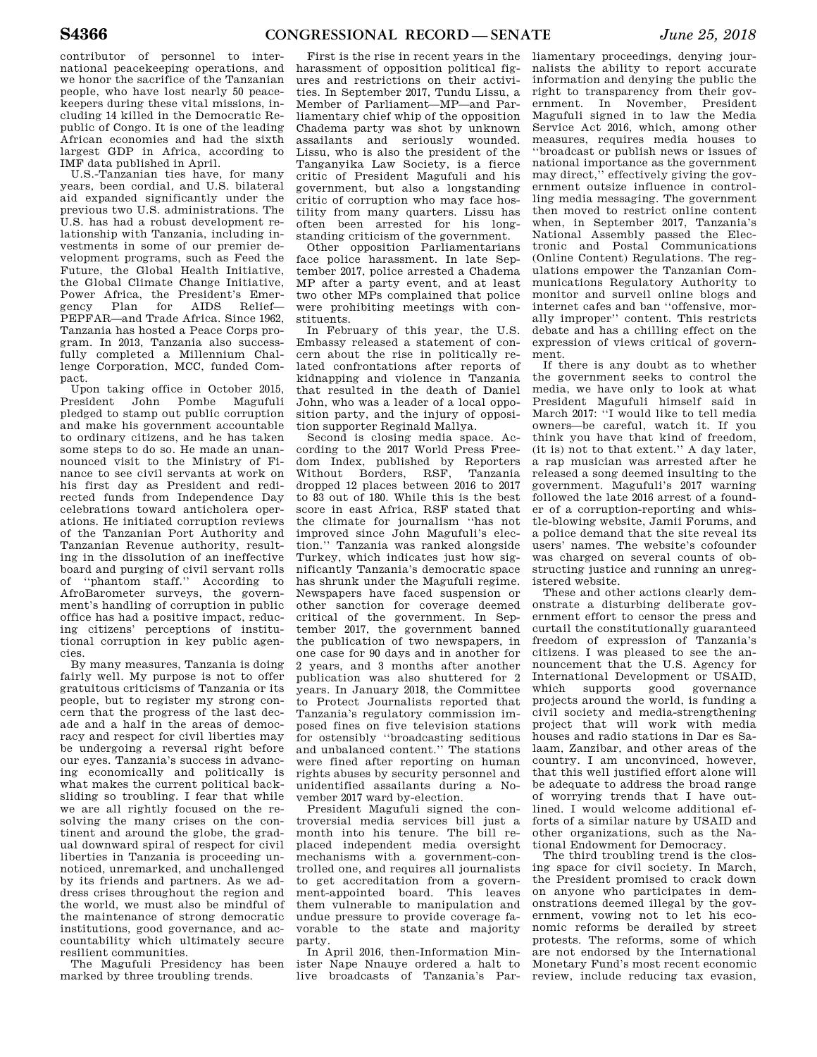contributor of personnel to international peacekeeping operations, and we honor the sacrifice of the Tanzanian people, who have lost nearly 50 peacekeepers during these vital missions, including 14 killed in the Democratic Republic of Congo. It is one of the leading African economies and had the sixth largest GDP in Africa, according to IMF data published in April.

U.S.-Tanzanian ties have, for many years, been cordial, and U.S. bilateral aid expanded significantly under the previous two U.S. administrations. The U.S. has had a robust development relationship with Tanzania, including investments in some of our premier development programs, such as Feed the Future, the Global Health Initiative, the Global Climate Change Initiative, Power Africa, the President's Emergency Plan for AIDS Relief— PEPFAR—and Trade Africa. Since 1962, Tanzania has hosted a Peace Corps program. In 2013, Tanzania also successfully completed a Millennium Challenge Corporation, MCC, funded Compact.

Upon taking office in October 2015, President John Pombe Magufuli pledged to stamp out public corruption and make his government accountable to ordinary citizens, and he has taken some steps to do so. He made an unannounced visit to the Ministry of Finance to see civil servants at work on his first day as President and redirected funds from Independence Day celebrations toward anticholera operations. He initiated corruption reviews of the Tanzanian Port Authority and Tanzanian Revenue authority, resulting in the dissolution of an ineffective board and purging of civil servant rolls of ''phantom staff.'' According to AfroBarometer surveys, the government's handling of corruption in public office has had a positive impact, reducing citizens' perceptions of institutional corruption in key public agencies.

By many measures, Tanzania is doing fairly well. My purpose is not to offer gratuitous criticisms of Tanzania or its people, but to register my strong concern that the progress of the last decade and a half in the areas of democracy and respect for civil liberties may be undergoing a reversal right before our eyes. Tanzania's success in advancing economically and politically is what makes the current political backsliding so troubling. I fear that while we are all rightly focused on the resolving the many crises on the continent and around the globe, the gradual downward spiral of respect for civil liberties in Tanzania is proceeding unnoticed, unremarked, and unchallenged by its friends and partners. As we address crises throughout the region and the world, we must also be mindful of the maintenance of strong democratic institutions, good governance, and accountability which ultimately secure resilient communities.

The Magufuli Presidency has been marked by three troubling trends.

First is the rise in recent years in the harassment of opposition political figures and restrictions on their activities. In September 2017, Tundu Lissu, a Member of Parliament—MP—and Parliamentary chief whip of the opposition Chadema party was shot by unknown assailants and seriously wounded. Lissu, who is also the president of the Tanganyika Law Society, is a fierce critic of President Magufuli and his government, but also a longstanding critic of corruption who may face hostility from many quarters. Lissu has often been arrested for his longstanding criticism of the government.

Other opposition Parliamentarians face police harassment. In late September 2017, police arrested a Chadema MP after a party event, and at least two other MPs complained that police were prohibiting meetings with constituents.

In February of this year, the U.S. Embassy released a statement of concern about the rise in politically related confrontations after reports of kidnapping and violence in Tanzania that resulted in the death of Daniel John, who was a leader of a local opposition party, and the injury of opposition supporter Reginald Mallya.

Second is closing media space. According to the 2017 World Press Freedom Index, published by Reporters Without Borders, RSF, Tanzania dropped 12 places between 2016 to 2017 to 83 out of 180. While this is the best score in east Africa, RSF stated that the climate for journalism ''has not improved since John Magufuli's election.'' Tanzania was ranked alongside Turkey, which indicates just how significantly Tanzania's democratic space has shrunk under the Magufuli regime. Newspapers have faced suspension or other sanction for coverage deemed critical of the government. In September 2017, the government banned the publication of two newspapers, in one case for 90 days and in another for 2 years, and 3 months after another publication was also shuttered for 2 years. In January 2018, the Committee to Protect Journalists reported that Tanzania's regulatory commission imposed fines on five television stations for ostensibly ''broadcasting seditious and unbalanced content.'' The stations were fined after reporting on human rights abuses by security personnel and unidentified assailants during a November 2017 ward by-election.

President Magufuli signed the controversial media services bill just a month into his tenure. The bill replaced independent media oversight mechanisms with a government-controlled one, and requires all journalists to get accreditation from a government-appointed board. This leaves them vulnerable to manipulation and undue pressure to provide coverage favorable to the state and majority party.

In April 2016, then-Information Minister Nape Nnauye ordered a halt to live broadcasts of Tanzania's Par-

liamentary proceedings, denying journalists the ability to report accurate information and denying the public the right to transparency from their government. In November, President Magufuli signed in to law the Media Service Act 2016, which, among other measures, requires media houses to ''broadcast or publish news or issues of national importance as the government may direct,'' effectively giving the government outsize influence in controlling media messaging. The government then moved to restrict online content when, in September 2017, Tanzania's National Assembly passed the Electronic and Postal Communications (Online Content) Regulations. The regulations empower the Tanzanian Communications Regulatory Authority to monitor and surveil online blogs and internet cafes and ban ''offensive, morally improper'' content. This restricts debate and has a chilling effect on the expression of views critical of government.

If there is any doubt as to whether the government seeks to control the media, we have only to look at what President Magufuli himself said in March 2017: ''I would like to tell media owners—be careful, watch it. If you think you have that kind of freedom, (it is) not to that extent.'' A day later, a rap musician was arrested after he released a song deemed insulting to the government. Magufuli's 2017 warning followed the late 2016 arrest of a founder of a corruption-reporting and whistle-blowing website, Jamii Forums, and a police demand that the site reveal its users' names. The website's cofounder was charged on several counts of obstructing justice and running an unregistered website.

These and other actions clearly demonstrate a disturbing deliberate government effort to censor the press and curtail the constitutionally guaranteed freedom of expression of Tanzania's citizens. I was pleased to see the announcement that the U.S. Agency for International Development or USAID, which supports good governance projects around the world, is funding a civil society and media-strengthening project that will work with media houses and radio stations in Dar es Salaam, Zanzibar, and other areas of the country. I am unconvinced, however, that this well justified effort alone will be adequate to address the broad range of worrying trends that I have outlined. I would welcome additional efforts of a similar nature by USAID and other organizations, such as the National Endowment for Democracy.

The third troubling trend is the closing space for civil society. In March, the President promised to crack down on anyone who participates in demonstrations deemed illegal by the government, vowing not to let his economic reforms be derailed by street protests. The reforms, some of which are not endorsed by the International Monetary Fund's most recent economic review, include reducing tax evasion,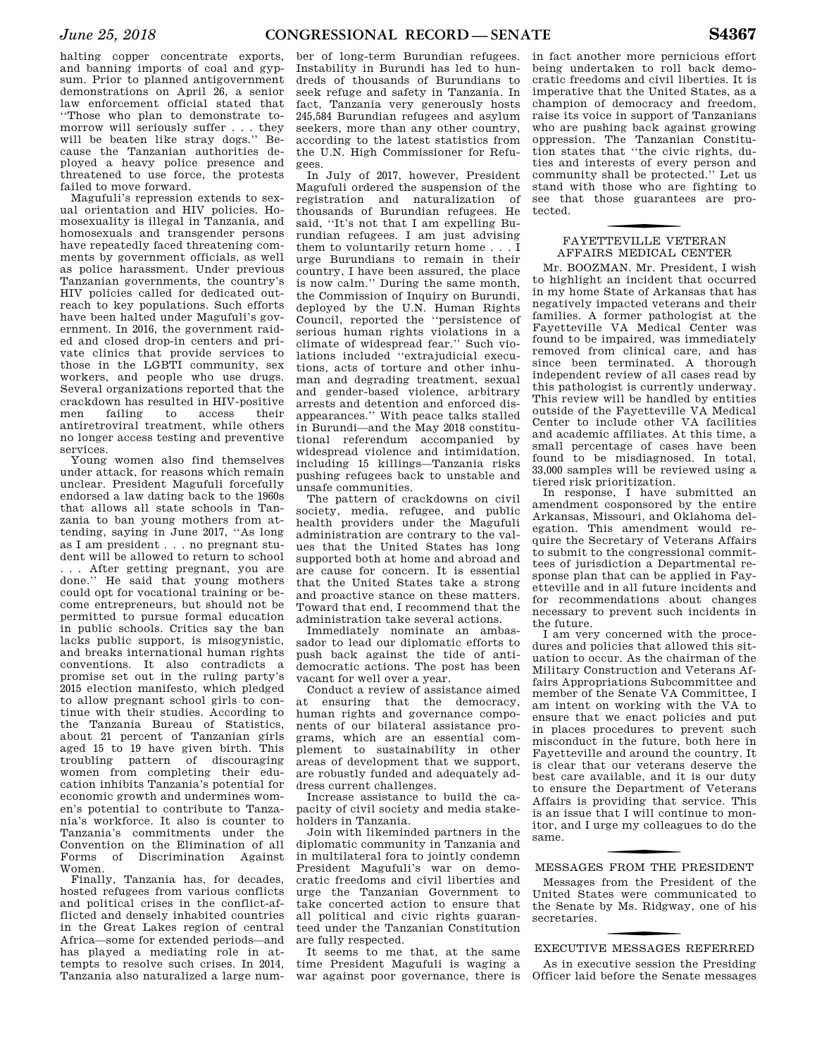halting copper concentrate exports, and banning imports of coal and gypsum. Prior to planned antigovernment demonstrations on April 26, a senior law enforcement official stated that ''Those who plan to demonstrate tomorrow will seriously suffer . . . they will be beaten like stray dogs.'' Because the Tanzanian authorities deployed a heavy police presence and threatened to use force, the protests failed to move forward.

Magufuli's repression extends to sexual orientation and HIV policies. Homosexuality is illegal in Tanzania, and homosexuals and transgender persons have repeatedly faced threatening comments by government officials, as well as police harassment. Under previous Tanzanian governments, the country's HIV policies called for dedicated outreach to key populations. Such efforts have been halted under Magufuli's government. In 2016, the government raided and closed drop-in centers and private clinics that provide services to those in the LGBTI community, sex workers, and people who use drugs. Several organizations reported that the crackdown has resulted in HIV-positive men failing to access their antiretroviral treatment, while others no longer access testing and preventive services.

Young women also find themselves under attack, for reasons which remain unclear. President Magufuli forcefully endorsed a law dating back to the 1960s that allows all state schools in Tanzania to ban young mothers from attending, saying in June 2017, ''As long as I am president . . . no pregnant student will be allowed to return to school . . . After getting pregnant, you are done.'' He said that young mothers could opt for vocational training or become entrepreneurs, but should not be permitted to pursue formal education in public schools. Critics say the ban lacks public support, is misogynistic, and breaks international human rights conventions. It also contradicts a promise set out in the ruling party's 2015 election manifesto, which pledged to allow pregnant school girls to continue with their studies. According to the Tanzania Bureau of Statistics, about 21 percent of Tanzanian girls aged 15 to 19 have given birth. This troubling pattern of discouraging women from completing their education inhibits Tanzania's potential for economic growth and undermines women's potential to contribute to Tanzania's workforce. It also is counter to Tanzania's commitments under the Convention on the Elimination of all Forms of Discrimination Against Women.

Finally, Tanzania has, for decades, hosted refugees from various conflicts and political crises in the conflict-afflicted and densely inhabited countries in the Great Lakes region of central Africa—some for extended periods—and has played a mediating role in attempts to resolve such crises. In 2014, Tanzania also naturalized a large num-

ber of long-term Burundian refugees. Instability in Burundi has led to hundreds of thousands of Burundians to seek refuge and safety in Tanzania. In fact, Tanzania very generously hosts 245,584 Burundian refugees and asylum seekers, more than any other country, according to the latest statistics from the U.N. High Commissioner for Refugees.

In July of 2017, however, President Magufuli ordered the suspension of the registration and naturalization of thousands of Burundian refugees. He said, ''It's not that I am expelling Burundian refugees. I am just advising them to voluntarily return home . . . I urge Burundians to remain in their country, I have been assured, the place is now calm.'' During the same month, the Commission of Inquiry on Burundi, deployed by the U.N. Human Rights Council, reported the ''persistence of serious human rights violations in a climate of widespread fear.'' Such violations included ''extrajudicial executions, acts of torture and other inhuman and degrading treatment, sexual and gender-based violence, arbitrary arrests and detention and enforced disappearances.'' With peace talks stalled in Burundi—and the May 2018 constitutional referendum accompanied by widespread violence and intimidation, including 15 killings—Tanzania risks pushing refugees back to unstable and unsafe communities.

The pattern of crackdowns on civil society, media, refugee, and public health providers under the Magufuli administration are contrary to the values that the United States has long supported both at home and abroad and are cause for concern. It is essential that the United States take a strong and proactive stance on these matters. Toward that end, I recommend that the administration take several actions.

Immediately nominate an ambassador to lead our diplomatic efforts to push back against the tide of antidemocratic actions. The post has been vacant for well over a year.

Conduct a review of assistance aimed at ensuring that the democracy, human rights and governance components of our bilateral assistance programs, which are an essential complement to sustainability in other areas of development that we support, are robustly funded and adequately address current challenges.

Increase assistance to build the capacity of civil society and media stakeholders in Tanzania.

Join with likeminded partners in the diplomatic community in Tanzania and in multilateral fora to jointly condemn President Magufuli's war on democratic freedoms and civil liberties and urge the Tanzanian Government to take concerted action to ensure that all political and civic rights guaranteed under the Tanzanian Constitution are fully respected.

It seems to me that, at the same time President Magufuli is waging a war against poor governance, there is

in fact another more pernicious effort being undertaken to roll back democratic freedoms and civil liberties. It is imperative that the United States, as a champion of democracy and freedom, raise its voice in support of Tanzanians who are pushing back against growing oppression. The Tanzanian Constitution states that ''the civic rights, duties and interests of every person and community shall be protected.'' Let us stand with those who are fighting to see that those guarantees are protected.

# f FAYETTEVILLE VETERAN AFFAIRS MEDICAL CENTER

Mr. BOOZMAN. Mr. President, I wish to highlight an incident that occurred in my home State of Arkansas that has negatively impacted veterans and their families. A former pathologist at the Fayetteville VA Medical Center was found to be impaired, was immediately removed from clinical care, and has since been terminated. A thorough independent review of all cases read by this pathologist is currently underway. This review will be handled by entities outside of the Fayetteville VA Medical Center to include other VA facilities and academic affiliates. At this time, a small percentage of cases have been found to be misdiagnosed. In total, 33,000 samples will be reviewed using a tiered risk prioritization.

In response, I have submitted an amendment cosponsored by the entire Arkansas, Missouri, and Oklahoma delegation. This amendment would require the Secretary of Veterans Affairs to submit to the congressional committees of jurisdiction a Departmental response plan that can be applied in Fayetteville and in all future incidents and for recommendations about changes necessary to prevent such incidents in the future.

I am very concerned with the procedures and policies that allowed this situation to occur. As the chairman of the Military Construction and Veterans Affairs Appropriations Subcommittee and member of the Senate VA Committee, I am intent on working with the VA to ensure that we enact policies and put in places procedures to prevent such misconduct in the future, both here in Fayetteville and around the country. It is clear that our veterans deserve the best care available, and it is our duty to ensure the Department of Veterans Affairs is providing that service. This is an issue that I will continue to monitor, and I urge my colleagues to do the same.

# f MESSAGES FROM THE PRESIDENT

Messages from the President of the United States were communicated to the Senate by Ms. Ridgway, one of his secretaries.

# f EXECUTIVE MESSAGES REFERRED

As in executive session the Presiding Officer laid before the Senate messages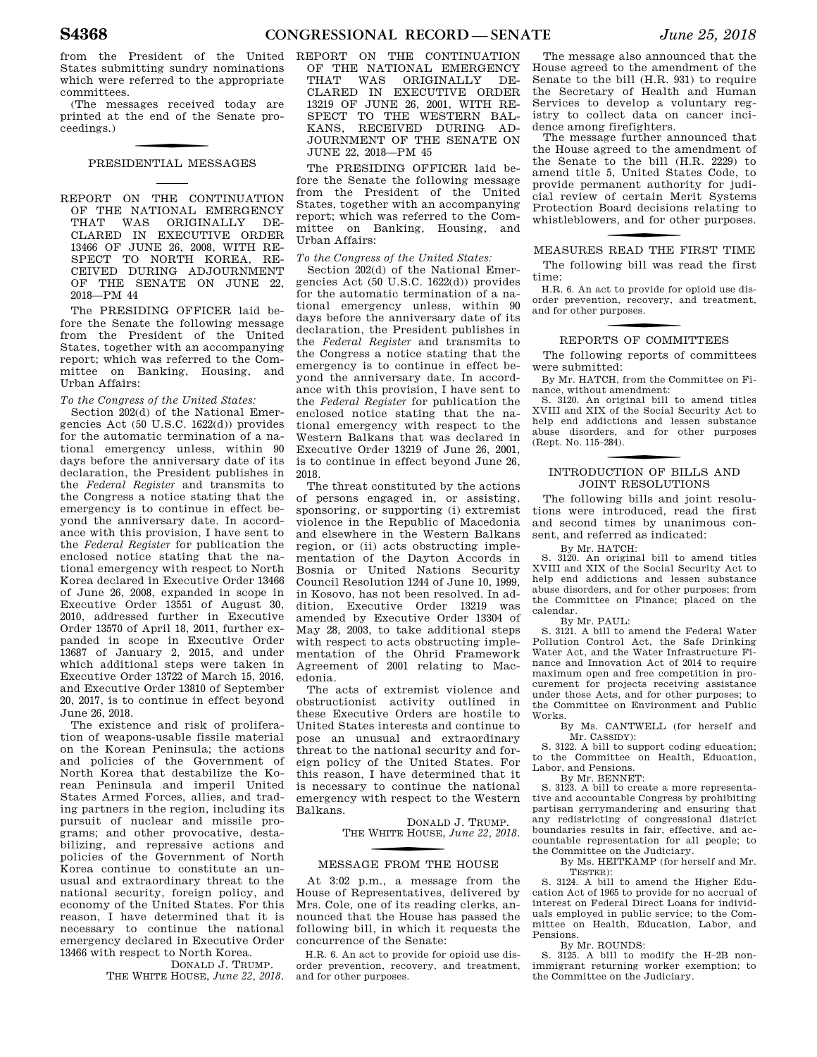from the President of the United States submitting sundry nominations which were referred to the appropriate committees.

(The messages received today are printed at the end of the Senate proceedings.)

### PRESIDENTIAL MESSAGES

REPORT ON THE CONTINUATION OF THE NATIONAL EMERGENCY<br>THAT WAS ORIGINALLY DE-THAT WAS ORIGINALLY DE-CLARED IN EXECUTIVE ORDER 13466 OF JUNE 26, 2008, WITH RE-SPECT TO NORTH KOREA, RE-CEIVED DURING ADJOURNMENT OF THE SENATE ON JUNE 22, 2018—PM 44

The PRESIDING OFFICER laid before the Senate the following message from the President of the United States, together with an accompanying report; which was referred to the Committee on Banking, Housing, and Urban Affairs:

### *To the Congress of the United States:*

Section 202(d) of the National Emergencies Act (50 U.S.C. 1622(d)) provides for the automatic termination of a national emergency unless, within 90 days before the anniversary date of its declaration, the President publishes in the *Federal Register* and transmits to the Congress a notice stating that the emergency is to continue in effect beyond the anniversary date. In accordance with this provision, I have sent to the *Federal Register* for publication the enclosed notice stating that the national emergency with respect to North Korea declared in Executive Order 13466 of June 26, 2008, expanded in scope in Executive Order 13551 of August 30, 2010, addressed further in Executive Order 13570 of April 18, 2011, further expanded in scope in Executive Order 13687 of January 2, 2015, and under which additional steps were taken in Executive Order 13722 of March 15, 2016, and Executive Order 13810 of September 20, 2017, is to continue in effect beyond June 26, 2018.

The existence and risk of proliferation of weapons-usable fissile material on the Korean Peninsula; the actions and policies of the Government of North Korea that destabilize the Korean Peninsula and imperil United States Armed Forces, allies, and trading partners in the region, including its pursuit of nuclear and missile programs; and other provocative, destabilizing, and repressive actions and policies of the Government of North Korea continue to constitute an unusual and extraordinary threat to the national security, foreign policy, and economy of the United States. For this reason, I have determined that it is necessary to continue the national emergency declared in Executive Order 13466 with respect to North Korea.

DONALD J. TRUMP. THE WHITE HOUSE, *June 22, 2018*. and for other purposes.

REPORT ON THE CONTINUATION OF THE NATIONAL EMERGENCY THAT WAS ORIGINALLY DE-CLARED IN EXECUTIVE ORDER 13219 OF JUNE 26, 2001, WITH RE-SPECT TO THE WESTERN BAL-KANS, RECEIVED DURING AD-JOURNMENT OF THE SENATE ON JUNE 22, 2018—PM 45

The PRESIDING OFFICER laid before the Senate the following message from the President of the United States, together with an accompanying report; which was referred to the Committee on Banking, Housing, and Urban Affairs:

### *To the Congress of the United States:*

Section 202(d) of the National Emergencies Act (50 U.S.C. 1622(d)) provides for the automatic termination of a national emergency unless, within 90 days before the anniversary date of its declaration, the President publishes in the *Federal Register* and transmits to the Congress a notice stating that the emergency is to continue in effect beyond the anniversary date. In accordance with this provision, I have sent to the *Federal Register* for publication the enclosed notice stating that the national emergency with respect to the Western Balkans that was declared in Executive Order 13219 of June 26, 2001, is to continue in effect beyond June 26, 2018.

The threat constituted by the actions of persons engaged in, or assisting, sponsoring, or supporting (i) extremist violence in the Republic of Macedonia and elsewhere in the Western Balkans region, or (ii) acts obstructing implementation of the Dayton Accords in Bosnia or United Nations Security Council Resolution 1244 of June 10, 1999, in Kosovo, has not been resolved. In addition, Executive Order 13219 was amended by Executive Order 13304 of May 28, 2003, to take additional steps with respect to acts obstructing implementation of the Ohrid Framework Agreement of 2001 relating to Macedonia.

The acts of extremist violence and obstructionist activity outlined in these Executive Orders are hostile to United States interests and continue to pose an unusual and extraordinary threat to the national security and foreign policy of the United States. For this reason, I have determined that it is necessary to continue the national emergency with respect to the Western Balkans.

> DONALD J. TRUMP. THE W HITE HOUSE, *June 22, 2018.*

# f MESSAGE FROM THE HOUSE

At 3:02 p.m., a message from the House of Representatives, delivered by Mrs. Cole, one of its reading clerks, announced that the House has passed the following bill, in which it requests the concurrence of the Senate:

H.R. 6. An act to provide for opioid use disorder prevention, recovery, and treatment,

The message also announced that the House agreed to the amendment of the Senate to the bill (H.R. 931) to require the Secretary of Health and Human Services to develop a voluntary registry to collect data on cancer incidence among firefighters.

The message further announced that the House agreed to the amendment of the Senate to the bill (H.R. 2229) to amend title 5, United States Code, to provide permanent authority for judicial review of certain Merit Systems Protection Board decisions relating to whistleblowers, and for other purposes.

# f MEASURES READ THE FIRST TIME The following bill was read the first

time: H.R. 6. An act to provide for opioid use dis-

order prevention, recovery, and treatment, and for other purposes.

# f REPORTS OF COMMITTEES

The following reports of committees were submitted:

By Mr. HATCH, from the Committee on Finance, without amendment:

S. 3120. An original bill to amend titles XVIII and XIX of the Social Security Act to help end addictions and lessen substance abuse disorders, and for other purposes (Rept. No. 115–284).

# f INTRODUCTION OF BILLS AND JOINT RESOLUTIONS

The following bills and joint resolutions were introduced, read the first and second times by unanimous consent, and referred as indicated:

By Mr. HATCH:

S. 3120. An original bill to amend titles XVIII and XIX of the Social Security Act to help end addictions and lessen substance abuse disorders, and for other purposes; from the Committee on Finance; placed on the calendar.

By Mr. PAUL:

S. 3121. A bill to amend the Federal Water Pollution Control Act, the Safe Drinking Water Act, and the Water Infrastructure Finance and Innovation Act of 2014 to require maximum open and free competition in procurement for projects receiving assistance under those Acts, and for other purposes; to the Committee on Environment and Public Works.

By Ms. CANTWELL (for herself and Mr. CASSIDY):

S. 3122. A bill to support coding education; to the Committee on Health, Education, Labor, and Pensions.

By Mr. BENNET:

S. 3123. A bill to create a more representative and accountable Congress by prohibiting partisan gerrymandering and ensuring that any redistricting of congressional district boundaries results in fair, effective, and accountable representation for all people; to the Committee on the Judiciary.

By Ms. HEITKAMP (for herself and Mr. TESTER):

S. 3124. A bill to amend the Higher Education Act of 1965 to provide for no accrual of interest on Federal Direct Loans for individuals employed in public service; to the Committee on Health, Education, Labor, and Pensions.

By Mr. ROUNDS:

S. 3125. A bill to modify the H–2B nonimmigrant returning worker exemption; to the Committee on the Judiciary.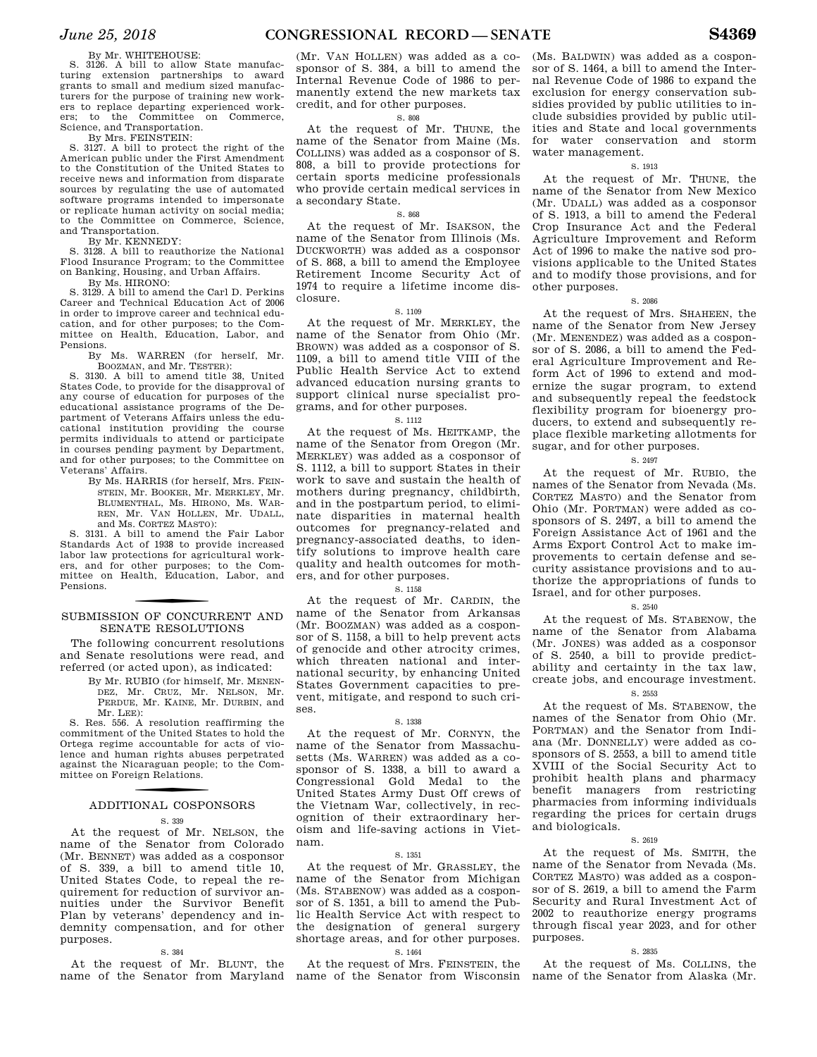### By Mr. WHITEHOUSE:

S. 3126. A bill to allow State manufacturing extension partnerships to award grants to small and medium sized manufacturers for the purpose of training new workers to replace departing experienced workers; to the Committee on Commerce, Science, and Transportation.

By Mrs. FEINSTEIN:

S. 3127. A bill to protect the right of the American public under the First Amendment to the Constitution of the United States to receive news and information from disparate sources by regulating the use of automated software programs intended to impersonate or replicate human activity on social media; to the Committee on Commerce, Science, and Transportation.

By Mr. KENNEDY: S. 3128. A bill to reauthorize the National Flood Insurance Program; to the Committee on Banking, Housing, and Urban Affairs. By Ms. HIRONO:

S. 3129. A bill to amend the Carl D. Perkins Career and Technical Education Act of 2006 in order to improve career and technical education, and for other purposes; to the Committee on Health, Education, Labor, and Pensions.

By Ms. WARREN (for herself, Mr. BOOZMAN, and Mr. TESTER):

S. 3130. A bill to amend title 38, United States Code, to provide for the disapproval of any course of education for purposes of the educational assistance programs of the Department of Veterans Affairs unless the educational institution providing the course permits individuals to attend or participate in courses pending payment by Department, and for other purposes; to the Committee on Veterans' Affairs.

By Ms. HARRIS (for herself, Mrs. FEIN-STEIN, Mr. BOOKER, Mr. MERKLEY, Mr. BLUMENTHAL, Ms. HIRONO, Ms. WAR-REN, Mr. VAN HOLLEN, Mr. UDALL, and Ms. CORTEZ MASTO):

S. 3131. A bill to amend the Fair Labor Standards Act of 1938 to provide increased labor law protections for agricultural workers, and for other purposes; to the Committee on Health, Education, Labor, and Pensions.

# SUBMISSION OF CONCURRENT AND SENATE RESOLUTIONS

The following concurrent resolutions and Senate resolutions were read, and referred (or acted upon), as indicated:

> By Mr. RUBIO (for himself, Mr. MENEN-DEZ, Mr. CRUZ, Mr. NELSON, Mr. PERDUE, Mr. KAINE, Mr. DURBIN, and Mr. LEE):

S. Res. 556. A resolution reaffirming the commitment of the United States to hold the Ortega regime accountable for acts of violence and human rights abuses perpetrated against the Nicaraguan people; to the Committee on Foreign Relations.

# f ADDITIONAL COSPONSORS

S. 339

At the request of Mr. NELSON, the name of the Senator from Colorado (Mr. BENNET) was added as a cosponsor of S. 339, a bill to amend title 10, United States Code, to repeal the requirement for reduction of survivor annuities under the Survivor Benefit Plan by veterans' dependency and indemnity compensation, and for other purposes.

### S. 384

At the request of Mr. BLUNT, the name of the Senator from Maryland

(Mr. VAN HOLLEN) was added as a cosponsor of S. 384, a bill to amend the Internal Revenue Code of 1986 to permanently extend the new markets tax credit, and for other purposes.

### S. 808

At the request of Mr. THUNE, the name of the Senator from Maine (Ms. COLLINS) was added as a cosponsor of S. 808, a bill to provide protections for certain sports medicine professionals who provide certain medical services in a secondary State.

### S. 868

At the request of Mr. ISAKSON, the name of the Senator from Illinois (Ms. DUCKWORTH) was added as a cosponsor of S. 868, a bill to amend the Employee Retirement Income Security Act of 1974 to require a lifetime income disclosure.

### S. 1109

At the request of Mr. MERKLEY, the name of the Senator from Ohio (Mr. BROWN) was added as a cosponsor of S. 1109, a bill to amend title VIII of the Public Health Service Act to extend advanced education nursing grants to support clinical nurse specialist programs, and for other purposes.

### S. 1112

At the request of Ms. HEITKAMP, the name of the Senator from Oregon (Mr. MERKLEY) was added as a cosponsor of S. 1112, a bill to support States in their work to save and sustain the health of mothers during pregnancy, childbirth, and in the postpartum period, to eliminate disparities in maternal health outcomes for pregnancy-related and pregnancy-associated deaths, to identify solutions to improve health care quality and health outcomes for mothers, and for other purposes.

### S. 1158

At the request of Mr. CARDIN, the name of the Senator from Arkansas (Mr. BOOZMAN) was added as a cosponsor of S. 1158, a bill to help prevent acts of genocide and other atrocity crimes, which threaten national and international security, by enhancing United States Government capacities to prevent, mitigate, and respond to such crises.

### S. 1338

At the request of Mr. CORNYN, the name of the Senator from Massachusetts (Ms. WARREN) was added as a cosponsor of S. 1338, a bill to award a Congressional Gold Medal to the United States Army Dust Off crews of the Vietnam War, collectively, in recognition of their extraordinary heroism and life-saving actions in Vietnam.

### S. 1351

At the request of Mr. GRASSLEY, the name of the Senator from Michigan (Ms. STABENOW) was added as a cosponsor of S. 1351, a bill to amend the Public Health Service Act with respect to the designation of general surgery shortage areas, and for other purposes. S. 1464

At the request of Mrs. FEINSTEIN, the

(Ms. BALDWIN) was added as a cosponsor of S. 1464, a bill to amend the Internal Revenue Code of 1986 to expand the exclusion for energy conservation subsidies provided by public utilities to include subsidies provided by public utilities and State and local governments for water conservation and storm water management.

### S. 1913

At the request of Mr. THUNE, the name of the Senator from New Mexico (Mr. UDALL) was added as a cosponsor of S. 1913, a bill to amend the Federal Crop Insurance Act and the Federal Agriculture Improvement and Reform Act of 1996 to make the native sod provisions applicable to the United States and to modify those provisions, and for other purposes.

### S. 2086

At the request of Mrs. SHAHEEN, the name of the Senator from New Jersey (Mr. MENENDEZ) was added as a cosponsor of S. 2086, a bill to amend the Federal Agriculture Improvement and Reform Act of 1996 to extend and modernize the sugar program, to extend and subsequently repeal the feedstock flexibility program for bioenergy producers, to extend and subsequently replace flexible marketing allotments for sugar, and for other purposes.

### S. 2497

At the request of Mr. RUBIO, the names of the Senator from Nevada (Ms. CORTEZ MASTO) and the Senator from Ohio (Mr. PORTMAN) were added as cosponsors of S. 2497, a bill to amend the Foreign Assistance Act of 1961 and the Arms Export Control Act to make improvements to certain defense and security assistance provisions and to authorize the appropriations of funds to Israel, and for other purposes.

### S. 2540

At the request of Ms. STABENOW, the name of the Senator from Alabama (Mr. JONES) was added as a cosponsor of S. 2540, a bill to provide predictability and certainty in the tax law, create jobs, and encourage investment.

### S. 2553

At the request of Ms. STABENOW, the names of the Senator from Ohio (Mr. PORTMAN) and the Senator from Indiana (Mr. DONNELLY) were added as cosponsors of S. 2553, a bill to amend title XVIII of the Social Security Act to prohibit health plans and pharmacy benefit managers from restricting pharmacies from informing individuals regarding the prices for certain drugs and biologicals.

### S. 2619

At the request of Ms. SMITH, the name of the Senator from Nevada (Ms. CORTEZ MASTO) was added as a cosponsor of S. 2619, a bill to amend the Farm Security and Rural Investment Act of 2002 to reauthorize energy programs through fiscal year 2023, and for other purposes.

### S. 2835

name of the Senator from Wisconsin name of the Senator from Alaska (Mr. At the request of Ms. COLLINS, the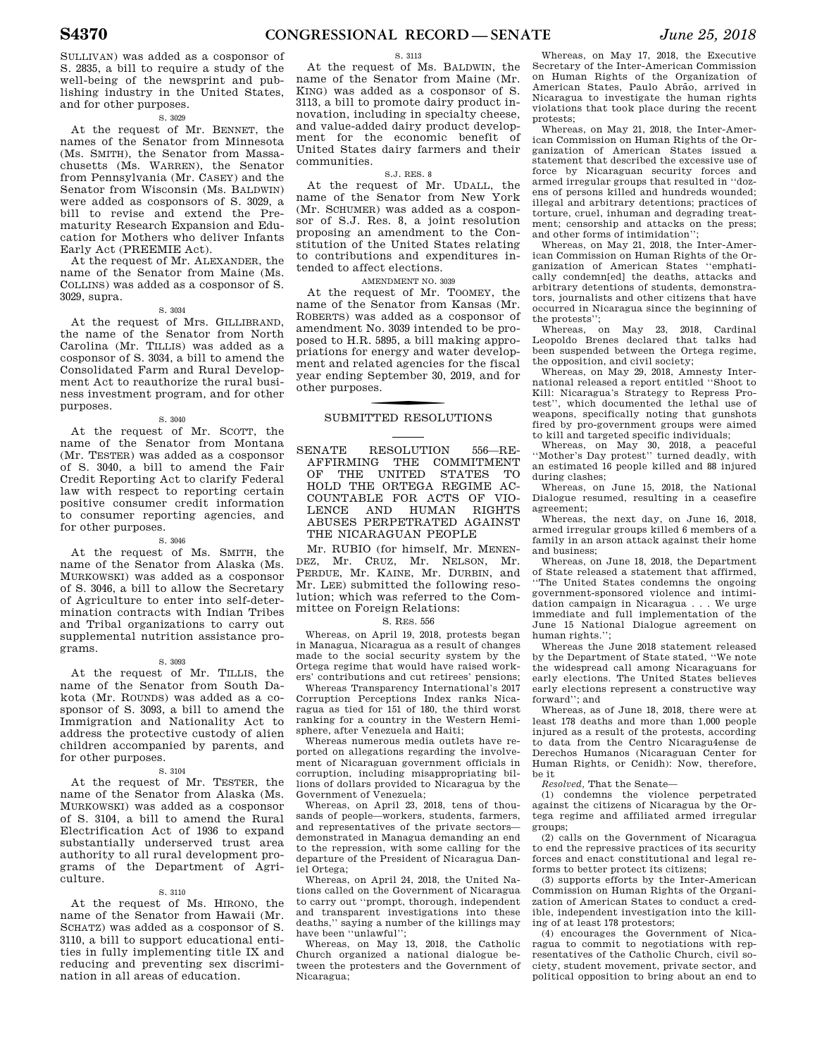SULLIVAN) was added as a cosponsor of S. 2835, a bill to require a study of the well-being of the newsprint and publishing industry in the United States, and for other purposes.

### S. 3029

At the request of Mr. BENNET, the names of the Senator from Minnesota (Ms. SMITH), the Senator from Massachusetts (Ms. WARREN), the Senator from Pennsylvania (Mr. CASEY) and the Senator from Wisconsin (Ms. BALDWIN) were added as cosponsors of S. 3029, a bill to revise and extend the Prematurity Research Expansion and Education for Mothers who deliver Infants Early Act (PREEMIE Act).

At the request of Mr. ALEXANDER, the name of the Senator from Maine (Ms. COLLINS) was added as a cosponsor of S. 3029, supra.

S. 3034

At the request of Mrs. GILLIBRAND, the name of the Senator from North Carolina (Mr. TILLIS) was added as a cosponsor of S. 3034, a bill to amend the Consolidated Farm and Rural Development Act to reauthorize the rural business investment program, and for other purposes.

S. 3040

At the request of Mr. SCOTT, the name of the Senator from Montana (Mr. TESTER) was added as a cosponsor of S. 3040, a bill to amend the Fair Credit Reporting Act to clarify Federal law with respect to reporting certain positive consumer credit information to consumer reporting agencies, and for other purposes.

### S. 3046

At the request of Ms. SMITH, the name of the Senator from Alaska (Ms. MURKOWSKI) was added as a cosponsor of S. 3046, a bill to allow the Secretary of Agriculture to enter into self-determination contracts with Indian Tribes and Tribal organizations to carry out supplemental nutrition assistance programs.

### S. 3093

At the request of Mr. TILLIS, the name of the Senator from South Dakota (Mr. ROUNDS) was added as a cosponsor of S. 3093, a bill to amend the Immigration and Nationality Act to address the protective custody of alien children accompanied by parents, and for other purposes.

### S. 3104

At the request of Mr. TESTER, the name of the Senator from Alaska (Ms. MURKOWSKI) was added as a cosponsor of S. 3104, a bill to amend the Rural Electrification Act of 1936 to expand substantially underserved trust area authority to all rural development programs of the Department of Agriculture.

### S. 3110

At the request of Ms. HIRONO, the name of the Senator from Hawaii (Mr. SCHATZ) was added as a cosponsor of S. 3110, a bill to support educational entities in fully implementing title IX and reducing and preventing sex discrimination in all areas of education.

### S. 3113

At the request of Ms. BALDWIN, the name of the Senator from Maine (Mr. KING) was added as a cosponsor of S. 3113, a bill to promote dairy product innovation, including in specialty cheese, and value-added dairy product development for the economic benefit of United States dairy farmers and their communities.

### S.J. RES. 8

At the request of Mr. UDALL, the name of the Senator from New York (Mr. SCHUMER) was added as a cosponsor of S.J. Res. 8, a joint resolution proposing an amendment to the Constitution of the United States relating to contributions and expenditures intended to affect elections.

AMENDMENT NO. 3039

At the request of Mr. TOOMEY, the name of the Senator from Kansas (Mr. ROBERTS) was added as a cosponsor of amendment No. 3039 intended to be proposed to H.R. 5895, a bill making appropriations for energy and water development and related agencies for the fiscal year ending September 30, 2019, and for other purposes.

# SUBMITTED RESOLUTIONS

SENATE RESOLUTION 556—RE-AFFIRMING THE COMMITMENT OF THE UNITED STATES TO HOLD THE ORTEGA REGIME AC-COUNTABLE FOR ACTS OF VIO-LENCE AND HUMAN RIGHTS ABUSES PERPETRATED AGAINST THE NICARAGUAN PEOPLE

Mr. RUBIO (for himself, Mr. MENEN-DEZ, Mr. CRUZ, Mr. NELSON, Mr. PERDUE, Mr. KAINE, Mr. DURBIN, and Mr. LEE) submitted the following resolution; which was referred to the Committee on Foreign Relations:

### S. RES. 556

Whereas, on April 19, 2018, protests began in Managua, Nicaragua as a result of changes made to the social security system by the Ortega regime that would have raised workers' contributions and cut retirees' pensions;

Whereas Transparency International's 2017 Corruption Perceptions Index ranks Nicaragua as tied for 151 of 180, the third worst ranking for a country in the Western Hemisphere, after Venezuela and Haiti;

Whereas numerous media outlets have reported on allegations regarding the involvement of Nicaraguan government officials in corruption, including misappropriating billions of dollars provided to Nicaragua by the Government of Venezuela;

Whereas, on April 23, 2018, tens of thousands of people—workers, students, farmers, and representatives of the private sectors demonstrated in Managua demanding an end to the repression, with some calling for the departure of the President of Nicaragua Daniel Ortega;

Whereas, on April 24, 2018, the United Nations called on the Government of Nicaragua to carry out ''prompt, thorough, independent and transparent investigations into these deaths,'' saying a number of the killings may have been ''unlawful'';

Whereas, on May 13, 2018, the Catholic Church organized a national dialogue between the protesters and the Government of Nicaragua;

Whereas, on May 17, 2018, the Executive Secretary of the Inter-American Commission on Human Rights of the Organization of American States, Paulo Abrão, arrived in Nicaragua to investigate the human rights violations that took place during the recent protests;

Whereas, on May 21, 2018, the Inter-American Commission on Human Rights of the Organization of American States issued a statement that described the excessive use of force by Nicaraguan security forces and armed irregular groups that resulted in ''dozens of persons killed and hundreds wounded; illegal and arbitrary detentions; practices of torture, cruel, inhuman and degrading treatment; censorship and attacks on the press; and other forms of intimidation'';

Whereas, on May 21, 2018, the Inter-American Commission on Human Rights of the Organization of American States ''emphatically condemn[ed] the deaths, attacks and arbitrary detentions of students, demonstrators, journalists and other citizens that have occurred in Nicaragua since the beginning of the protests'';

Whereas, on May 23, 2018, Cardinal Leopoldo Brenes declared that talks had been suspended between the Ortega regime, the opposition, and civil society;

Whereas, on May 29, 2018, Amnesty International released a report entitled ''Shoot to Kill: Nicaragua's Strategy to Repress Protest'', which documented the lethal use of weapons, specifically noting that gunshots fired by pro-government groups were aimed to kill and targeted specific individuals;

Whereas, on May 30, 2018, a peaceful ''Mother's Day protest'' turned deadly, with an estimated 16 people killed and 88 injured during clashes;

Whereas, on June 15, 2018, the National Dialogue resumed, resulting in a ceasefire agreement;

Whereas, the next day, on June 16, 2018, armed irregular groups killed 6 members of a family in an arson attack against their home and business;

Whereas, on June 18, 2018, the Department of State released a statement that affirmed, ''The United States condemns the ongoing government-sponsored violence and intimidation campaign in Nicaragua . . . We urge immediate and full implementation of the June 15 National Dialogue agreement on human rights.'';

Whereas the June 2018 statement released by the Department of State stated, ''We note the widespread call among Nicaraguans for early elections. The United States believes early elections represent a constructive way forward''; and

Whereas, as of June 18, 2018, there were at least 178 deaths and more than 1,000 people injured as a result of the protests, according to data from the Centro Nicaragu4ense de Derechos Humanos (Nicaraguan Center for Human Rights, or Cenidh): Now, therefore, be it

*Resolved,* That the Senate—

(1) condemns the violence perpetrated against the citizens of Nicaragua by the Ortega regime and affiliated armed irregular groups;

(2) calls on the Government of Nicaragua to end the repressive practices of its security forces and enact constitutional and legal reforms to better protect its citizens;

(3) supports efforts by the Inter-American Commission on Human Rights of the Organization of American States to conduct a credible, independent investigation into the killing of at least 178 protestors;

(4) encourages the Government of Nicaragua to commit to negotiations with representatives of the Catholic Church, civil society, student movement, private sector, and political opposition to bring about an end to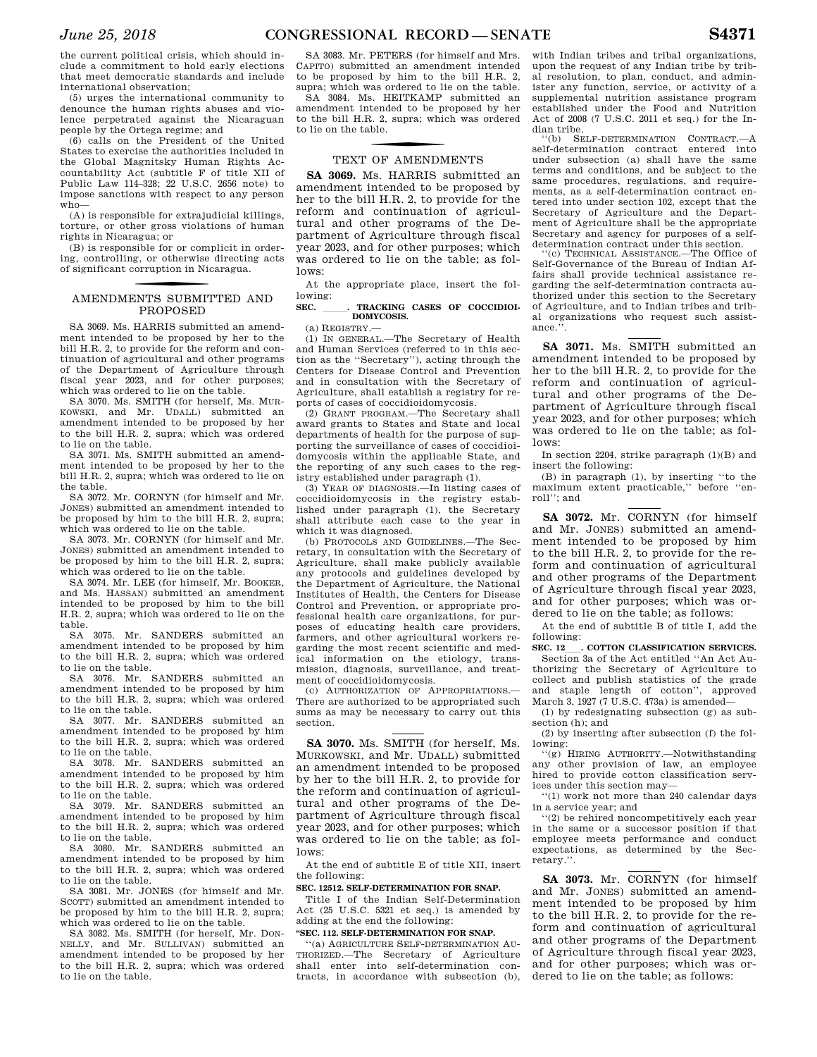the current political crisis, which should include a commitment to hold early elections that meet democratic standards and include international observation;

(5) urges the international community to denounce the human rights abuses and violence perpetrated against the Nicaraguan people by the Ortega regime; and

(6) calls on the President of the United States to exercise the authorities included in the Global Magnitsky Human Rights Accountability Act (subtitle F of title XII of Public Law 114–328; 22 U.S.C. 2656 note) to impose sanctions with respect to any person who—

(A) is responsible for extrajudicial killings, torture, or other gross violations of human rights in Nicaragua; or

(B) is responsible for or complicit in ordering, controlling, or otherwise directing acts of significant corruption in Nicaragua.

### f AMENDMENTS SUBMITTED AND PROPOSED

SA 3069. Ms. HARRIS submitted an amendment intended to be proposed by her to the bill H.R. 2, to provide for the reform and continuation of agricultural and other programs of the Department of Agriculture through fiscal year 2023, and for other purposes; which was ordered to lie on the table.

SA 3070. Ms. SMITH (for herself, Ms. MUR-KOWSKI, and Mr. UDALL) submitted an amendment intended to be proposed by her to the bill H.R. 2, supra; which was ordered to lie on the table.

SA 3071. Ms. SMITH submitted an amendment intended to be proposed by her to the bill H.R. 2, supra; which was ordered to lie on the table.

SA 3072. Mr. CORNYN (for himself and Mr. JONES) submitted an amendment intended to be proposed by him to the bill H.R. 2, supra; which was ordered to lie on the table.

SA 3073. Mr. CORNYN (for himself and Mr. JONES) submitted an amendment intended to be proposed by him to the bill H.R. 2, supra; which was ordered to lie on the table.

SA 3074. Mr. LEE (for himself, Mr. BOOKER, and Ms. HASSAN) submitted an amendment intended to be proposed by him to the bill H.R. 2, supra; which was ordered to lie on the table.

SA 3075. Mr. SANDERS submitted an amendment intended to be proposed by him to the bill H.R. 2, supra; which was ordered to lie on the table.

SA 3076. Mr. SANDERS submitted an amendment intended to be proposed by him to the bill H.R. 2, supra; which was ordered to lie on the table.

SA 3077. Mr. SANDERS submitted an amendment intended to be proposed by him to the bill H.R. 2, supra; which was ordered to lie on the table.

SA 3078. Mr. SANDERS submitted an amendment intended to be proposed by him to the bill H.R. 2, supra; which was ordered to lie on the table.

SA 3079. Mr. SANDERS submitted an amendment intended to be proposed by him to the bill H.R. 2, supra; which was ordered to lie on the table.

SA 3080. Mr. SANDERS submitted an amendment intended to be proposed by him to the bill H.R. 2, supra; which was ordered to lie on the table.

SA 3081. Mr. JONES (for himself and Mr. SCOTT) submitted an amendment intended to be proposed by him to the bill H.R. 2, supra; which was ordered to lie on the table.

SA 3082. Ms. SMITH (for herself, Mr. DON-NELLY, and Mr. SULLIVAN) submitted an amendment intended to be proposed by her to the bill H.R. 2, supra; which was ordered to lie on the table.

SA 3083. Mr. PETERS (for himself and Mrs. CAPITO) submitted an amendment intended to be proposed by him to the bill H.R. 2, supra; which was ordered to lie on the table.

SA 3084. Ms. HEITKAMP submitted an amendment intended to be proposed by her to the bill H.R. 2, supra; which was ordered to lie on the table.

# TEXT OF AMENDMENTS

**SA 3069.** Ms. HARRIS submitted an amendment intended to be proposed by her to the bill H.R. 2, to provide for the reform and continuation of agricultural and other programs of the Department of Agriculture through fiscal year 2023, and for other purposes; which was ordered to lie on the table; as follows:

At the appropriate place, insert the following:

### SEC. **RACKING CASES OF COCCIDIOI-DOMYCOSIS.**

(a) REGISTRY.—

(1) IN GENERAL.—The Secretary of Health and Human Services (referred to in this section as the ''Secretary''), acting through the Centers for Disease Control and Prevention and in consultation with the Secretary of Agriculture, shall establish a registry for reports of cases of coccidioidomycosis.

(2) GRANT PROGRAM.—The Secretary shall award grants to States and State and local departments of health for the purpose of supporting the surveillance of cases of coccidioidomycosis within the applicable State, and the reporting of any such cases to the registry established under paragraph (1).

(3) YEAR OF DIAGNOSIS.—In listing cases of coccidioidomycosis in the registry established under paragraph (1), the Secretary shall attribute each case to the year in which it was diagnosed.

(b) PROTOCOLS AND GUIDELINES.—The Secretary, in consultation with the Secretary of Agriculture, shall make publicly available any protocols and guidelines developed by the Department of Agriculture, the National Institutes of Health, the Centers for Disease Control and Prevention, or appropriate professional health care organizations, for purposes of educating health care providers, farmers, and other agricultural workers regarding the most recent scientific and medical information on the etiology, transmission, diagnosis, surveillance, and treatment of coccidioidomycosis.

(c) AUTHORIZATION OF APPROPRIATIONS.— There are authorized to be appropriated such sums as may be necessary to carry out this section.

**SA 3070.** Ms. SMITH (for herself, Ms. MURKOWSKI, and Mr. UDALL) submitted an amendment intended to be proposed by her to the bill H.R. 2, to provide for the reform and continuation of agricultural and other programs of the Department of Agriculture through fiscal year 2023, and for other purposes; which was ordered to lie on the table; as follows:

At the end of subtitle E of title XII, insert the following:

### **SEC. 12512. SELF-DETERMINATION FOR SNAP.**

Title I of the Indian Self-Determination Act (25 U.S.C. 5321 et seq.) is amended by adding at the end the following:

### **''SEC. 112. SELF-DETERMINATION FOR SNAP.**

''(a) AGRICULTURE SELF-DETERMINATION AU-THORIZED.—The Secretary of Agriculture shall enter into self-determination contracts, in accordance with subsection (b), with Indian tribes and tribal organizations, upon the request of any Indian tribe by tribal resolution, to plan, conduct, and administer any function, service, or activity of a supplemental nutrition assistance program established under the Food and Nutrition Act of 2008 (7 U.S.C. 2011 et seq.) for the Indian tribe.

''(b) SELF-DETERMINATION CONTRACT.—A self-determination contract entered into under subsection (a) shall have the same terms and conditions, and be subject to the same procedures, regulations, and requirements, as a self-determination contract entered into under section 102, except that the Secretary of Agriculture and the Department of Agriculture shall be the appropriate Secretary and agency for purposes of a selfdetermination contract under this section.

'(c) TECHNICAL ASSISTANCE.—The Office of Self-Governance of the Bureau of Indian Affairs shall provide technical assistance regarding the self-determination contracts authorized under this section to the Secretary of Agriculture, and to Indian tribes and tribal organizations who request such assistance.''.

**SA 3071.** Ms. SMITH submitted an amendment intended to be proposed by her to the bill H.R. 2, to provide for the reform and continuation of agricultural and other programs of the Department of Agriculture through fiscal year 2023, and for other purposes; which was ordered to lie on the table; as follows:

In section 2204, strike paragraph (1)(B) and insert the following:

(B) in paragraph (1), by inserting ''to the maximum extent practicable,'' before ''enroll''; and

**SA 3072.** Mr. CORNYN (for himself and Mr. JONES) submitted an amendment intended to be proposed by him to the bill H.R. 2, to provide for the reform and continuation of agricultural and other programs of the Department of Agriculture through fiscal year 2023, and for other purposes; which was ordered to lie on the table; as follows:

At the end of subtitle B of title I, add the following:<br>SEC. 12 . COTTON CLASSIFICATION SERVICES.

**SEC. 12**<sub>ll</sub>. **COTTON CLASSIFICATION SERVICES.**<br>
Section 3a of the Act entitled "An Act Authorizing the Secretary of Agriculture to collect and publish statistics of the grade and staple length of cotton'', approved March 3, 1927 (7 U.S.C. 473a) is amended—

(1) by redesignating subsection (g) as subsection (h); and

(2) by inserting after subsection (f) the following:

''(g) HIRING AUTHORITY.—Notwithstanding any other provision of law, an employee hired to provide cotton classification services under this section may—

''(1) work not more than 240 calendar days in a service year; and

 $(2)$  be rehired noncompetitively each year in the same or a successor position if that employee meets performance and conduct expectations, as determined by the Secretary.''.

**SA 3073.** Mr. CORNYN (for himself and Mr. JONES) submitted an amendment intended to be proposed by him to the bill H.R. 2, to provide for the reform and continuation of agricultural and other programs of the Department of Agriculture through fiscal year 2023, and for other purposes; which was ordered to lie on the table; as follows: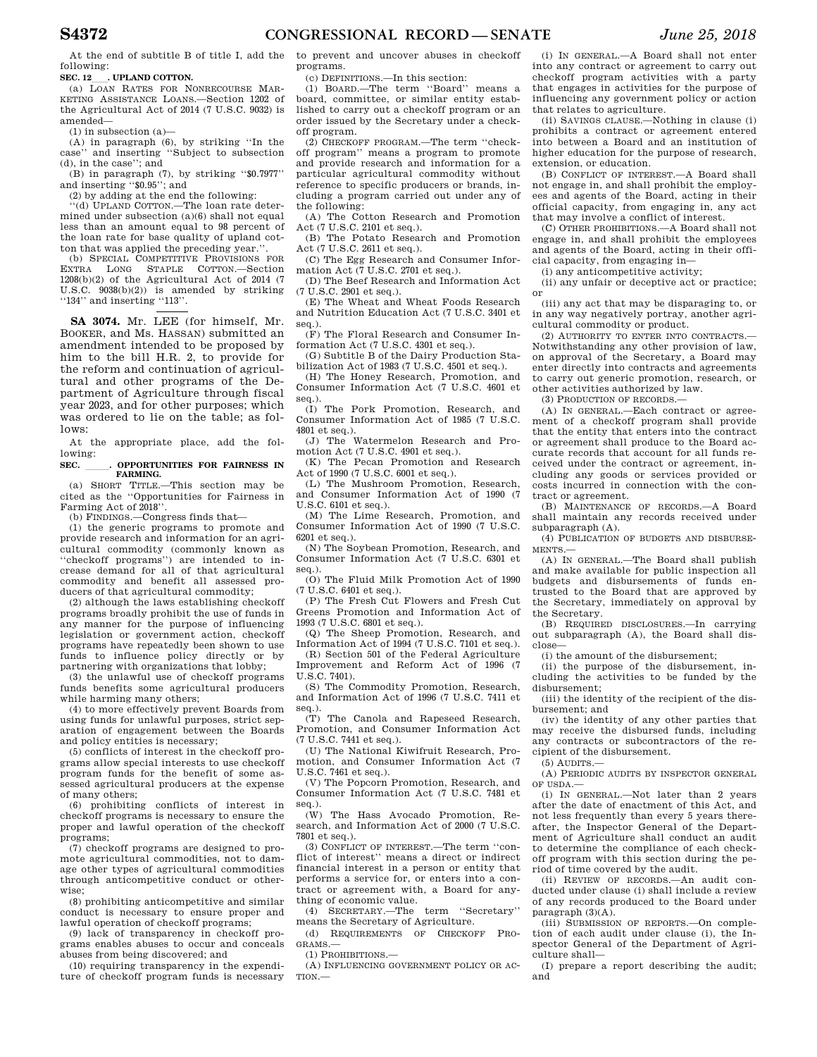At the end of subtitle B of title I, add the following:

**SEC. 12\_\_\_. UPLAND COTTON.**<br>
(a) LOAN RATES FOR NONRECOURSE MAR-KETING ASSISTANCE LOANS.—Section 1202 of the Agricultural Act of 2014 (7 U.S.C. 9032) is amended—

(1) in subsection (a)—

(A) in paragraph (6), by striking ''In the case'' and inserting ''Subject to subsection (d), in the case''; and

(B) in paragraph (7), by striking ''\$0.7977'' and inserting ''\$0.95''; and

(2) by adding at the end the following:

''(d) UPLAND COTTON.—The loan rate determined under subsection  $(a)(6)$  shall not equal less than an amount equal to 98 percent of the loan rate for base quality of upland cotton that was applied the preceding year.<sup>'</sup>

(b) SPECIAL COMPETITIVE PROVISIONS FOR EXTRA LONG STAPLE COTTON.—Section 1208(b)(2) of the Agricultural Act of 2014 (7 U.S.C. 9038(b)(2)) is amended by striking ''134'' and inserting ''113''.

**SA 3074.** Mr. LEE (for himself, Mr. BOOKER, and Ms. HASSAN) submitted an amendment intended to be proposed by him to the bill H.R. 2, to provide for the reform and continuation of agricultural and other programs of the Department of Agriculture through fiscal year 2023, and for other purposes; which was ordered to lie on the table; as follows:

At the appropriate place, add the following:

### SEC. \_\_\_\_\_. OPPORTUNITIES FOR FAIRNESS IN **FARMING.**

(a) SHORT TITLE.—This section may be cited as the ''Opportunities for Fairness in Farming Act of 2018''.

(b) FINDINGS.—Congress finds that—

(1) the generic programs to promote and provide research and information for an agricultural commodity (commonly known as ''checkoff programs'') are intended to increase demand for all of that agricultural commodity and benefit all assessed producers of that agricultural commodity;

(2) although the laws establishing checkoff programs broadly prohibit the use of funds in any manner for the purpose of influencing legislation or government action, checkoff programs have repeatedly been shown to use funds to influence policy directly or by partnering with organizations that lobby;

(3) the unlawful use of checkoff programs funds benefits some agricultural producers while harming many others;

(4) to more effectively prevent Boards from using funds for unlawful purposes, strict separation of engagement between the Boards and policy entities is necessary;

(5) conflicts of interest in the checkoff programs allow special interests to use checkoff program funds for the benefit of some assessed agricultural producers at the expense of many others;

(6) prohibiting conflicts of interest in checkoff programs is necessary to ensure the proper and lawful operation of the checkoff programs;

(7) checkoff programs are designed to promote agricultural commodities, not to damage other types of agricultural commodities through anticompetitive conduct or otherwise;

(8) prohibiting anticompetitive and similar conduct is necessary to ensure proper and lawful operation of checkoff programs;

(9) lack of transparency in checkoff programs enables abuses to occur and conceals abuses from being discovered; and

(10) requiring transparency in the expenditure of checkoff program funds is necessary to prevent and uncover abuses in checkoff programs.

(c) DEFINITIONS.—In this section:

(1) BOARD.—The term ''Board'' means a board, committee, or similar entity established to carry out a checkoff program or an order issued by the Secretary under a checkoff program.

(2) CHECKOFF PROGRAM.—The term ''checkoff program'' means a program to promote and provide research and information for a particular agricultural commodity without reference to specific producers or brands, including a program carried out under any of the following:

(A) The Cotton Research and Promotion Act (7 U.S.C. 2101 et seq.).

(B) The Potato Research and Promotion Act (7 U.S.C. 2611 et seq.).

(C) The Egg Research and Consumer Information Act (7 U.S.C. 2701 et seq.).

(D) The Beef Research and Information Act (7 U.S.C. 2901 et seq.).

(E) The Wheat and Wheat Foods Research and Nutrition Education Act (7 U.S.C. 3401 et seq.).

(F) The Floral Research and Consumer Information Act (7 U.S.C. 4301 et seq.).

(G) Subtitle B of the Dairy Production Stabilization Act of 1983 (7 U.S.C. 4501 et seq.).

(H) The Honey Research, Promotion, and Consumer Information Act (7 U.S.C. 4601 et seq.).

(I) The Pork Promotion, Research, and Consumer Information Act of 1985 (7 U.S.C. 4801 et seq.).

(J) The Watermelon Research and Promotion Act (7 U.S.C. 4901 et seq.).

(K) The Pecan Promotion and Research Act of 1990 (7 U.S.C. 6001 et seq.).

(L) The Mushroom Promotion, Research, and Consumer Information Act of 1990 (7 U.S.C. 6101 et seq.).

(M) The Lime Research, Promotion, and Consumer Information Act of 1990 (7 U.S.C. 6201 et seq.).

(N) The Soybean Promotion, Research, and Consumer Information Act (7 U.S.C. 6301 et seq.).

(O) The Fluid Milk Promotion Act of 1990 (7 U.S.C. 6401 et seq.).

(P) The Fresh Cut Flowers and Fresh Cut Greens Promotion and Information Act of 1993 (7 U.S.C. 6801 et seq.).

(Q) The Sheep Promotion, Research, and Information Act of 1994 (7 U.S.C. 7101 et seq.).

(R) Section 501 of the Federal Agriculture Improvement and Reform Act of 1996 (7 U.S.C. 7401).

(S) The Commodity Promotion, Research, and Information Act of 1996 (7 U.S.C. 7411 et seq.).

(T) The Canola and Rapeseed Research, Promotion, and Consumer Information Act (7 U.S.C. 7441 et seq.).

(U) The National Kiwifruit Research, Promotion, and Consumer Information Act (7 U.S.C. 7461 et seq.).

(V) The Popcorn Promotion, Research, and Consumer Information Act (7 U.S.C. 7481 et seq.).

(W) The Hass Avocado Promotion, Research, and Information Act of 2000 (7 U.S.C. 7801 et seq.).

(3) CONFLICT OF INTEREST.—The term ''conflict of interest'' means a direct or indirect financial interest in a person or entity that performs a service for, or enters into a contract or agreement with, a Board for anything of economic value.

(4) SECRETARY.—The term ''Secretary'' means the Secretary of Agriculture.

(d) REQUIREMENTS OF CHECKOFF PRO-GRAMS.—

(1) PROHIBITIONS.—

(A) INFLUENCING GOVERNMENT POLICY OR AC-TION.—

(i) IN GENERAL.—A Board shall not enter into any contract or agreement to carry out checkoff program activities with a party that engages in activities for the purpose of influencing any government policy or action that relates to agriculture.

(ii) SAVINGS CLAUSE.—Nothing in clause (i) prohibits a contract or agreement entered into between a Board and an institution of higher education for the purpose of research, extension, or education.

(B) CONFLICT OF INTEREST.—A Board shall not engage in, and shall prohibit the employees and agents of the Board, acting in their official capacity, from engaging in, any act that may involve a conflict of interest.

(C) OTHER PROHIBITIONS.—A Board shall not engage in, and shall prohibit the employees and agents of the Board, acting in their official capacity, from engaging in—

(i) any anticompetitive activity;

(ii) any unfair or deceptive act or practice; or

(iii) any act that may be disparaging to, or in any way negatively portray, another agricultural commodity or product.

(2) AUTHORITY TO ENTER INTO CONTRACTS.— Notwithstanding any other provision of law, on approval of the Secretary, a Board may enter directly into contracts and agreements to carry out generic promotion, research, or other activities authorized by law.

(3) PRODUCTION OF RECORDS.—

(A) IN GENERAL.—Each contract or agreement of a checkoff program shall provide that the entity that enters into the contract or agreement shall produce to the Board accurate records that account for all funds received under the contract or agreement, including any goods or services provided or costs incurred in connection with the contract or agreement.

(B) MAINTENANCE OF RECORDS.—A Board shall maintain any records received under subparagraph (A).

(4) PUBLICATION OF BUDGETS AND DISBURSE-MENTS.—

(A) IN GENERAL.—The Board shall publish and make available for public inspection all budgets and disbursements of funds entrusted to the Board that are approved by the Secretary, immediately on approval by the Secretary.

(B) REQUIRED DISCLOSURES.—In carrying out subparagraph (A), the Board shall disclose—

(i) the amount of the disbursement;

(ii) the purpose of the disbursement, including the activities to be funded by the disbursement;

(iii) the identity of the recipient of the disbursement; and

(iv) the identity of any other parties that may receive the disbursed funds, including any contracts or subcontractors of the recipient of the disbursement.

 $(5)$  AUDITS.

(A) PERIODIC AUDITS BY INSPECTOR GENERAL OF USDA.—

(i) IN GENERAL.—Not later than 2 years after the date of enactment of this Act, and not less frequently than every 5 years thereafter, the Inspector General of the Department of Agriculture shall conduct an audit to determine the compliance of each checkoff program with this section during the period of time covered by the audit.

(ii) REVIEW OF RECORDS.—An audit conducted under clause (i) shall include a review of any records produced to the Board under paragraph (3)(A).

(iii) SUBMISSION OF REPORTS.—On completion of each audit under clause (i), the Inspector General of the Department of Agriculture shall—

(I) prepare a report describing the audit; and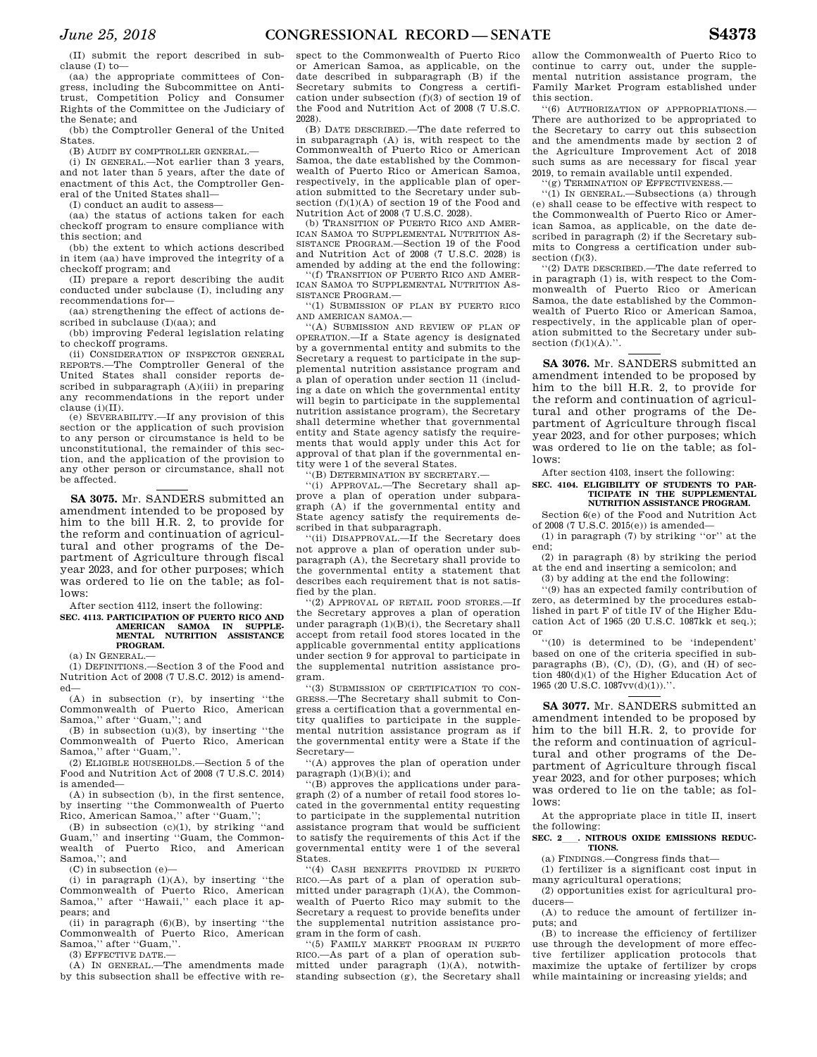(II) submit the report described in subclause (I) to—

(aa) the appropriate committees of Congress, including the Subcommittee on Anti-Competition Policy and Consumer Rights of the Committee on the Judiciary of the Senate; and

(bb) the Comptroller General of the United States.

(B) AUDIT BY COMPTROLLER GENERAL.

(i) IN GENERAL.—Not earlier than 3 years, and not later than 5 years, after the date of enactment of this Act, the Comptroller General of the United States shall—

(I) conduct an audit to assess—

(aa) the status of actions taken for each checkoff program to ensure compliance with this section; and

(bb) the extent to which actions described in item (aa) have improved the integrity of a checkoff program; and

(II) prepare a report describing the audit conducted under subclause (I), including any recommendations for—

(aa) strengthening the effect of actions described in subclause (I)(aa); and

(bb) improving Federal legislation relating to checkoff programs.

(ii) CONSIDERATION OF INSPECTOR GENERAL REPORTS.—The Comptroller General of the United States shall consider reports described in subparagraph (A)(iii) in preparing any recommendations in the report under clause (i)(II).

(e) SEVERABILITY.—If any provision of this section or the application of such provision to any person or circumstance is held to be unconstitutional, the remainder of this section, and the application of the provision to any other person or circumstance, shall not be affected.

**SA 3075.** Mr. SANDERS submitted an amendment intended to be proposed by him to the bill H.R. 2, to provide for the reform and continuation of agricultural and other programs of the Department of Agriculture through fiscal year 2023, and for other purposes; which was ordered to lie on the table; as follows:

After section 4112, insert the following:

**SEC. 4113. PARTICIPATION OF PUERTO RICO AND AMERICAN SAMOA IN SUPPLE-MENTAL NUTRITION ASSISTANCE PROGRAM.** 

(a) IN GENERAL.—

(1) DEFINITIONS.—Section 3 of the Food and Nutrition Act of 2008 (7 U.S.C. 2012) is amended—

(A) in subsection (r), by inserting ''the Commonwealth of Puerto Rico, American Samoa,'' after ''Guam,''; and

(B) in subsection (u)(3), by inserting ''the Commonwealth of Puerto Rico, American Samoa,'' after ''Guam,''.

(2) ELIGIBLE HOUSEHOLDS.—Section 5 of the Food and Nutrition Act of 2008 (7 U.S.C. 2014) is amended—

(A) in subsection (b), in the first sentence, by inserting ''the Commonwealth of Puerto Rico, American Samoa,'' after ''Guam,'';

(B) in subsection  $(c)(1)$ , by striking "and Guam,'' and inserting ''Guam, the Commonwealth of Puerto Rico, and American Samoa,''; and

(C) in subsection (e)—

(i) in paragraph (1)(A), by inserting ''the Commonwealth of Puerto Rico, American Samoa,'' after ''Hawaii,'' each place it appears; and

(ii) in paragraph (6)(B), by inserting ''the Commonwealth of Puerto Rico, American Samoa,'' after ''Guam,''.

(3) EFFECTIVE DATE.—

(A) IN GENERAL.—The amendments made by this subsection shall be effective with respect to the Commonwealth of Puerto Rico or American Samoa, as applicable, on the date described in subparagraph (B) if the Secretary submits to Congress a certification under subsection (f)(3) of section 19 of the Food and Nutrition Act of 2008 (7 U.S.C. 2028).

(B) DATE DESCRIBED.—The date referred to in subparagraph (A) is, with respect to the Commonwealth of Puerto Rico or American Samoa, the date established by the Commonwealth of Puerto Rico or American Samoa, respectively, in the applicable plan of operation submitted to the Secretary under subsection (f)(1)(A) of section 19 of the Food and Nutrition Act of 2008 (7 U.S.C. 2028).

(b) TRANSITION OF PUERTO RICO AND AMER-ICAN SAMOA TO SUPPLEMENTAL NUTRITION AS-SISTANCE PROGRAM.—Section 19 of the Food and Nutrition Act of 2008 (7 U.S.C. 2028) is amended by adding at the end the following:

(f) TRANSITION OF PUERTO RICO AND AMER-ICAN SAMOA TO SUPPLEMENTAL NUTRITION AS-SISTANCE PROGRAM.—

''(1) SUBMISSION OF PLAN BY PUERTO RICO AND AMERICAN SAMOA.—

''(A) SUBMISSION AND REVIEW OF PLAN OF OPERATION.—If a State agency is designated by a governmental entity and submits to the Secretary a request to participate in the supplemental nutrition assistance program and a plan of operation under section 11 (including a date on which the governmental entity will begin to participate in the supplemental nutrition assistance program), the Secretary shall determine whether that governmental entity and State agency satisfy the requirements that would apply under this Act for approval of that plan if the governmental entity were 1 of the several States.

''(B) DETERMINATION BY SECRETARY.—

''(i) APPROVAL.—The Secretary shall approve a plan of operation under subparagraph (A) if the governmental entity and State agency satisfy the requirements described in that subparagraph.

''(ii) DISAPPROVAL.—If the Secretary does not approve a plan of operation under subparagraph (A), the Secretary shall provide to the governmental entity a statement that describes each requirement that is not satisfied by the plan.

''(2) APPROVAL OF RETAIL FOOD STORES.—If the Secretary approves a plan of operation under paragraph (1)(B)(i), the Secretary shall accept from retail food stores located in the applicable governmental entity applications under section 9 for approval to participate in the supplemental nutrition assistance program.

''(3) SUBMISSION OF CERTIFICATION TO CON-GRESS.—The Secretary shall submit to Congress a certification that a governmental entity qualifies to participate in the supplemental nutrition assistance program as if the governmental entity were a State if the Secretary—

''(A) approves the plan of operation under paragraph  $(1)(B)(i)$ ; and

''(B) approves the applications under paragraph (2) of a number of retail food stores located in the governmental entity requesting to participate in the supplemental nutrition assistance program that would be sufficient to satisfy the requirements of this Act if the governmental entity were 1 of the several States.

''(4) CASH BENEFITS PROVIDED IN PUERTO RICO.—As part of a plan of operation submitted under paragraph  $(1)(A)$ , the Commonwealth of Puerto Rico may submit to the Secretary a request to provide benefits under the supplemental nutrition assistance program in the form of cash.

''(5) FAMILY MARKET PROGRAM IN PUERTO RICO.—As part of a plan of operation submitted under paragraph (1)(A), notwithstanding subsection (g), the Secretary shall allow the Commonwealth of Puerto Rico to continue to carry out, under the supplemental nutrition assistance program, the Family Market Program established under this section.

''(6) AUTHORIZATION OF APPROPRIATIONS.— There are authorized to be appropriated to the Secretary to carry out this subsection and the amendments made by section 2 of the Agriculture Improvement Act of 2018 such sums as are necessary for fiscal year 2019, to remain available until expended.

''(g) TERMINATION OF EFFECTIVENESS.—

''(1) IN GENERAL.—Subsections (a) through (e) shall cease to be effective with respect to the Commonwealth of Puerto Rico or American Samoa, as applicable, on the date described in paragraph (2) if the Secretary submits to Congress a certification under subsection (f)(3).

''(2) DATE DESCRIBED.—The date referred to in paragraph (1) is, with respect to the Commonwealth of Puerto Rico or American Samoa, the date established by the Commonwealth of Puerto Rico or American Samoa, respectively, in the applicable plan of operation submitted to the Secretary under subsection  $(f)(1)(A)$ .".

**SA 3076.** Mr. SANDERS submitted an amendment intended to be proposed by him to the bill H.R. 2, to provide for the reform and continuation of agricultural and other programs of the Department of Agriculture through fiscal year 2023, and for other purposes; which was ordered to lie on the table; as follows:

After section 4103, insert the following:

### **SEC. 4104. ELIGIBILITY OF STUDENTS TO PAR-TICIPATE IN THE SUPPLEMENTAL NUTRITION ASSISTANCE PROGRAM.**

Section 6(e) of the Food and Nutrition Act of 2008 (7 U.S.C. 2015(e)) is amended—

(1) in paragraph (7) by striking ''or'' at the end;

(2) in paragraph (8) by striking the period at the end and inserting a semicolon; and

(3) by adding at the end the following:

''(9) has an expected family contribution of zero, as determined by the procedures established in part F of title IV of the Higher Education Act of 1965  $(20 \text{ U.S C. } 1087 \text{ k} \text{ K} \text{ et } \text{sea.})$ ; or

''(10) is determined to be 'independent' based on one of the criteria specified in subparagraphs  $(B)$ ,  $(C)$ ,  $(D)$ ,  $(G)$ , and  $(H)$  of section 480(d)(1) of the Higher Education Act of 1965 (20 U.S.C. 1087vv(d)(1)).''.

**SA 3077.** Mr. SANDERS submitted an amendment intended to be proposed by him to the bill H.R. 2, to provide for the reform and continuation of agricultural and other programs of the Department of Agriculture through fiscal year 2023, and for other purposes; which was ordered to lie on the table; as follows:

At the appropriate place in title II, insert the following:

**SEC. 2**ll**. NITROUS OXIDE EMISSIONS REDUC-TIONS.** 

(a) FINDINGS.—Congress finds that—

(1) fertilizer is a significant cost input in many agricultural operations;

(2) opportunities exist for agricultural producers—

(A) to reduce the amount of fertilizer inputs; and

(B) to increase the efficiency of fertilizer use through the development of more effective fertilizer application protocols that maximize the uptake of fertilizer by crops while maintaining or increasing yields; and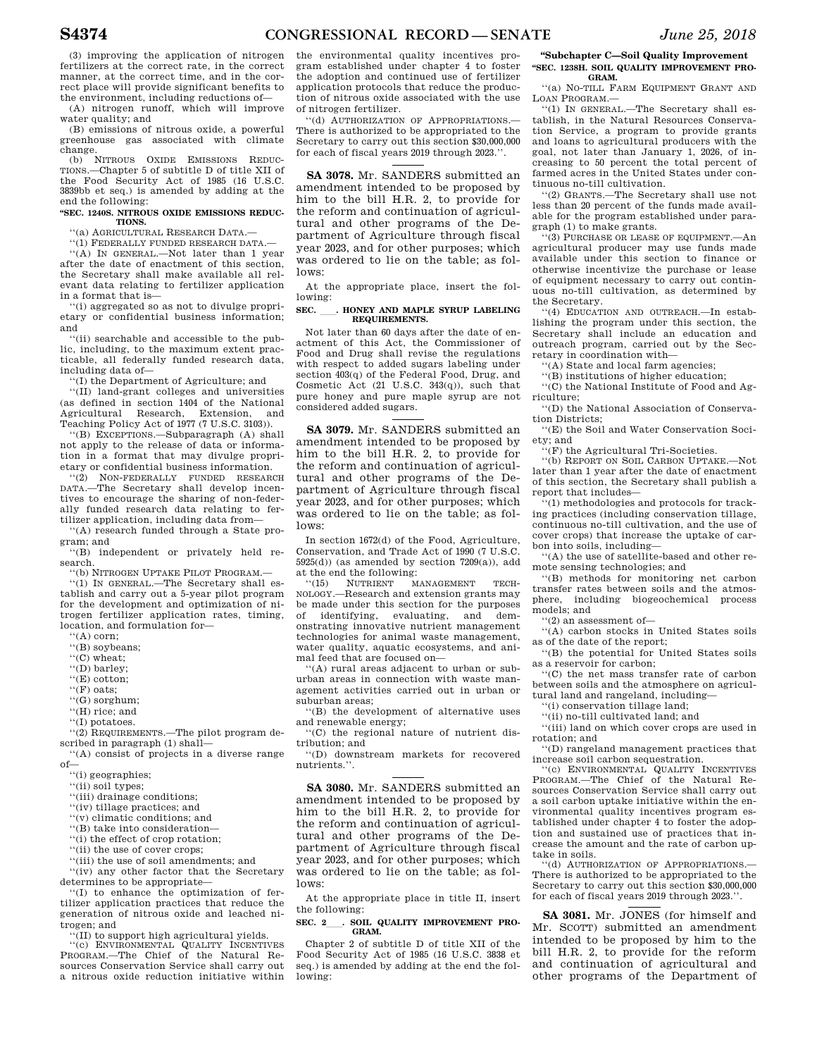(3) improving the application of nitrogen fertilizers at the correct rate, in the correct manner, at the correct time, and in the correct place will provide significant benefits to the environment, including reductions of—

(A) nitrogen runoff, which will improve water quality; and

(B) emissions of nitrous oxide, a powerful greenhouse gas associated with climate change. (b) NITROUS OXIDE EMISSIONS REDUC-

TIONS.—Chapter 5 of subtitle D of title XII of the Food Security Act of 1985 (16 U.S.C. 3839bb et seq.) is amended by adding at the end the following:

### **''SEC. 1240S. NITROUS OXIDE EMISSIONS REDUC-TIONS.**

''(a) AGRICULTURAL RESEARCH DATA.—

''(1) FEDERALLY FUNDED RESEARCH DATA.— ''(A) IN GENERAL.—Not later than 1 year

after the date of enactment of this section, the Secretary shall make available all relevant data relating to fertilizer application in a format that is—

''(i) aggregated so as not to divulge proprietary or confidential business information; and

''(ii) searchable and accessible to the public, including, to the maximum extent practicable, all federally funded research data, including data of—

''(I) the Department of Agriculture; and

''(II) land-grant colleges and universities (as defined in section 1404 of the National Agricultural Research, Extension, and Teaching Policy Act of 1977 (7 U.S.C. 3103)).

''(B) EXCEPTIONS.—Subparagraph (A) shall not apply to the release of data or information in a format that may divulge proprietary or confidential business information.

''(2) NON-FEDERALLY FUNDED RESEARCH DATA.—The Secretary shall develop incentives to encourage the sharing of non-federally funded research data relating to fertilizer application, including data from—

''(A) research funded through a State program; and

''(B) independent or privately held research.

''(b) NITROGEN UPTAKE PILOT PROGRAM.—

''(1) IN GENERAL.—The Secretary shall establish and carry out a 5-year pilot program for the development and optimization of nitrogen fertilizer application rates, timing, location, and formulation for—

- ''(A) corn;
- ''(B) soybeans;
- ''(C) wheat;

''(D) barley;

''(E) cotton;

''(F) oats;

- ''(G) sorghum;
- ''(H) rice; and

''(I) potatoes.

''(2) REQUIREMENTS.—The pilot program described in paragraph (1) shall—

''(A) consist of projects in a diverse range of—

''(i) geographies;

- $\lq\lq$  (ii) soil types;
- ''(iii) drainage conditions;
- ''(iv) tillage practices; and

'(v) climatic conditions; and

''(B) take into consideration—

- ''(i) the effect of crop rotation;
- ''(ii) the use of cover crops;
- ''(iii) the use of soil amendments; and

''(iv) any other factor that the Secretary determines to be appropriate—

''(I) to enhance the optimization of fertilizer application practices that reduce the generation of nitrous oxide and leached nitrogen; and

''(II) to support high agricultural yields. ''(c) ENVIRONMENTAL QUALITY INCENTIVES

PROGRAM.—The Chief of the Natural Resources Conservation Service shall carry out a nitrous oxide reduction initiative within

the environmental quality incentives program established under chapter 4 to foster the adoption and continued use of fertilizer application protocols that reduce the production of nitrous oxide associated with the use of nitrogen fertilizer.

'(d) AUTHORIZATION OF APPROPRIATIONS.-There is authorized to be appropriated to the Secretary to carry out this section \$30,000,000 for each of fiscal years 2019 through 2023.'

**SA 3078.** Mr. SANDERS submitted an amendment intended to be proposed by him to the bill H.R. 2, to provide for the reform and continuation of agricultural and other programs of the Department of Agriculture through fiscal year 2023, and for other purposes; which was ordered to lie on the table; as follows:

At the appropriate place, insert the following:

### SEC. \_\_\_. HONEY AND MAPLE SYRUP LABELING **REQUIREMENTS.**

Not later than 60 days after the date of enactment of this Act, the Commissioner of Food and Drug shall revise the regulations with respect to added sugars labeling under section 403(q) of the Federal Food, Drug, and Cosmetic Act (21 U.S.C. 343(q)), such that pure honey and pure maple syrup are not considered added sugars.

**SA 3079.** Mr. SANDERS submitted an amendment intended to be proposed by him to the bill H.R. 2, to provide for the reform and continuation of agricultural and other programs of the Department of Agriculture through fiscal year 2023, and for other purposes; which was ordered to lie on the table; as follows:

In section 1672(d) of the Food, Agriculture Conservation, and Trade Act of 1990 (7 U.S.C.  $5925(d)$  (as amended by section  $7209(a)$ ), add at the end the following:

''(15) NUTRIENT MANAGEMENT TECH-NOLOGY.—Research and extension grants may be made under this section for the purposes<br>of identifying, evaluating, and demof identifying, evaluating, and onstrating innovative nutrient management technologies for animal waste management, water quality, aquatic ecosystems, and animal feed that are focused on—

''(A) rural areas adjacent to urban or suburban areas in connection with waste management activities carried out in urban or suburban areas;

''(B) the development of alternative uses and renewable energy;

''(C) the regional nature of nutrient distribution; and

''(D) downstream markets for recovered nutrients.''.

**SA 3080.** Mr. SANDERS submitted an amendment intended to be proposed by him to the bill H.R. 2, to provide for the reform and continuation of agricultural and other programs of the Department of Agriculture through fiscal year 2023, and for other purposes; which was ordered to lie on the table; as follows:

At the appropriate place in title II, insert the following:

### SEC. 2\_\_\_\_. SOIL QUALITY IMPROVEMENT PRO-**GRAM.**

Chapter 2 of subtitle D of title XII of the Food Security Act of 1985 (16 U.S.C. 3838 et seq.) is amended by adding at the end the following:

**''Subchapter C—Soil Quality Improvement ''SEC. 1238H. SOIL QUALITY IMPROVEMENT PRO-GRAM.** 

''(a) NO-TILL FARM EQUIPMENT GRANT AND LOAN PROGRAM.—

''(1) IN GENERAL.—The Secretary shall establish, in the Natural Resources Conservation Service, a program to provide grants and loans to agricultural producers with the goal, not later than January 1, 2026, of increasing to 50 percent the total percent of farmed acres in the United States under continuous no-till cultivation.

''(2) GRANTS.—The Secretary shall use not less than 20 percent of the funds made available for the program established under paragraph (1) to make grants.

''(3) PURCHASE OR LEASE OF EQUIPMENT.—An agricultural producer may use funds made available under this section to finance or otherwise incentivize the purchase or lease of equipment necessary to carry out continuous no-till cultivation, as determined by the Secretary.

''(4) EDUCATION AND OUTREACH.—In establishing the program under this section, the Secretary shall include an education and outreach program, carried out by the Secretary in coordination with—

''(A) State and local farm agencies;

''(B) institutions of higher education;

''(C) the National Institute of Food and Agriculture;

''(D) the National Association of Conservation Districts;

''(E) the Soil and Water Conservation Society; and

''(F) the Agricultural Tri-Societies.

''(b) REPORT ON SOIL CARBON UPTAKE.—Not later than 1 year after the date of enactment of this section, the Secretary shall publish a report that includes—

''(1) methodologies and protocols for tracking practices (including conservation tillage, continuous no-till cultivation, and the use of cover crops) that increase the uptake of carbon into soils, including—

''(A) the use of satellite-based and other remote sensing technologies; and

''(B) methods for monitoring net carbon transfer rates between soils and the atmosphere, including biogeochemical process models; and

'(2) an assessment of-

''(A) carbon stocks in United States soils as of the date of the report;

''(B) the potential for United States soils as a reservoir for carbon;

''(C) the net mass transfer rate of carbon between soils and the atmosphere on agricultural land and rangeland, including—

''(i) conservation tillage land;

''(ii) no-till cultivated land; and

''(iii) land on which cover crops are used in

rotation; and ''(D) rangeland management practices that

increase soil carbon sequestration.

''(c) ENVIRONMENTAL QUALITY INCENTIVES PROGRAM.—The Chief of the Natural Resources Conservation Service shall carry out a soil carbon uptake initiative within the environmental quality incentives program established under chapter 4 to foster the adoption and sustained use of practices that increase the amount and the rate of carbon uptake in soils.

''(d) AUTHORIZATION OF APPROPRIATIONS.— There is authorized to be appropriated to the Secretary to carry out this section \$30,000,000 for each of fiscal years 2019 through 2023.''.

**SA 3081.** Mr. JONES (for himself and Mr. SCOTT) submitted an amendment intended to be proposed by him to the bill H.R. 2, to provide for the reform and continuation of agricultural and other programs of the Department of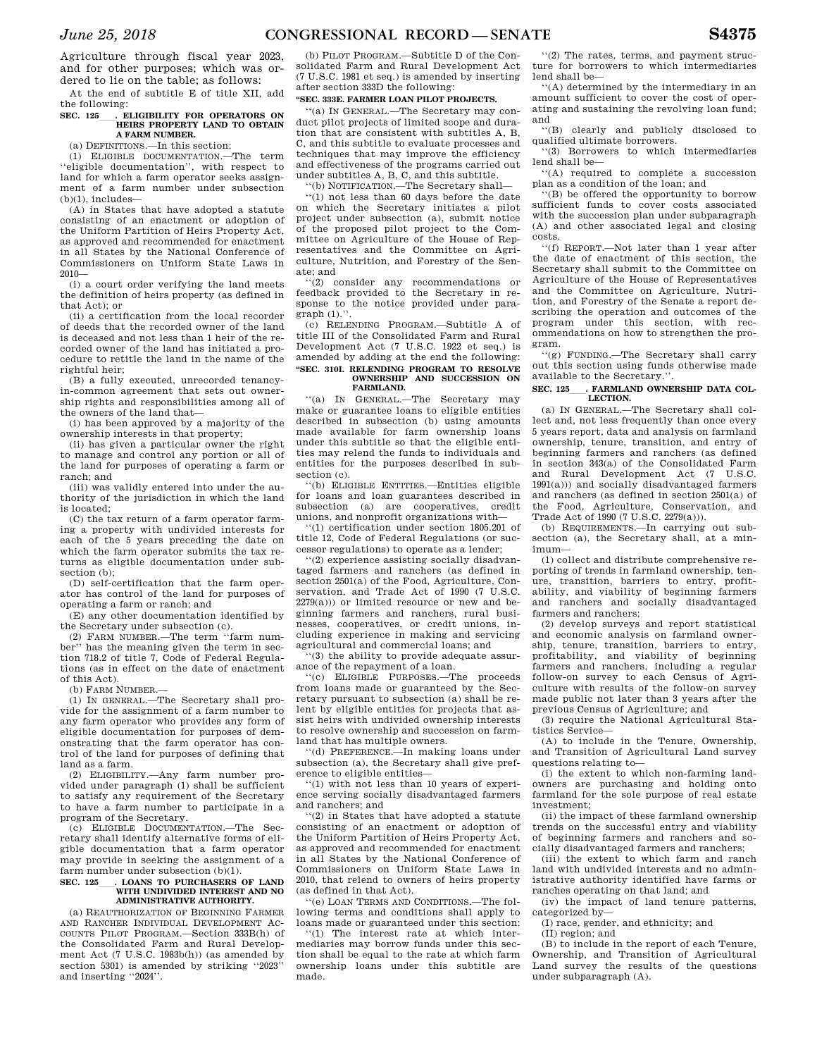Agriculture through fiscal year 2023, and for other purposes; which was ordered to lie on the table; as follows:

At the end of subtitle E of title XII, add the following:

### SEC. 125<sub>ll</sub>. ELIGIBILITY FOR OPERATORS ON **HEIRS PROPERTY LAND TO OBTAIN A FARM NUMBER.**

(a) DEFINITIONS.—In this section:

(1) ELIGIBLE DOCUMENTATION.—The term ''eligible documentation'', with respect to land for which a farm operator seeks assignment of a farm number under subsection  $(b)(1)$ , includes—

(A) in States that have adopted a statute consisting of an enactment or adoption of the Uniform Partition of Heirs Property Act, as approved and recommended for enactment in all States by the National Conference of Commissioners on Uniform State Laws in 2010—

(i) a court order verifying the land meets the definition of heirs property (as defined in that Act); or

(ii) a certification from the local recorder of deeds that the recorded owner of the land is deceased and not less than 1 heir of the recorded owner of the land has initiated a procedure to retitle the land in the name of the rightful heir;

(B) a fully executed, unrecorded tenancyin-common agreement that sets out ownership rights and responsibilities among all of the owners of the land that—

(i) has been approved by a majority of the ownership interests in that property;

(ii) has given a particular owner the right to manage and control any portion or all of the land for purposes of operating a farm or ranch; and

(iii) was validly entered into under the authority of the jurisdiction in which the land is located;

(C) the tax return of a farm operator farming a property with undivided interests for each of the 5 years preceding the date on which the farm operator submits the tax returns as eligible documentation under subsection (b);

(D) self-certification that the farm operator has control of the land for purposes of operating a farm or ranch; and

(E) any other documentation identified by the Secretary under subsection (c).

(2) FARM NUMBER.—The term ''farm number'' has the meaning given the term in section 718.2 of title 7, Code of Federal Regulations (as in effect on the date of enactment of this Act).

(b) FARM NUMBER.—

(1) IN GENERAL.—The Secretary shall provide for the assignment of a farm number to any farm operator who provides any form of eligible documentation for purposes of demonstrating that the farm operator has control of the land for purposes of defining that land as a farm.

(2) ELIGIBILITY.—Any farm number provided under paragraph (1) shall be sufficient to satisfy any requirement of the Secretary to have a farm number to participate in a program of the Secretary.

(c) ELIGIBLE DOCUMENTATION.—The Secretary shall identify alternative forms of eligible documentation that a farm operator may provide in seeking the assignment of a farm number under subsection (b)(1).

### **SEC. 125**ll**. LOANS TO PURCHASERS OF LAND WITH UNDIVIDED INTEREST AND NO ADMINISTRATIVE AUTHORITY.**

(a) REAUTHORIZATION OF BEGINNING FARMER AND RANCHER INDIVIDUAL DEVELOPMENT AC-COUNTS PILOT PROGRAM.—Section 333B(h) of the Consolidated Farm and Rural Development Act (7 U.S.C. 1983b(h)) (as amended by section 5301) is amended by striking ''2023'' and inserting ''2024''.

(b) PILOT PROGRAM.—Subtitle D of the Consolidated Farm and Rural Development Act (7 U.S.C. 1981 et seq.) is amended by inserting after section 333D the following:

### **''SEC. 333E. FARMER LOAN PILOT PROJECTS.**

''(a) IN GENERAL.—The Secretary may conduct pilot projects of limited scope and duration that are consistent with subtitles A, B, C, and this subtitle to evaluate processes and techniques that may improve the efficiency and effectiveness of the programs carried out under subtitles A, B, C, and this subtitle.

''(b) NOTIFICATION.—The Secretary shall—

''(1) not less than 60 days before the date on which the Secretary initiates a pilot project under subsection (a), submit notice of the proposed pilot project to the Committee on Agriculture of the House of Representatives and the Committee on Agriculture, Nutrition, and Forestry of the Senate; and

''(2) consider any recommendations or feedback provided to the Secretary in response to the notice provided under paragraph  $(1)$ .".

(c) RELENDING PROGRAM.—Subtitle A of title III of the Consolidated Farm and Rural Development Act (7 U.S.C. 1922 et seq.) is amended by adding at the end the following: **''SEC. 310I. RELENDING PROGRAM TO RESOLVE OWNERSHIP AND SUCCESSION ON** 

### **FARMLAND.**  ''(a) IN GENERAL.—The Secretary may make or guarantee loans to eligible entities described in subsection (b) using amounts made available for farm ownership loans under this subtitle so that the eligible entities may relend the funds to individuals and

entities for the purposes described in subsection (c). ''(b) ELIGIBLE ENTITIES.—Entities eligible for loans and loan guarantees described in subsection (a) are cooperatives, credit unions, and nonprofit organizations with—

''(1) certification under section 1805.201 of title 12, Code of Federal Regulations (or successor regulations) to operate as a lender;

''(2) experience assisting socially disadvantaged farmers and ranchers (as defined in section 2501(a) of the Food, Agriculture, Conservation, and Trade Act of 1990 (7 U.S.C.  $2279(a))$  or limited resource or new and beginning farmers and ranchers, rural businesses, cooperatives, or credit unions, including experience in making and servicing agricultural and commercial loans; and

''(3) the ability to provide adequate assurance of the repayment of a loan.

''(c) ELIGIBLE PURPOSES.—The proceeds from loans made or guaranteed by the Secretary pursuant to subsection (a) shall be relent by eligible entities for projects that assist heirs with undivided ownership interests to resolve ownership and succession on farmland that has multiple owners.

''(d) PREFERENCE.—In making loans under subsection (a), the Secretary shall give preference to eligible entities—

''(1) with not less than 10 years of experience serving socially disadvantaged farmers and ranchers; and

''(2) in States that have adopted a statute consisting of an enactment or adoption of the Uniform Partition of Heirs Property Act, as approved and recommended for enactment in all States by the National Conference of Commissioners on Uniform State Laws in 2010, that relend to owners of heirs property (as defined in that Act).

''(e) LOAN TERMS AND CONDITIONS.—The following terms and conditions shall apply to loans made or guaranteed under this section:

''(1) The interest rate at which intermediaries may borrow funds under this section shall be equal to the rate at which farm ownership loans under this subtitle are made.

''(2) The rates, terms, and payment structure for borrowers to which intermediaries lend shall be—

''(A) determined by the intermediary in an amount sufficient to cover the cost of operating and sustaining the revolving loan fund; and

''(B) clearly and publicly disclosed to qualified ultimate borrowers.

''(3) Borrowers to which intermediaries lend shall be—

''(A) required to complete a succession plan as a condition of the loan; and

''(B) be offered the opportunity to borrow sufficient funds to cover costs associated with the succession plan under subparagraph (A) and other associated legal and closing costs.

''(f) REPORT.—Not later than 1 year after the date of enactment of this section, the Secretary shall submit to the Committee on Agriculture of the House of Representatives and the Committee on Agriculture, Nutrition, and Forestry of the Senate a report describing the operation and outcomes of the program under this section, with recommendations on how to strengthen the program.

''(g) FUNDING.—The Secretary shall carry out this section using funds otherwise made available to the Secretary.''.

### SEC. 125 **. FARMLAND OWNERSHIP DATA COL-LECTION.**

(a) IN GENERAL.—The Secretary shall collect and, not less frequently than once every 5 years report, data and analysis on farmland ownership, tenure, transition, and entry of beginning farmers and ranchers (as defined in section 343(a) of the Consolidated Farm and Rural Development Act (7 U.S.C. 1991(a))) and socially disadvantaged farmers and ranchers (as defined in section 2501(a) of the Food, Agriculture, Conservation, and Trade Act of 1990 (7 U.S.C. 2279(a))).

(b) REQUIREMENTS.—In carrying out subsection (a), the Secretary shall, at a minimum—

(1) collect and distribute comprehensive reporting of trends in farmland ownership, tenure, transition, barriers to entry, profitability, and viability of beginning farmers and ranchers and socially disadvantaged farmers and ranchers;

(2) develop surveys and report statistical and economic analysis on farmland ownership, tenure, transition, barriers to entry, profitability, and viability of beginning farmers and ranchers, including a regular follow-on survey to each Census of Agriculture with results of the follow-on survey made public not later than 3 years after the previous Census of Agriculture; and

(3) require the National Agricultural Statistics Service—

(A) to include in the Tenure, Ownership, and Transition of Agricultural Land survey questions relating to—

(i) the extent to which non-farming landowners are purchasing and holding onto farmland for the sole purpose of real estate investment;

(ii) the impact of these farmland ownership trends on the successful entry and viability of beginning farmers and ranchers and socially disadvantaged farmers and ranchers;

(iii) the extent to which farm and ranch land with undivided interests and no administrative authority identified have farms or ranches operating on that land; and

(iv) the impact of land tenure patterns, categorized by—

(I) race, gender, and ethnicity; and

(II) region; and

(B) to include in the report of each Tenure, Ownership, and Transition of Agricultural Land survey the results of the questions under subparagraph (A).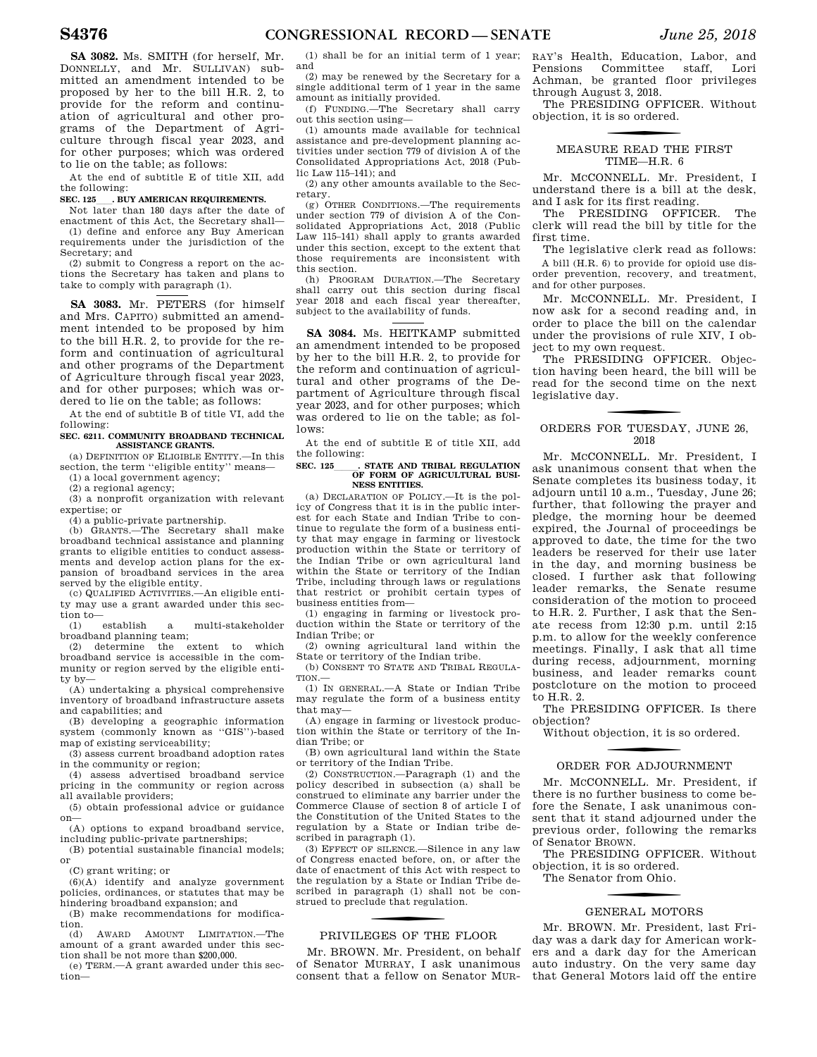**SA 3082.** Ms. SMITH (for herself, Mr. DONNELLY, and Mr. SULLIVAN) submitted an amendment intended to be proposed by her to the bill H.R. 2, to provide for the reform and continuation of agricultural and other programs of the Department of Agriculture through fiscal year 2023, and for other purposes; which was ordered to lie on the table; as follows:

At the end of subtitle E of title XII, add the following:

### **SEC. 125 DUY AMERICAN REQUIREMENTS.**

Not later than 180 days after the date of enactment of this Act, the Secretary shall— (1) define and enforce any Buy American requirements under the jurisdiction of the

Secretary; and (2) submit to Congress a report on the actions the Secretary has taken and plans to take to comply with paragraph (1).

**SA 3083.** Mr. PETERS (for himself and Mrs. CAPITO) submitted an amendment intended to be proposed by him to the bill H.R. 2, to provide for the reform and continuation of agricultural and other programs of the Department of Agriculture through fiscal year 2023, and for other purposes; which was ordered to lie on the table; as follows:

At the end of subtitle B of title VI, add the following:

### **SEC. 6211. COMMUNITY BROADBAND TECHNICAL ASSISTANCE GRANTS.**

(a) DEFINITION OF ELIGIBLE ENTITY.—In this section, the term ''eligible entity'' means— (1) a local government agency;

(2) a regional agency;

(3) a nonprofit organization with relevant expertise; or

(4) a public-private partnership.

(b) GRANTS.—The Secretary shall make broadband technical assistance and planning grants to eligible entities to conduct assessments and develop action plans for the expansion of broadband services in the area served by the eligible entity.

(c) QUALIFIED ACTIVITIES.—An eligible entity may use a grant awarded under this section to—

(1) establish a multi-stakeholder broadband planning team;

(2) determine the extent to which broadband service is accessible in the community or region served by the eligible entity by—

(A) undertaking a physical comprehensive inventory of broadband infrastructure assets and capabilities; and

(B) developing a geographic information system (commonly known as ''GIS'')-based map of existing serviceability;

(3) assess current broadband adoption rates in the community or region;

(4) assess advertised broadband service pricing in the community or region across all available providers;

(5) obtain professional advice or guidance on—

(A) options to expand broadband service, including public-private partnerships;

(B) potential sustainable financial models; or

(C) grant writing; or

(6)(A) identify and analyze government policies, ordinances, or statutes that may be hindering broadband expansion; and

(B) make recommendations for modification.

(d) AWARD AMOUNT LIMITATION.—The amount of a grant awarded under this section shall be not more than \$200,000.

(e) TERM.—A grant awarded under this section—

(1) shall be for an initial term of 1 year; and

(2) may be renewed by the Secretary for a single additional term of 1 year in the same amount as initially provided.

(f) FUNDING.—The Secretary shall carry out this section using—

(1) amounts made available for technical assistance and pre-development planning activities under section 779 of division A of the Consolidated Appropriations Act, 2018 (Public Law 115–141); and

(2) any other amounts available to the Secretary.

(g) OTHER CONDITIONS.—The requirements under section 779 of division A of the Consolidated Appropriations Act, 2018 (Public Law 115–141) shall apply to grants awarded under this section, except to the extent that those requirements are inconsistent with this section.

(h) PROGRAM DURATION.—The Secretary shall carry out this section during fiscal year 2018 and each fiscal year thereafter, subject to the availability of funds.

**SA 3084.** Ms. HEITKAMP submitted an amendment intended to be proposed by her to the bill H.R. 2, to provide for the reform and continuation of agricultural and other programs of the Department of Agriculture through fiscal year 2023, and for other purposes; which was ordered to lie on the table; as follows:

At the end of subtitle E of title XII, add the following:

### **SEC. 125\_\_\_\_\_\_. STATE AND TRIBAL REGULATION OF FORM OF AGRICULTURAL BUSI-NESS ENTITIES.**

(a) DECLARATION OF POLICY.—It is the policy of Congress that it is in the public interest for each State and Indian Tribe to continue to regulate the form of a business entity that may engage in farming or livestock production within the State or territory of the Indian Tribe or own agricultural land within the State or territory of the Indian Tribe, including through laws or regulations that restrict or prohibit certain types of business entities from—

(1) engaging in farming or livestock production within the State or territory of the Indian Tribe; or

(2) owning agricultural land within the State or territory of the Indian tribe.

(b) CONSENT TO STATE AND TRIBAL REGULA-TION.—

(1) IN GENERAL.—A State or Indian Tribe may regulate the form of a business entity that may—

(A) engage in farming or livestock production within the State or territory of the Indian Tribe; or

(B) own agricultural land within the State or territory of the Indian Tribe.

(2) CONSTRUCTION.—Paragraph (1) and the policy described in subsection (a) shall be construed to eliminate any barrier under the Commerce Clause of section 8 of article I of the Constitution of the United States to the regulation by a State or Indian tribe described in paragraph (1).

(3) EFFECT OF SILENCE.—Silence in any law of Congress enacted before, on, or after the date of enactment of this Act with respect to the regulation by a State or Indian Tribe described in paragraph (1) shall not be construed to preclude that regulation.

# PRIVILEGES OF THE FLOOR

Mr. BROWN. Mr. President, on behalf of Senator MURRAY, I ask unanimous consent that a fellow on Senator MUR- RAY's Health, Education, Labor, and Pensions Committee staff, Lori Achman, be granted floor privileges through August 3, 2018.

The PRESIDING OFFICER. Without objection, it is so ordered.

# f MEASURE READ THE FIRST TIME—H.R. 6

Mr. MCCONNELL. Mr. President, I understand there is a bill at the desk, and I ask for its first reading.

The PRESIDING OFFICER. The clerk will read the bill by title for the first time.

The legislative clerk read as follows: A bill (H.R. 6) to provide for opioid use disorder prevention, recovery, and treatment, and for other purposes.

Mr. MCCONNELL. Mr. President, I now ask for a second reading and, in order to place the bill on the calendar under the provisions of rule XIV, I object to my own request.

The PRESIDING OFFICER. Objection having been heard, the bill will be read for the second time on the next legislative day.

### ORDERS FOR TUESDAY, JUNE 26, 2018

Mr. MCCONNELL. Mr. President, I ask unanimous consent that when the Senate completes its business today, it adjourn until 10 a.m., Tuesday, June 26; further, that following the prayer and pledge, the morning hour be deemed expired, the Journal of proceedings be approved to date, the time for the two leaders be reserved for their use later in the day, and morning business be closed. I further ask that following leader remarks, the Senate resume consideration of the motion to proceed to H.R. 2. Further, I ask that the Senate recess from 12:30 p.m. until 2:15 p.m. to allow for the weekly conference meetings. Finally, I ask that all time during recess, adjournment, morning business, and leader remarks count postcloture on the motion to proceed to H.R. 2.

The PRESIDING OFFICER. Is there objection?

Without objection, it is so ordered.

# ORDER FOR ADJOURNMENT

Mr. MCCONNELL. Mr. President, if there is no further business to come before the Senate, I ask unanimous consent that it stand adjourned under the previous order, following the remarks of Senator BROWN.

The PRESIDING OFFICER. Without objection, it is so ordered.

The Senator from Ohio.

# GENERAL MOTORS

Mr. BROWN. Mr. President, last Friday was a dark day for American workers and a dark day for the American auto industry. On the very same day that General Motors laid off the entire